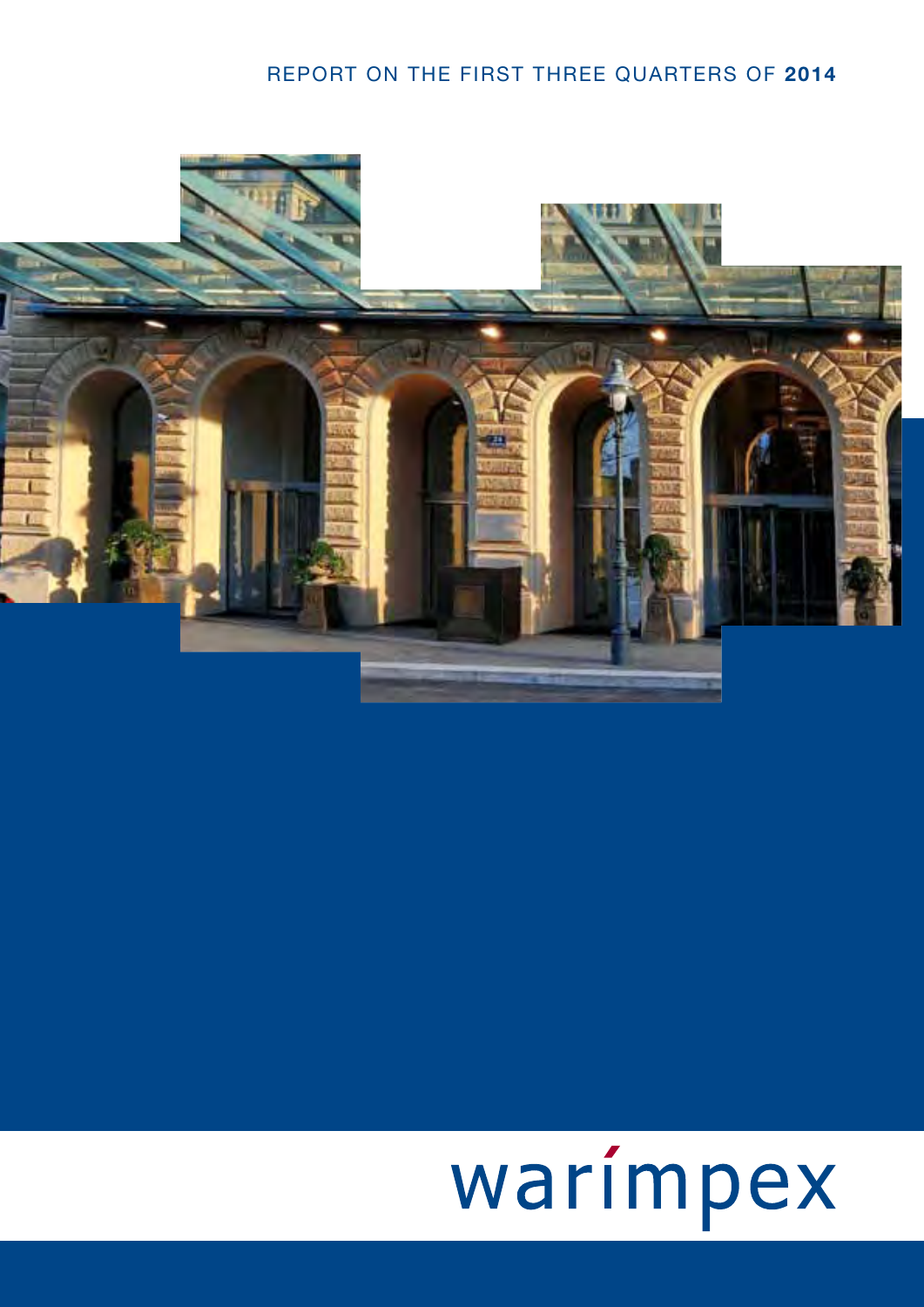# REPORT ON THE FIRST THREE QUARTERS OF **2014**



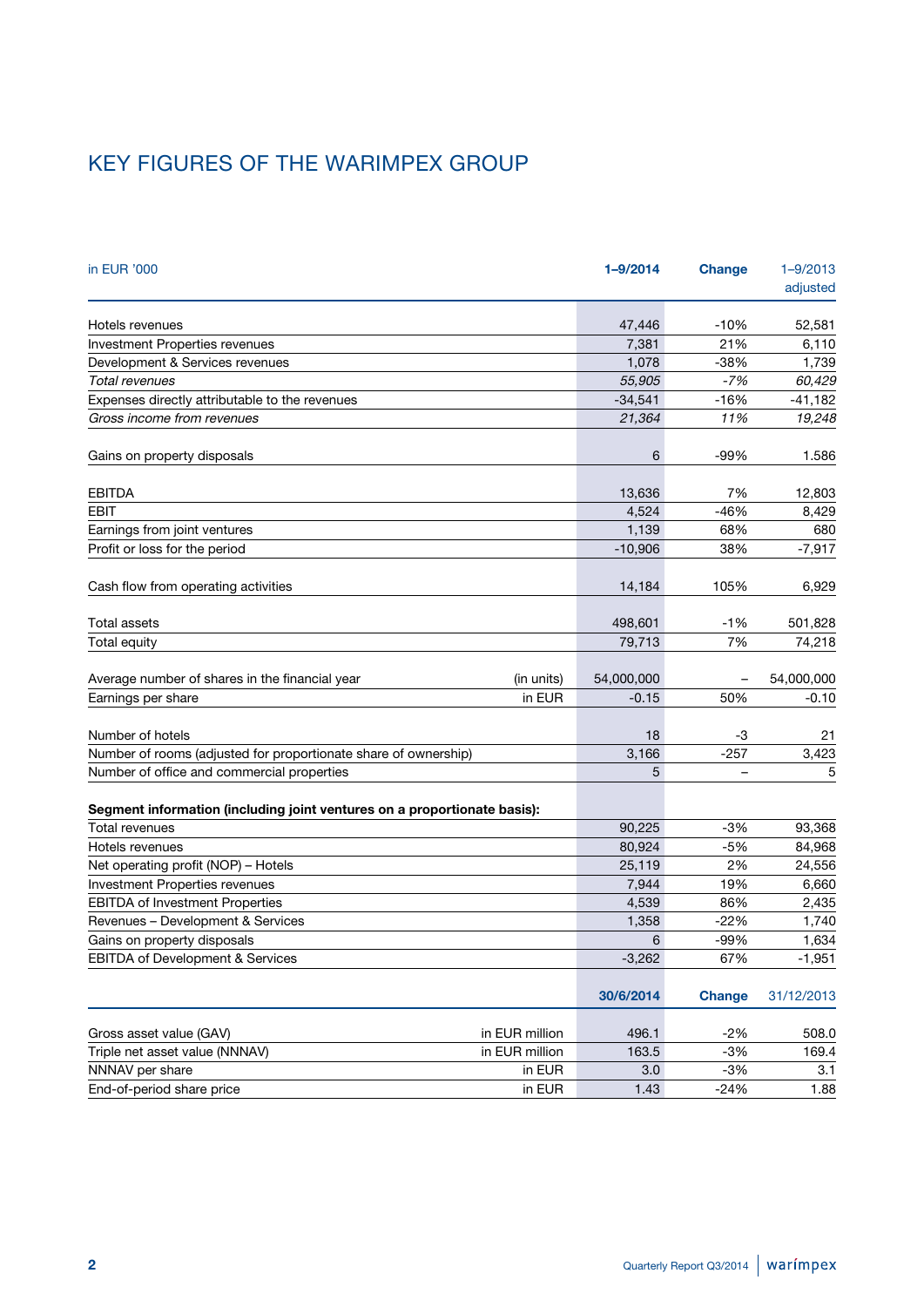# KEY FIGURES OF THE WARIMPEX GROUP

| in EUR '000                                                              |                | 1-9/2014   | <b>Change</b> | $1 - 9/2013$<br>adjusted |
|--------------------------------------------------------------------------|----------------|------------|---------------|--------------------------|
| Hotels revenues                                                          |                | 47,446     | $-10%$        | 52,581                   |
| Investment Properties revenues                                           |                | 7,381      | 21%           | 6,110                    |
| Development & Services revenues                                          |                | 1,078      | $-38%$        | 1,739                    |
| Total revenues                                                           |                | 55,905     | $-7%$         | 60,429                   |
| Expenses directly attributable to the revenues                           |                | $-34,541$  | $-16%$        | $-41,182$                |
| Gross income from revenues                                               |                | 21,364     | 11%           | 19,248                   |
| Gains on property disposals                                              |                | 6          | $-99%$        | 1.586                    |
| <b>EBITDA</b>                                                            |                | 13,636     | 7%            | 12,803                   |
| <b>EBIT</b>                                                              |                | 4,524      | $-46%$        | 8,429                    |
| Earnings from joint ventures                                             |                | 1,139      | 68%           | 680                      |
| Profit or loss for the period                                            |                | $-10,906$  | 38%           | $-7,917$                 |
| Cash flow from operating activities                                      |                | 14,184     | 105%          | 6,929                    |
| Total assets                                                             |                | 498,601    | $-1%$         | 501,828                  |
| Total equity                                                             |                | 79,713     | 7%            | 74,218                   |
| Average number of shares in the financial year                           | (in units)     | 54,000,000 |               | 54,000,000               |
| Earnings per share                                                       | in EUR         | $-0.15$    | 50%           | $-0.10$                  |
| Number of hotels                                                         |                | 18         | -3            | 21                       |
| Number of rooms (adjusted for proportionate share of ownership)          |                | 3,166      | $-257$        | 3,423                    |
| Number of office and commercial properties                               |                | 5          |               | 5                        |
| Segment information (including joint ventures on a proportionate basis): |                |            |               |                          |
| Total revenues                                                           |                | 90,225     | $-3%$         | 93,368                   |
| Hotels revenues                                                          |                | 80,924     | $-5%$         | 84,968                   |
| Net operating profit (NOP) - Hotels                                      |                | 25,119     | 2%            | 24,556                   |
| Investment Properties revenues                                           |                | 7,944      | 19%           | 6,660                    |
| <b>EBITDA of Investment Properties</b>                                   |                | 4,539      | 86%           | 2,435                    |
| Revenues - Development & Services                                        |                | 1,358      | $-22%$        | 1,740                    |
| Gains on property disposals                                              |                | 6          | -99%          | 1,634                    |
| EBITDA of Development & Services                                         |                | $-3,262$   | 67%           | $-1,951$                 |
|                                                                          |                | 30/6/2014  | <b>Change</b> | 31/12/2013               |
| Gross asset value (GAV)                                                  | in EUR million | 496.1      | $-2%$         | 508.0                    |
| Triple net asset value (NNNAV)                                           | in EUR million | 163.5      | $-3%$         | 169.4                    |
| NNNAV per share                                                          | in EUR         | 3.0        | $-3%$         | 3.1                      |
| End-of-period share price                                                | in EUR         | 1.43       | $-24%$        | 1.88                     |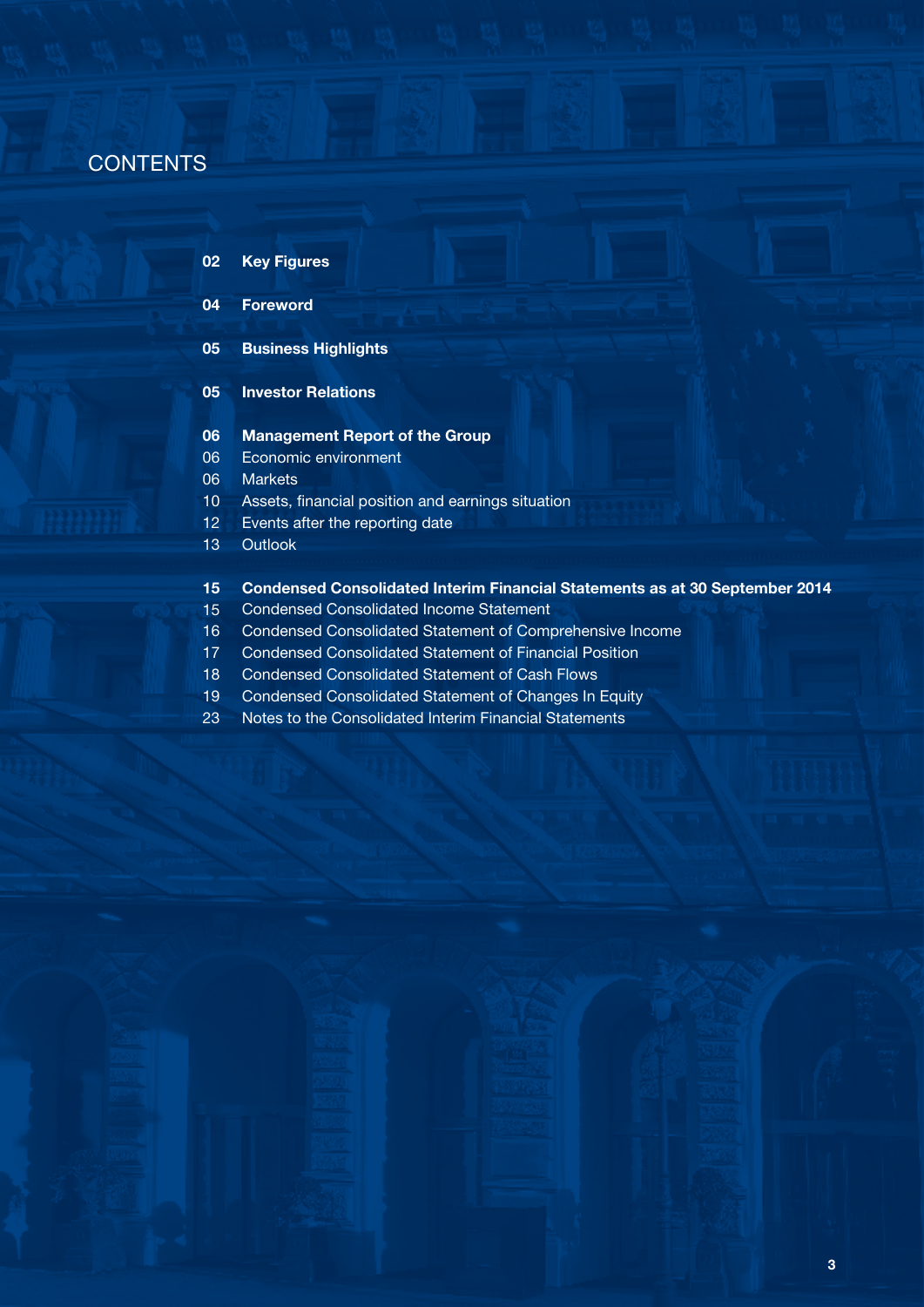# **CONTENTS**

**02 Key Figures**

#### **04 Foreword**

**05 Business Highlights**

#### **05 Investor Relations**

- **06 Management Report of the Group**
- 06 Economic environment
- 06 **Markets**
- 10 Assets, financial position and earnings situation
- 12 Events after the reporting date
- 13 **Outlook**

#### **15 Condensed Consolidated Interim Financial Statements as at 30 September 2014**

- 15 Condensed Consolidated Income Statement
- 16 Condensed Consolidated Statement of Comprehensive Income
- 17 Condensed Consolidated Statement of Financial Position
- 18 Condensed Consolidated Statement of Cash Flows
- 19 Condensed Consolidated Statement of Changes In Equity
- 23 Notes to the Consolidated Interim Financial Statements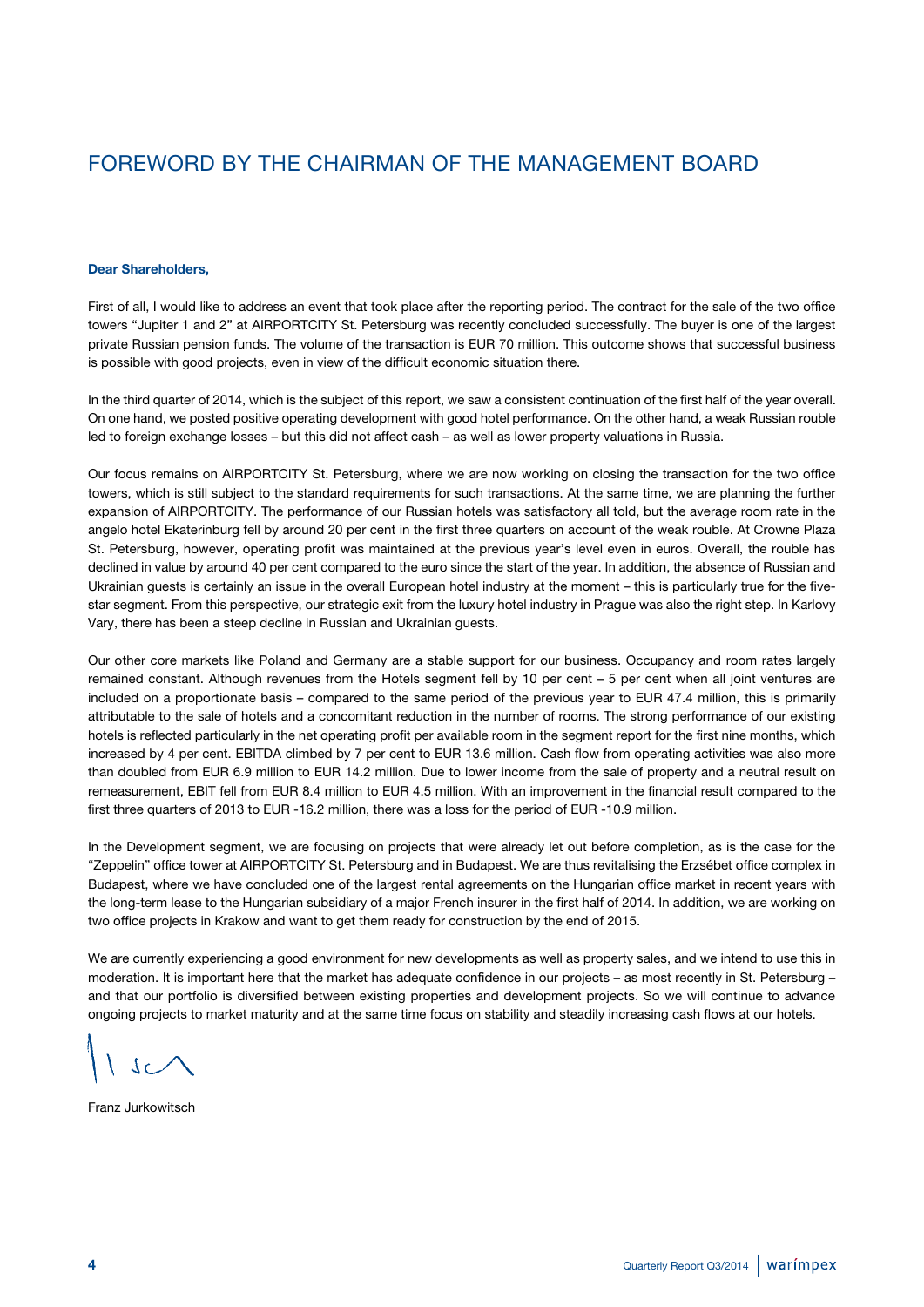# FOREWORD BY THE CHAIRMAN OF THE MANAGEMENT BOARD

#### **Dear Shareholders,**

First of all, I would like to address an event that took place after the reporting period. The contract for the sale of the two office towers "Jupiter 1 and 2" at AIRPORTCITY St. Petersburg was recently concluded successfully. The buyer is one of the largest private Russian pension funds. The volume of the transaction is EUR 70 million. This outcome shows that successful business is possible with good projects, even in view of the difficult economic situation there.

In the third quarter of 2014, which is the subject of this report, we saw a consistent continuation of the first half of the year overall. On one hand, we posted positive operating development with good hotel performance. On the other hand, a weak Russian rouble led to foreign exchange losses – but this did not affect cash – as well as lower property valuations in Russia.

Our focus remains on AIRPORTCITY St. Petersburg, where we are now working on closing the transaction for the two office towers, which is still subject to the standard requirements for such transactions. At the same time, we are planning the further expansion of AIRPORTCITY. The performance of our Russian hotels was satisfactory all told, but the average room rate in the angelo hotel Ekaterinburg fell by around 20 per cent in the first three quarters on account of the weak rouble. At Crowne Plaza St. Petersburg, however, operating profit was maintained at the previous year's level even in euros. Overall, the rouble has declined in value by around 40 per cent compared to the euro since the start of the year. In addition, the absence of Russian and Ukrainian guests is certainly an issue in the overall European hotel industry at the moment – this is particularly true for the fivestar segment. From this perspective, our strategic exit from the luxury hotel industry in Prague was also the right step. In Karlovy Vary, there has been a steep decline in Russian and Ukrainian guests.

Our other core markets like Poland and Germany are a stable support for our business. Occupancy and room rates largely remained constant. Although revenues from the Hotels segment fell by 10 per cent – 5 per cent when all joint ventures are included on a proportionate basis – compared to the same period of the previous year to EUR 47.4 million, this is primarily attributable to the sale of hotels and a concomitant reduction in the number of rooms. The strong performance of our existing hotels is reflected particularly in the net operating profit per available room in the segment report for the first nine months, which increased by 4 per cent. EBITDA climbed by 7 per cent to EUR 13.6 million. Cash flow from operating activities was also more than doubled from EUR 6.9 million to EUR 14.2 million. Due to lower income from the sale of property and a neutral result on remeasurement, EBIT fell from EUR 8.4 million to EUR 4.5 million. With an improvement in the financial result compared to the first three quarters of 2013 to EUR -16.2 million, there was a loss for the period of EUR -10.9 million.

In the Development segment, we are focusing on projects that were already let out before completion, as is the case for the "Zeppelin" office tower at AIRPORTCITY St. Petersburg and in Budapest. We are thus revitalising the Erzsébet office complex in Budapest, where we have concluded one of the largest rental agreements on the Hungarian office market in recent years with the long-term lease to the Hungarian subsidiary of a major French insurer in the first half of 2014. In addition, we are working on two office projects in Krakow and want to get them ready for construction by the end of 2015.

We are currently experiencing a good environment for new developments as well as property sales, and we intend to use this in moderation. It is important here that the market has adequate confidence in our projects – as most recently in St. Petersburg – and that our portfolio is diversified between existing properties and development projects. So we will continue to advance ongoing projects to market maturity and at the same time focus on stability and steadily increasing cash flows at our hotels.

 $J_{C}$ 

Franz Jurkowitsch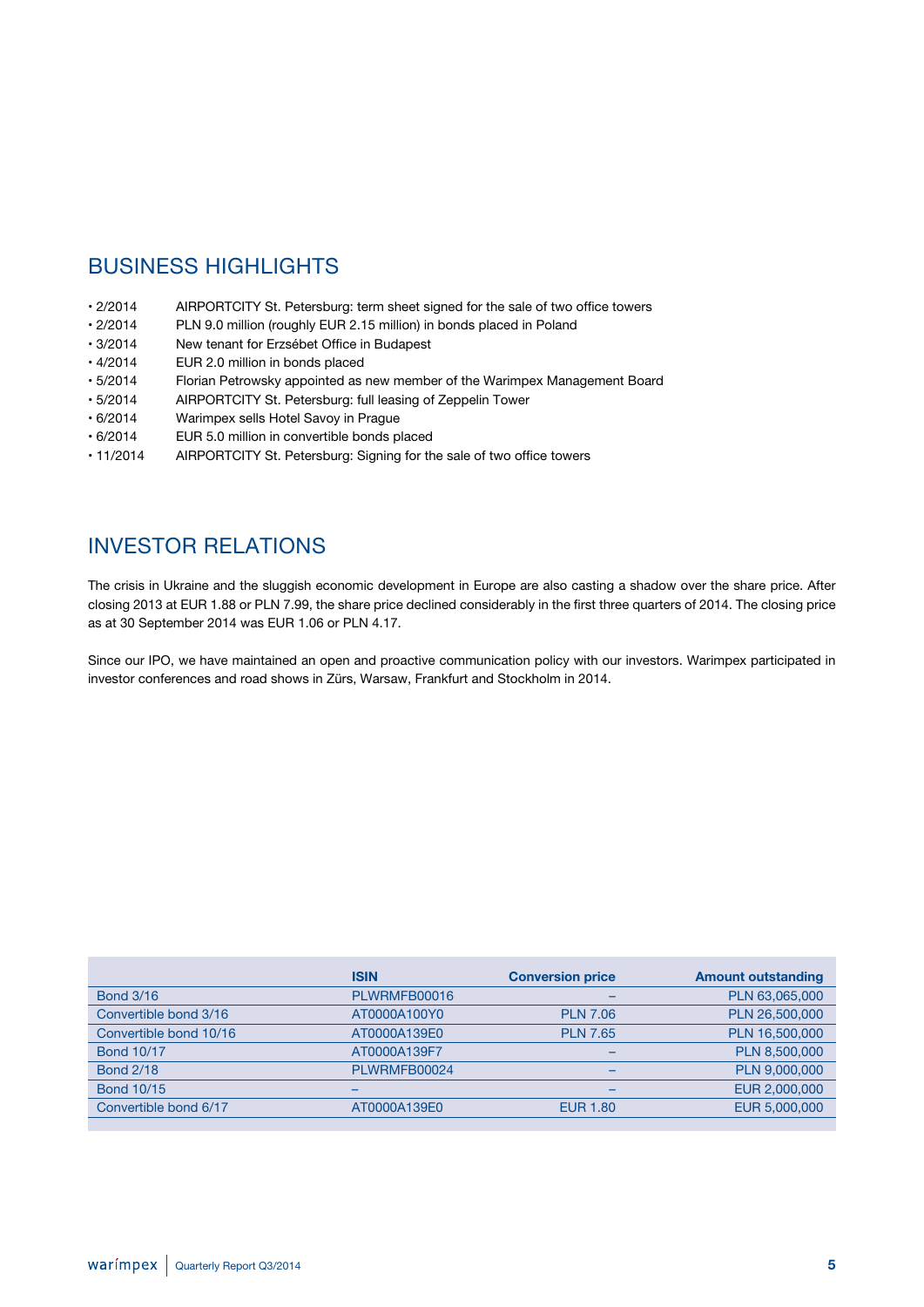# **BUSINESS HIGHLIGHTS**

- 2/2014 AIRPORTCITY St. Petersburg: term sheet signed for the sale of two office towers
- 2/2014 PLN 9.0 million (roughly EUR 2.15 million) in bonds placed in Poland
- 3/2014 New tenant for Erzsébet Office in Budapest
- 4/2014 EUR 2.0 million in bonds placed<br>• 5/2014 Florian Petrowsky appointed as
- Florian Petrowsky appointed as new member of the Warimpex Management Board
- 5/2014 AIRPORTCITY St. Petersburg: full leasing of Zeppelin Tower
- 6/2014 Warimpex sells Hotel Savoy in Prague
- 6/2014 EUR 5.0 million in convertible bonds placed
- 11/2014 AIRPORTCITY St. Petersburg: Signing for the sale of two office towers

# INVESTOR RELATIONS

The crisis in Ukraine and the sluggish economic development in Europe are also casting a shadow over the share price. After closing 2013 at EUR 1.88 or PLN 7.99, the share price declined considerably in the first three quarters of 2014. The closing price as at 30 September 2014 was EUR 1.06 or PLN 4.17.

Since our IPO, we have maintained an open and proactive communication policy with our investors. Warimpex participated in investor conferences and road shows in Zürs, Warsaw, Frankfurt and Stockholm in 2014.

|                        | <b>ISIN</b>  | <b>Conversion price</b>  | <b>Amount outstanding</b> |
|------------------------|--------------|--------------------------|---------------------------|
| <b>Bond 3/16</b>       | PLWRMFB00016 | $\overline{\phantom{0}}$ | PLN 63,065,000            |
| Convertible bond 3/16  | AT0000A100Y0 | <b>PLN 7.06</b>          | PLN 26,500,000            |
| Convertible bond 10/16 | AT0000A139E0 | <b>PLN 7.65</b>          | PLN 16,500,000            |
| <b>Bond 10/17</b>      | AT0000A139F7 |                          | PLN 8,500,000             |
| <b>Bond 2/18</b>       | PLWRMFB00024 | $\overline{\phantom{0}}$ | PLN 9,000,000             |
| <b>Bond 10/15</b>      |              |                          | EUR 2,000,000             |
| Convertible bond 6/17  | AT0000A139E0 | <b>EUR 1.80</b>          | EUR 5,000,000             |
|                        |              |                          |                           |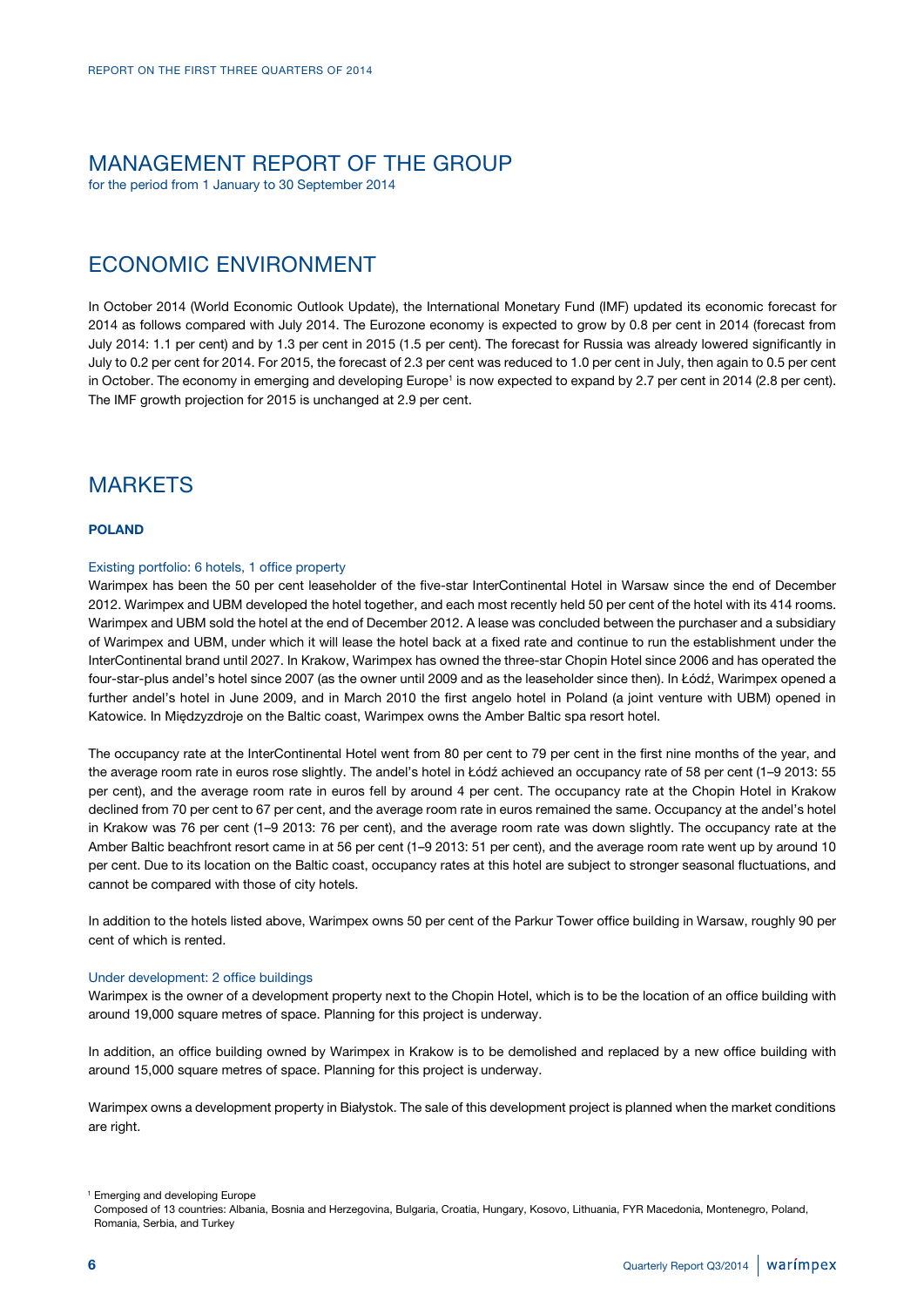# MANAGEMENT REPORT OF THE GROUP

for the period from 1 January to 30 September 2014

# ECONOMIC ENVIRONMENT

In October 2014 (World Economic Outlook Update), the International Monetary Fund (IMF) updated its economic forecast for 2014 as follows compared with July 2014. The Eurozone economy is expected to grow by 0.8 per cent in 2014 (forecast from July 2014: 1.1 per cent) and by 1.3 per cent in 2015 (1.5 per cent). The forecast for Russia was already lowered significantly in July to 0.2 per cent for 2014. For 2015, the forecast of 2.3 per cent was reduced to 1.0 per cent in July, then again to 0.5 per cent in October. The economy in emerging and developing Europe<sup>1</sup> is now expected to expand by 2.7 per cent in 2014 (2.8 per cent). The IMF growth projection for 2015 is unchanged at 2.9 per cent.

# **MARKETS**

### **POLAND**

### Existing portfolio: 6 hotels, 1 office property

Warimpex has been the 50 per cent leaseholder of the five-star InterContinental Hotel in Warsaw since the end of December 2012. Warimpex and UBM developed the hotel together, and each most recently held 50 per cent of the hotel with its 414 rooms. Warimpex and UBM sold the hotel at the end of December 2012. A lease was concluded between the purchaser and a subsidiary of Warimpex and UBM, under which it will lease the hotel back at a fixed rate and continue to run the establishment under the InterContinental brand until 2027. In Krakow, Warimpex has owned the three-star Chopin Hotel since 2006 and has operated the four-star-plus andel's hotel since 2007 (as the owner until 2009 and as the leaseholder since then). In Łódź, Warimpex opened a further andel's hotel in June 2009, and in March 2010 the first angelo hotel in Poland (a joint venture with UBM) opened in Katowice. In Międzyzdroje on the Baltic coast, Warimpex owns the Amber Baltic spa resort hotel.

The occupancy rate at the InterContinental Hotel went from 80 per cent to 79 per cent in the first nine months of the year, and the average room rate in euros rose slightly. The andel's hotel in Łódź achieved an occupancy rate of 58 per cent (1–9 2013: 55 per cent), and the average room rate in euros fell by around 4 per cent. The occupancy rate at the Chopin Hotel in Krakow declined from 70 per cent to 67 per cent, and the average room rate in euros remained the same. Occupancy at the andel's hotel in Krakow was 76 per cent (1–9 2013: 76 per cent), and the average room rate was down slightly. The occupancy rate at the Amber Baltic beachfront resort came in at 56 per cent (1–9 2013: 51 per cent), and the average room rate went up by around 10 per cent. Due to its location on the Baltic coast, occupancy rates at this hotel are subject to stronger seasonal fluctuations, and cannot be compared with those of city hotels.

In addition to the hotels listed above, Warimpex owns 50 per cent of the Parkur Tower office building in Warsaw, roughly 90 per cent of which is rented.

#### Under development: 2 office buildings

Warimpex is the owner of a development property next to the Chopin Hotel, which is to be the location of an office building with around 19,000 square metres of space. Planning for this project is underway.

In addition, an office building owned by Warimpex in Krakow is to be demolished and replaced by a new office building with around 15,000 square metres of space. Planning for this project is underway.

Warimpex owns a development property in Białystok. The sale of this development project is planned when the market conditions are right.

<sup>&</sup>lt;sup>1</sup> Emerging and developing Europe

Composed of 13 countries: Albania, Bosnia and Herzegovina, Bulgaria, Croatia, Hungary, Kosovo, Lithuania, FYR Macedonia, Montenegro, Poland, Romania, Serbia, and Turkey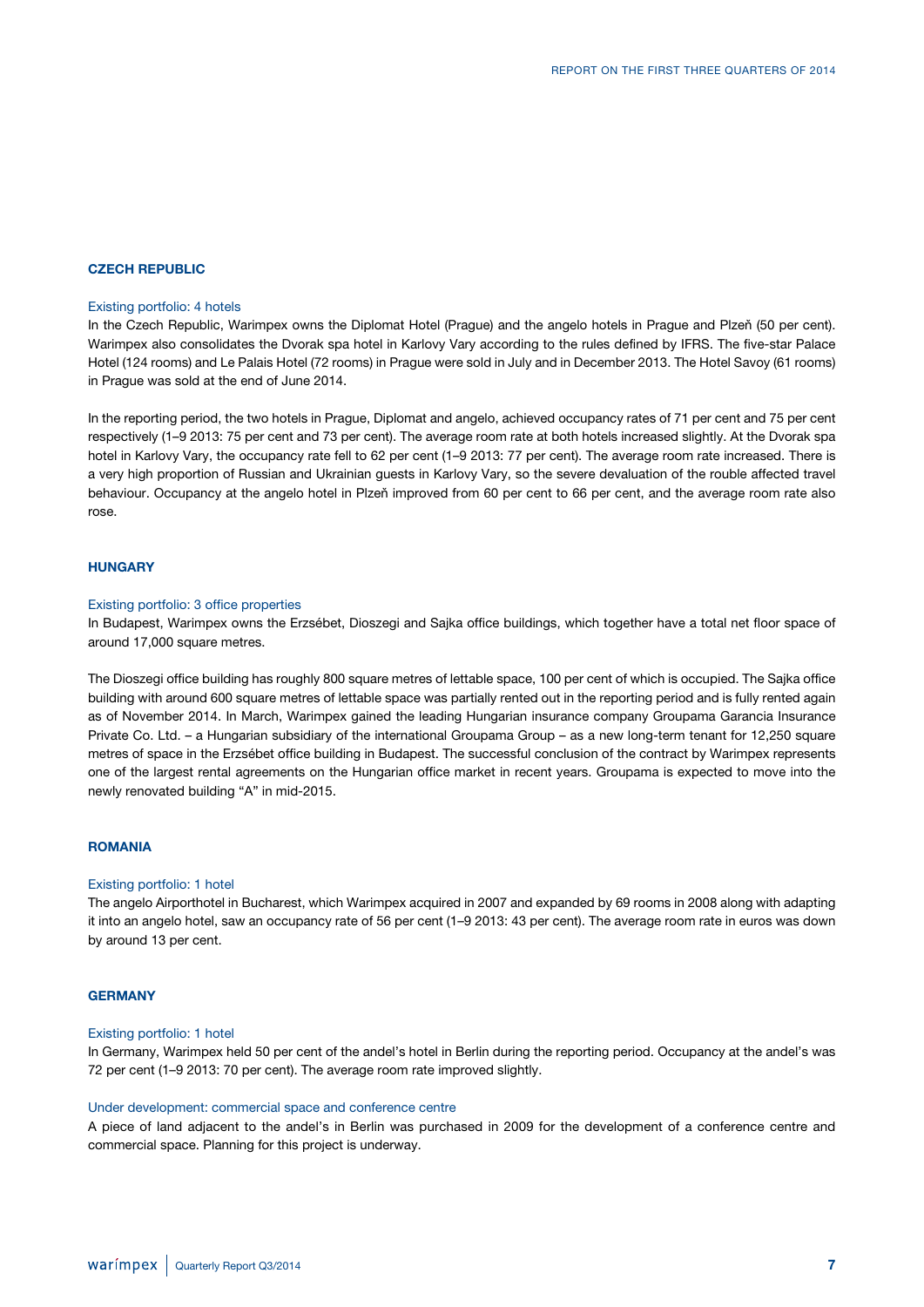#### **CZECH REPUBLIC**

#### Existing portfolio: 4 hotels

In the Czech Republic, Warimpex owns the Diplomat Hotel (Prague) and the angelo hotels in Prague and Plzeň (50 per cent). Warimpex also consolidates the Dvorak spa hotel in Karlovy Vary according to the rules defined by IFRS. The five-star Palace Hotel (124 rooms) and Le Palais Hotel (72 rooms) in Prague were sold in July and in December 2013. The Hotel Savoy (61 rooms) in Prague was sold at the end of June 2014.

In the reporting period, the two hotels in Prague, Diplomat and angelo, achieved occupancy rates of 71 per cent and 75 per cent respectively (1–9 2013: 75 per cent and 73 per cent). The average room rate at both hotels increased slightly. At the Dvorak spa hotel in Karlovy Vary, the occupancy rate fell to 62 per cent (1–9 2013: 77 per cent). The average room rate increased. There is a very high proportion of Russian and Ukrainian guests in Karlovy Vary, so the severe devaluation of the rouble affected travel behaviour. Occupancy at the angelo hotel in Plzeň improved from 60 per cent to 66 per cent, and the average room rate also rose.

#### **HUNGARY**

#### Existing portfolio: 3 office properties

In Budapest, Warimpex owns the Erzsébet, Dioszegi and Sajka office buildings, which together have a total net floor space of around 17,000 square metres.

The Dioszegi office building has roughly 800 square metres of lettable space, 100 per cent of which is occupied. The Sajka office building with around 600 square metres of lettable space was partially rented out in the reporting period and is fully rented again as of November 2014. In March, Warimpex gained the leading Hungarian insurance company Groupama Garancia Insurance Private Co. Ltd. – a Hungarian subsidiary of the international Groupama Group – as a new long-term tenant for 12,250 square metres of space in the Erzsébet office building in Budapest. The successful conclusion of the contract by Warimpex represents one of the largest rental agreements on the Hungarian office market in recent years. Groupama is expected to move into the newly renovated building "A" in mid-2015.

### **ROMANIA**

#### Existing portfolio: 1 hotel

The angelo Airporthotel in Bucharest, which Warimpex acquired in 2007 and expanded by 69 rooms in 2008 along with adapting it into an angelo hotel, saw an occupancy rate of 56 per cent (1–9 2013: 43 per cent). The average room rate in euros was down by around 13 per cent.

### **GERMANY**

#### Existing portfolio: 1 hotel

In Germany, Warimpex held 50 per cent of the andel's hotel in Berlin during the reporting period. Occupancy at the andel's was 72 per cent (1–9 2013: 70 per cent). The average room rate improved slightly.

#### Under development: commercial space and conference centre

A piece of land adjacent to the andel's in Berlin was purchased in 2009 for the development of a conference centre and commercial space. Planning for this project is underway.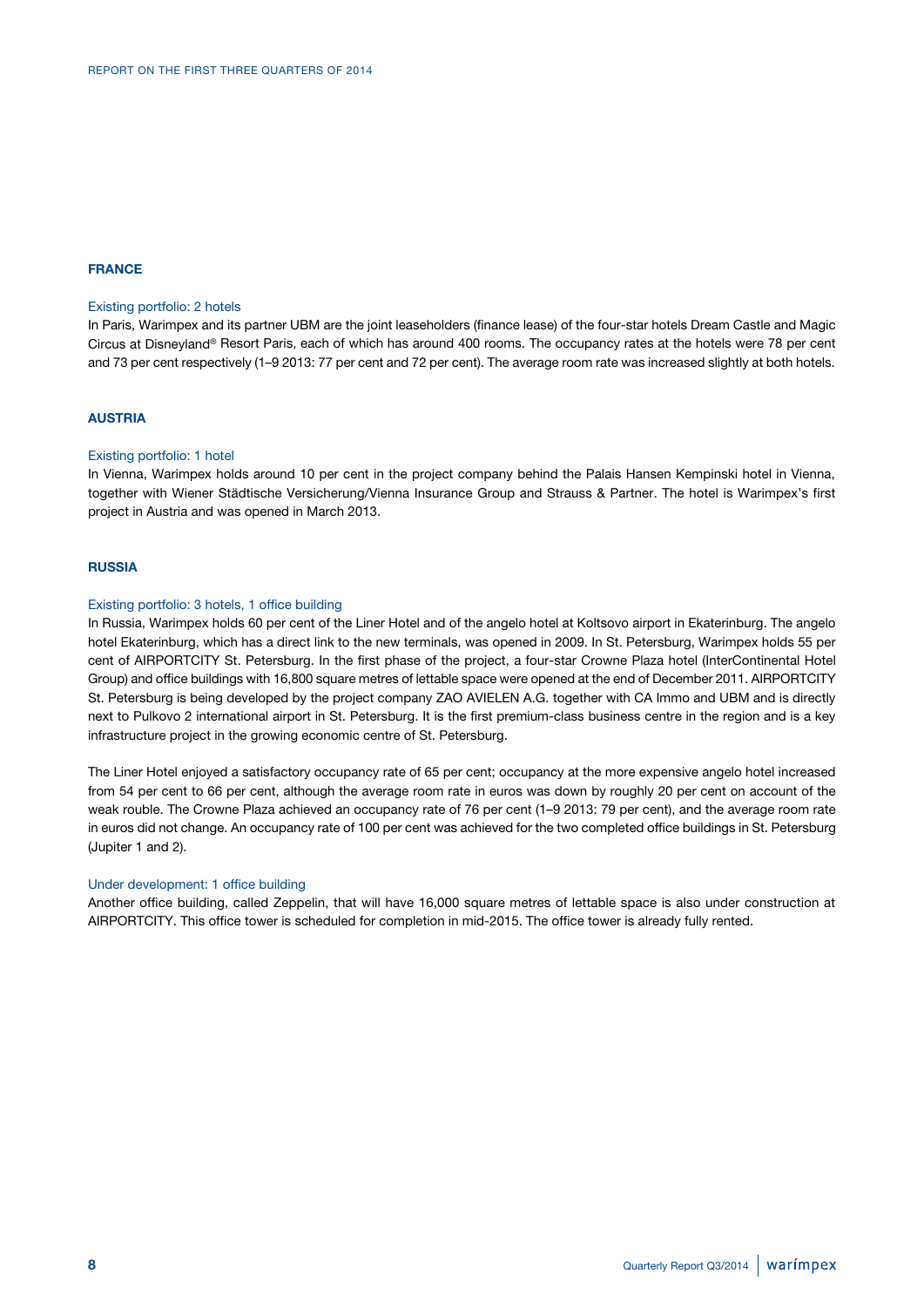### **FRANCE**

#### Existing portfolio: 2 hotels

In Paris, Warimpex and its partner UBM are the joint leaseholders (finance lease) of the four-star hotels Dream Castle and Magic Circus at Disneyland® Resort Paris, each of which has around 400 rooms. The occupancy rates at the hotels were 78 per cent and 73 per cent respectively (1–9 2013: 77 per cent and 72 per cent). The average room rate was increased slightly at both hotels.

#### **AUSTRIA**

#### Existing portfolio: 1 hotel

In Vienna, Warimpex holds around 10 per cent in the project company behind the Palais Hansen Kempinski hotel in Vienna, together with Wiener Städtische Versicherung/Vienna Insurance Group and Strauss & Partner. The hotel is Warimpex's first project in Austria and was opened in March 2013.

### **RUSSIA**

### Existing portfolio: 3 hotels, 1 office building

In Russia, Warimpex holds 60 per cent of the Liner Hotel and of the angelo hotel at Koltsovo airport in Ekaterinburg. The angelo hotel Ekaterinburg, which has a direct link to the new terminals, was opened in 2009. In St. Petersburg, Warimpex holds 55 per cent of AIRPORTCITY St. Petersburg. In the first phase of the project, a four-star Crowne Plaza hotel (InterContinental Hotel Group) and office buildings with 16,800 square metres of lettable space were opened at the end of December 2011. AIRPORTCITY St. Petersburg is being developed by the project company ZAO AVIELEN A.G. together with CA Immo and UBM and is directly next to Pulkovo 2 international airport in St. Petersburg. It is the first premium-class business centre in the region and is a key infrastructure project in the growing economic centre of St. Petersburg.

The Liner Hotel enjoyed a satisfactory occupancy rate of 65 per cent; occupancy at the more expensive angelo hotel increased from 54 per cent to 66 per cent, although the average room rate in euros was down by roughly 20 per cent on account of the weak rouble. The Crowne Plaza achieved an occupancy rate of 76 per cent (1–9 2013: 79 per cent), and the average room rate in euros did not change. An occupancy rate of 100 per cent was achieved for the two completed office buildings in St. Petersburg (Jupiter 1 and 2).

#### Under development: 1 office building

Another office building, called Zeppelin, that will have 16,000 square metres of lettable space is also under construction at AIRPORTCITY. This office tower is scheduled for completion in mid-2015. The office tower is already fully rented.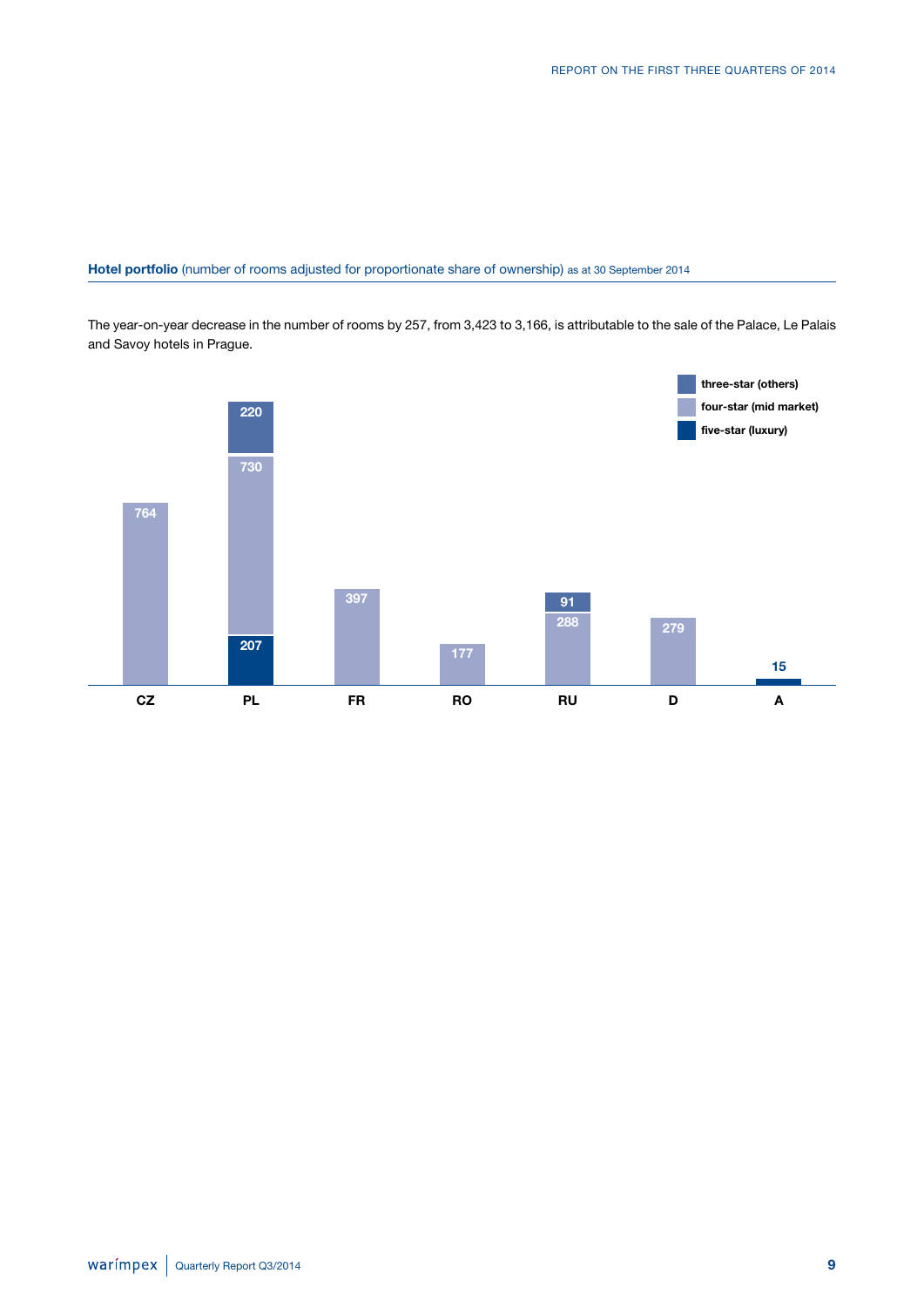### **Hotel portfolio** (number of rooms adjusted for proportionate share of ownership) as at 30 September 2014

The year-on-year decrease in the number of rooms by 257, from 3,423 to 3,166, is attributable to the sale of the Palace, Le Palais and Savoy hotels in Prague.

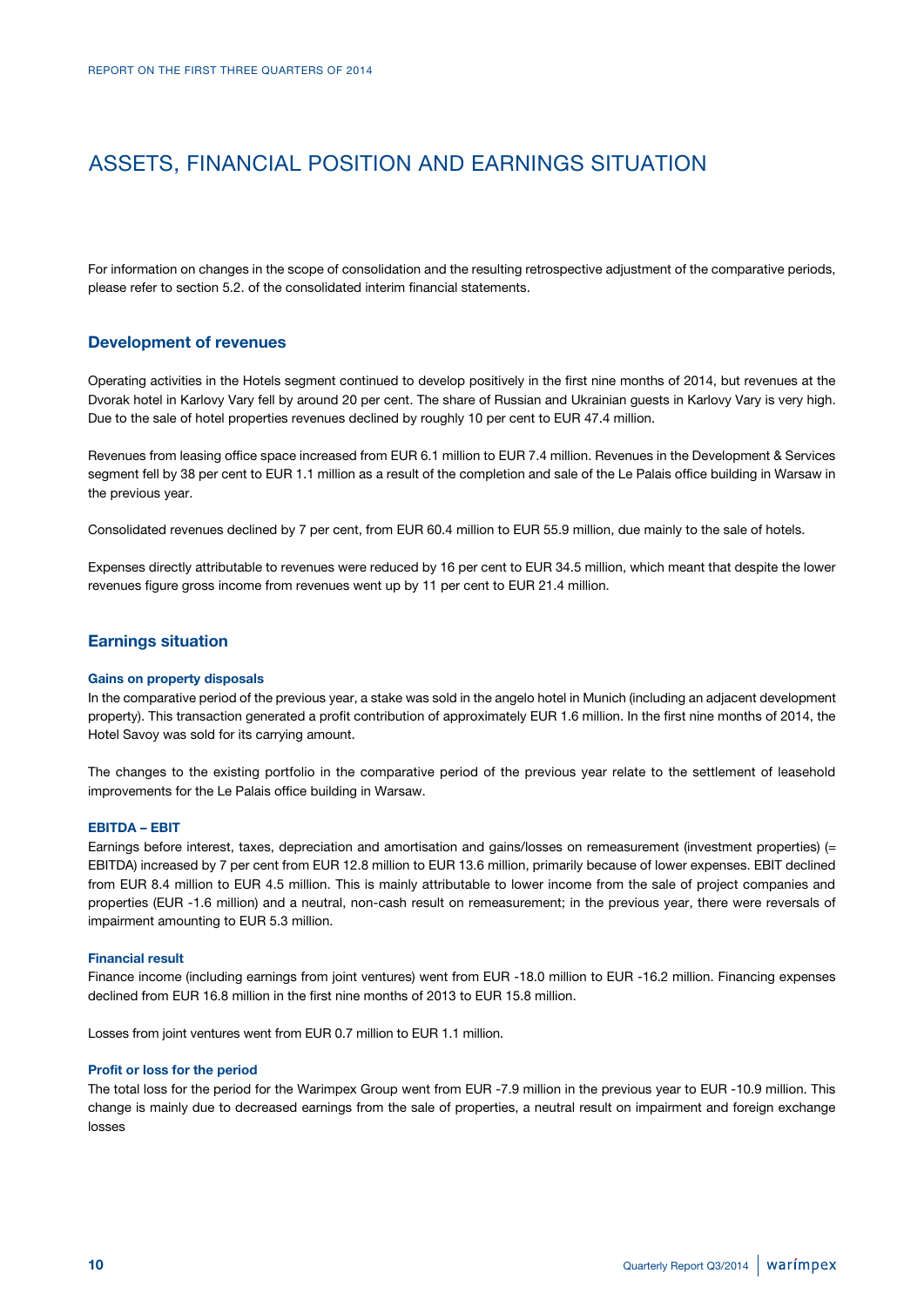# ASSETS, FINANCIAL POSITION AND EARNINGS SITUATION

For information on changes in the scope of consolidation and the resulting retrospective adjustment of the comparative periods, please refer to section 5.2. of the consolidated interim financial statements.

### **Development of revenues**

Operating activities in the Hotels segment continued to develop positively in the first nine months of 2014, but revenues at the Dvorak hotel in Karlovy Vary fell by around 20 per cent. The share of Russian and Ukrainian guests in Karlovy Vary is very high. Due to the sale of hotel properties revenues declined by roughly 10 per cent to EUR 47.4 million.

Revenues from leasing office space increased from EUR 6.1 million to EUR 7.4 million. Revenues in the Development & Services segment fell by 38 per cent to EUR 1.1 million as a result of the completion and sale of the Le Palais office building in Warsaw in the previous year.

Consolidated revenues declined by 7 per cent, from EUR 60.4 million to EUR 55.9 million, due mainly to the sale of hotels.

Expenses directly attributable to revenues were reduced by 16 per cent to EUR 34.5 million, which meant that despite the lower revenues figure gross income from revenues went up by 11 per cent to EUR 21.4 million.

### **Earnings situation**

#### **Gains on property disposals**

In the comparative period of the previous year, a stake was sold in the angelo hotel in Munich (including an adjacent development property). This transaction generated a profit contribution of approximately EUR 1.6 million. In the first nine months of 2014, the Hotel Savoy was sold for its carrying amount.

The changes to the existing portfolio in the comparative period of the previous year relate to the settlement of leasehold improvements for the Le Palais office building in Warsaw.

#### **EBITDA – EBIT**

Earnings before interest, taxes, depreciation and amortisation and gains/losses on remeasurement (investment properties) (= EBITDA) increased by 7 per cent from EUR 12.8 million to EUR 13.6 million, primarily because of lower expenses. EBIT declined from EUR 8.4 million to EUR 4.5 million. This is mainly attributable to lower income from the sale of project companies and properties (EUR -1.6 million) and a neutral, non-cash result on remeasurement; in the previous year, there were reversals of impairment amounting to EUR 5.3 million.

#### **Financial result**

Finance income (including earnings from joint ventures) went from EUR -18.0 million to EUR -16.2 million. Financing expenses declined from EUR 16.8 million in the first nine months of 2013 to EUR 15.8 million.

Losses from joint ventures went from EUR 0.7 million to EUR 1.1 million.

#### **Profit or loss for the period**

The total loss for the period for the Warimpex Group went from EUR -7.9 million in the previous year to EUR -10.9 million. This change is mainly due to decreased earnings from the sale of properties, a neutral result on impairment and foreign exchange losses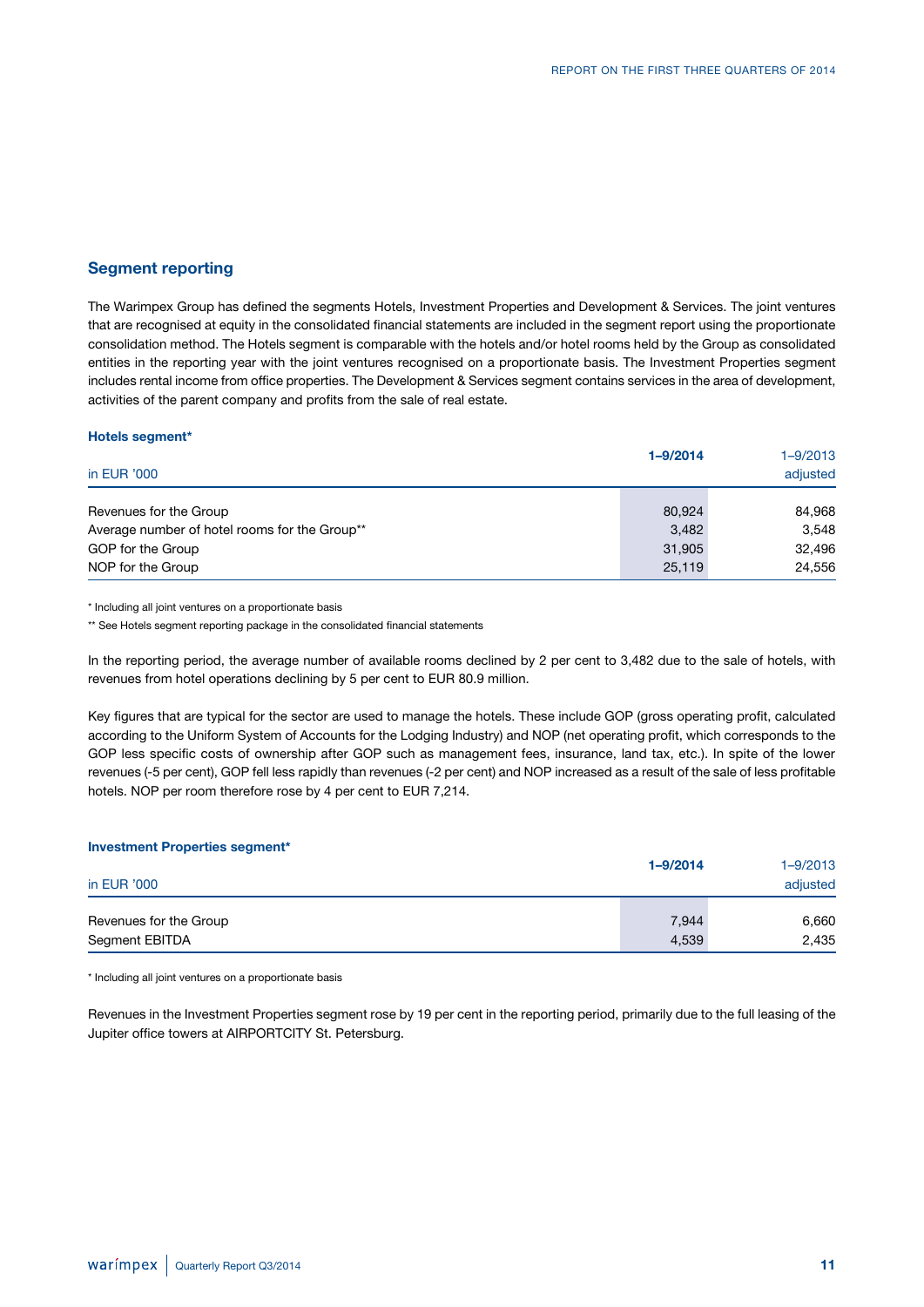### **Segment reporting**

**Hotels segment\***

The Warimpex Group has defined the segments Hotels, Investment Properties and Development & Services. The joint ventures that are recognised at equity in the consolidated financial statements are included in the segment report using the proportionate consolidation method. The Hotels segment is comparable with the hotels and/or hotel rooms held by the Group as consolidated entities in the reporting year with the joint ventures recognised on a proportionate basis. The Investment Properties segment includes rental income from office properties. The Development & Services segment contains services in the area of development, activities of the parent company and profits from the sale of real estate.

| in EUR '000                                                        | $1 - 9/2014$    | $1 - 9/2013$<br>adjusted |
|--------------------------------------------------------------------|-----------------|--------------------------|
| Revenues for the Group                                             | 80,924          | 84,968                   |
| Average number of hotel rooms for the Group**<br>GOP for the Group | 3,482<br>31,905 | 3,548<br>32,496          |
| NOP for the Group                                                  | 25,119          | 24,556                   |

\* Including all joint ventures on a proportionate basis

\*\* See Hotels segment reporting package in the consolidated financial statements

In the reporting period, the average number of available rooms declined by 2 per cent to 3,482 due to the sale of hotels, with revenues from hotel operations declining by 5 per cent to EUR 80.9 million.

Key figures that are typical for the sector are used to manage the hotels. These include GOP (gross operating profit, calculated according to the Uniform System of Accounts for the Lodging Industry) and NOP (net operating profit, which corresponds to the GOP less specific costs of ownership after GOP such as management fees, insurance, land tax, etc.). In spite of the lower revenues (-5 per cent), GOP fell less rapidly than revenues (-2 per cent) and NOP increased as a result of the sale of less profitable hotels. NOP per room therefore rose by 4 per cent to EUR 7,214.

| <b>Investment Properties segment*</b> |              |              |
|---------------------------------------|--------------|--------------|
|                                       | $1 - 9/2014$ | $1 - 9/2013$ |
| in EUR '000                           |              | adjusted     |
| Revenues for the Group                | 7,944        | 6,660        |
| Segment EBITDA                        | 4,539        | 2,435        |

\* Including all joint ventures on a proportionate basis

Revenues in the Investment Properties segment rose by 19 per cent in the reporting period, primarily due to the full leasing of the Jupiter office towers at AIRPORTCITY St. Petersburg.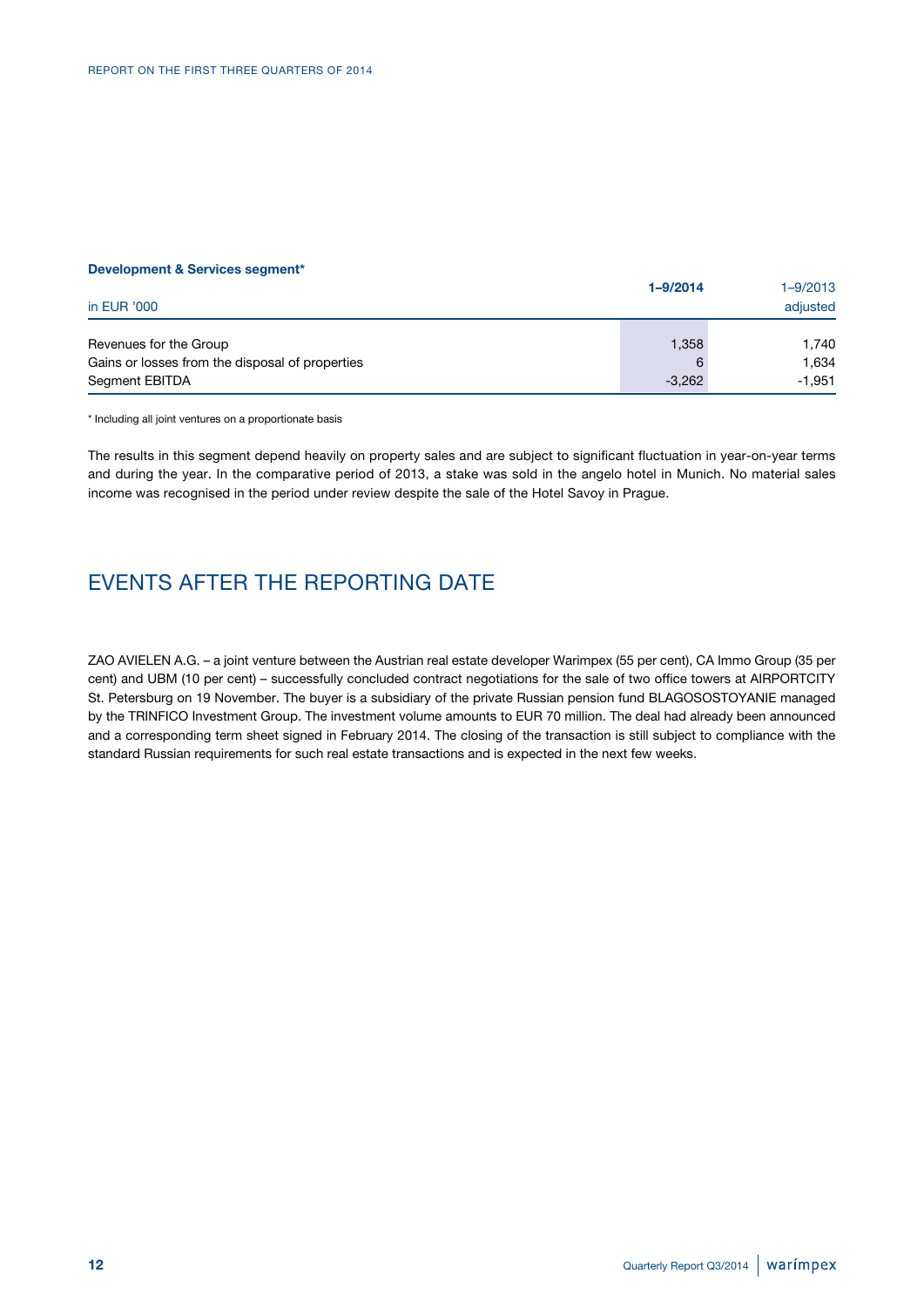#### **Development & Services segment\***

| in EUR '000                                     | $1 - 9/2014$ | $1 - 9/2013$<br>adjusted |
|-------------------------------------------------|--------------|--------------------------|
| Revenues for the Group                          | 1,358        | 1.740                    |
| Gains or losses from the disposal of properties | 6            | 1.634                    |
| Segment EBITDA                                  | $-3.262$     | -1.951                   |

\* Including all joint ventures on a proportionate basis

The results in this segment depend heavily on property sales and are subject to significant fluctuation in year-on-year terms and during the year. In the comparative period of 2013, a stake was sold in the angelo hotel in Munich. No material sales income was recognised in the period under review despite the sale of the Hotel Savoy in Prague.

# EVENTS AFTER THE REPORTING DATE

ZAO AVIELEN A.G. – a joint venture between the Austrian real estate developer Warimpex (55 per cent), CA Immo Group (35 per cent) and UBM (10 per cent) – successfully concluded contract negotiations for the sale of two office towers at AIRPORTCITY St. Petersburg on 19 November. The buyer is a subsidiary of the private Russian pension fund BLAGOSOSTOYANIE managed by the TRINFICO Investment Group. The investment volume amounts to EUR 70 million. The deal had already been announced and a corresponding term sheet signed in February 2014. The closing of the transaction is still subject to compliance with the standard Russian requirements for such real estate transactions and is expected in the next few weeks.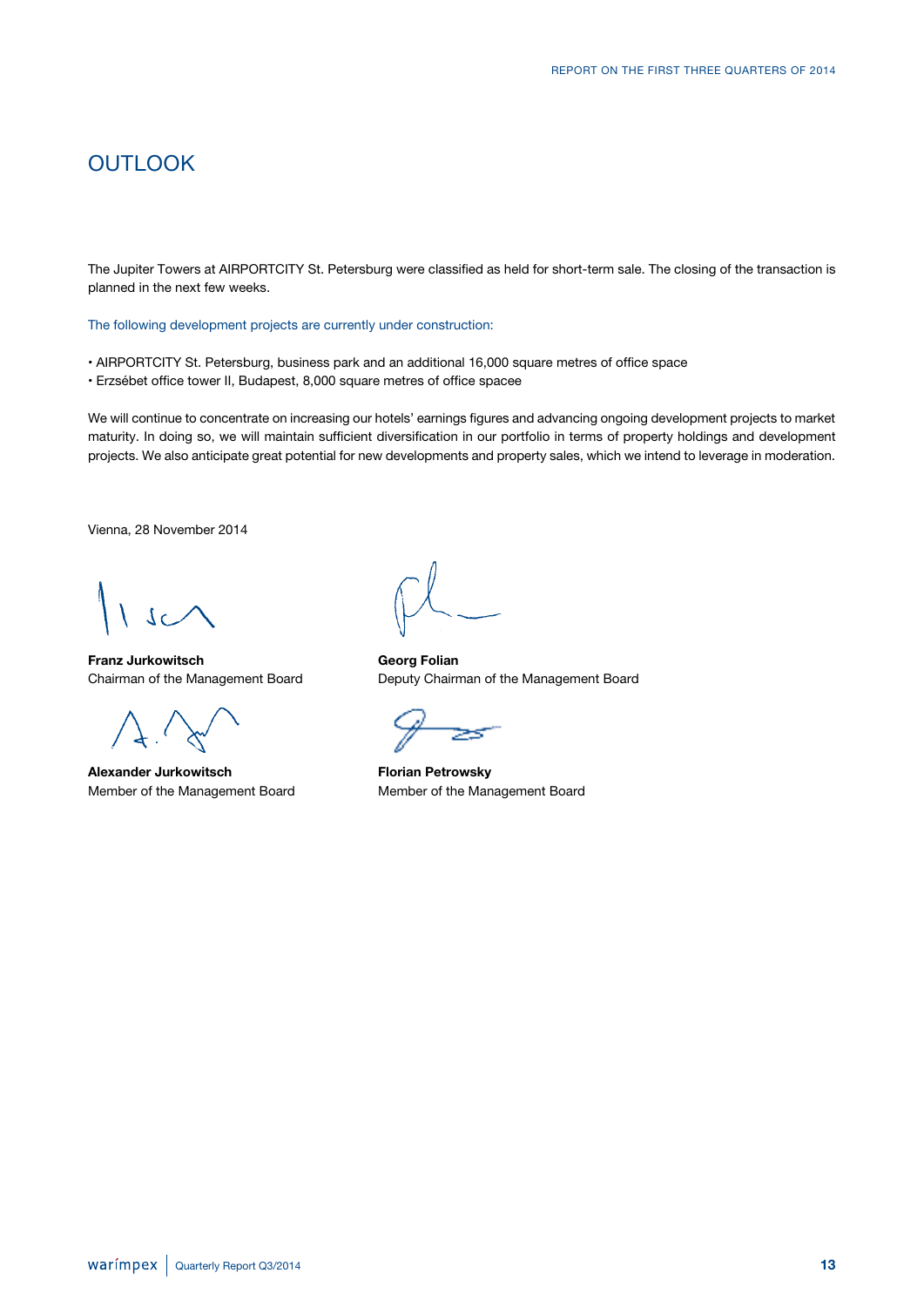## **OUTLOOK**

The Jupiter Towers at AIRPORTCITY St. Petersburg were classified as held for short-term sale. The closing of the transaction is planned in the next few weeks.

The following development projects are currently under construction:

- AIRPORTCITY St. Petersburg, business park and an additional 16,000 square metres of office space
- Erzsébet office tower II, Budapest, 8,000 square metres of office spacee

We will continue to concentrate on increasing our hotels' earnings figures and advancing ongoing development projects to market maturity. In doing so, we will maintain sufficient diversification in our portfolio in terms of property holdings and development projects. We also anticipate great potential for new developments and property sales, which we intend to leverage in moderation.

Vienna, 28 November 2014

**Franz Jurkowitsch Georg Folian**

Alexander Jurkowitsch **Florian Petrowsky** 

Chairman of the Management Board Deputy Chairman of the Management Board

Member of the Management Board Member of the Management Board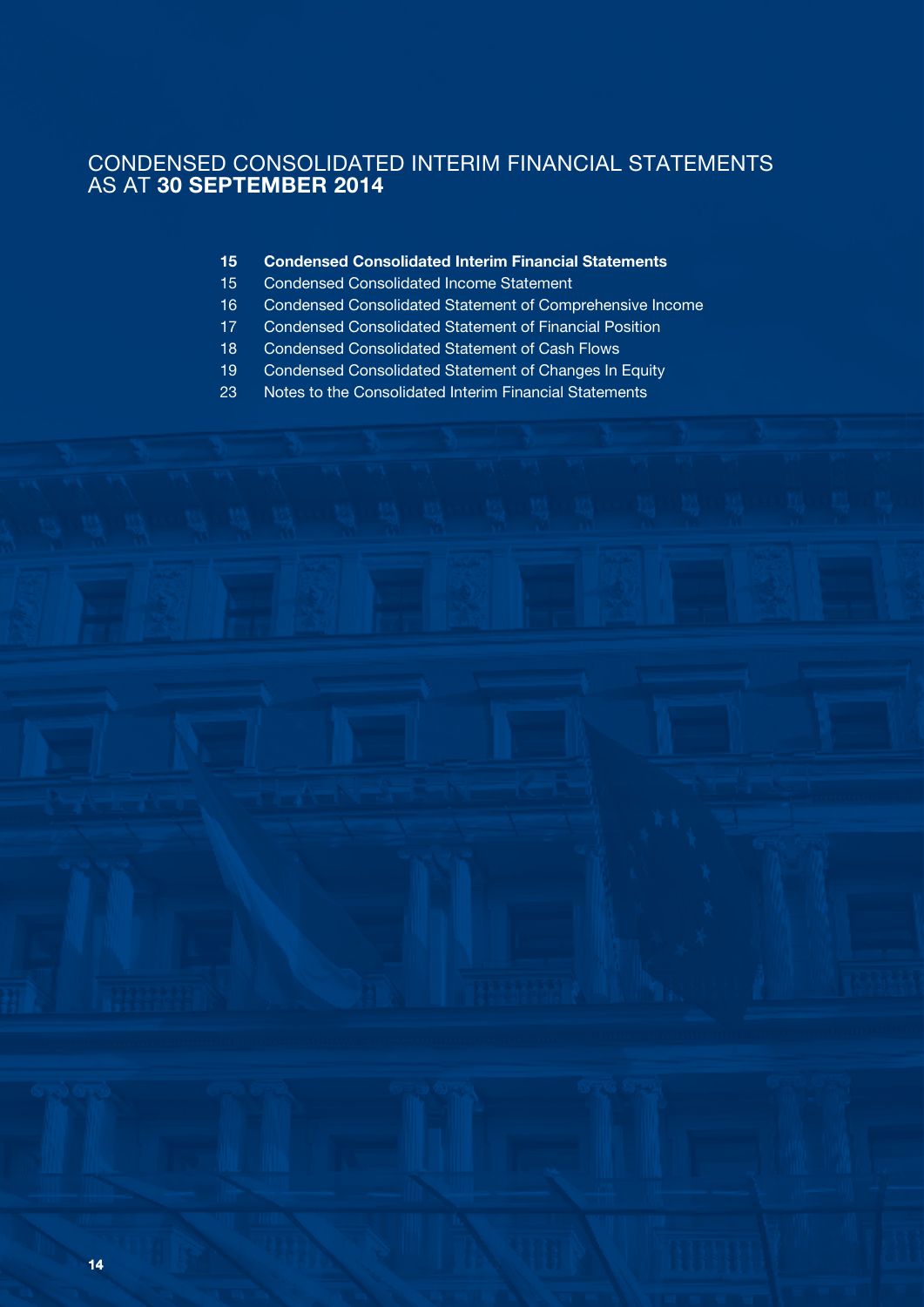## CONDENSED CONSOLIDATED INTERIM FINANCIAL STATEMENTS AS AT **30 SEPTEMBER 2014**

- **Condensed Consolidated Interim Financial Statements**
- Condensed Consolidated Income Statement
- Condensed Consolidated Statement of Comprehensive Income
- Condensed Consolidated Statement of Financial Position
- Condensed Consolidated Statement of Cash Flows
- Condensed Consolidated Statement of Changes In Equity
- Notes to the Consolidated Interim Financial Statements

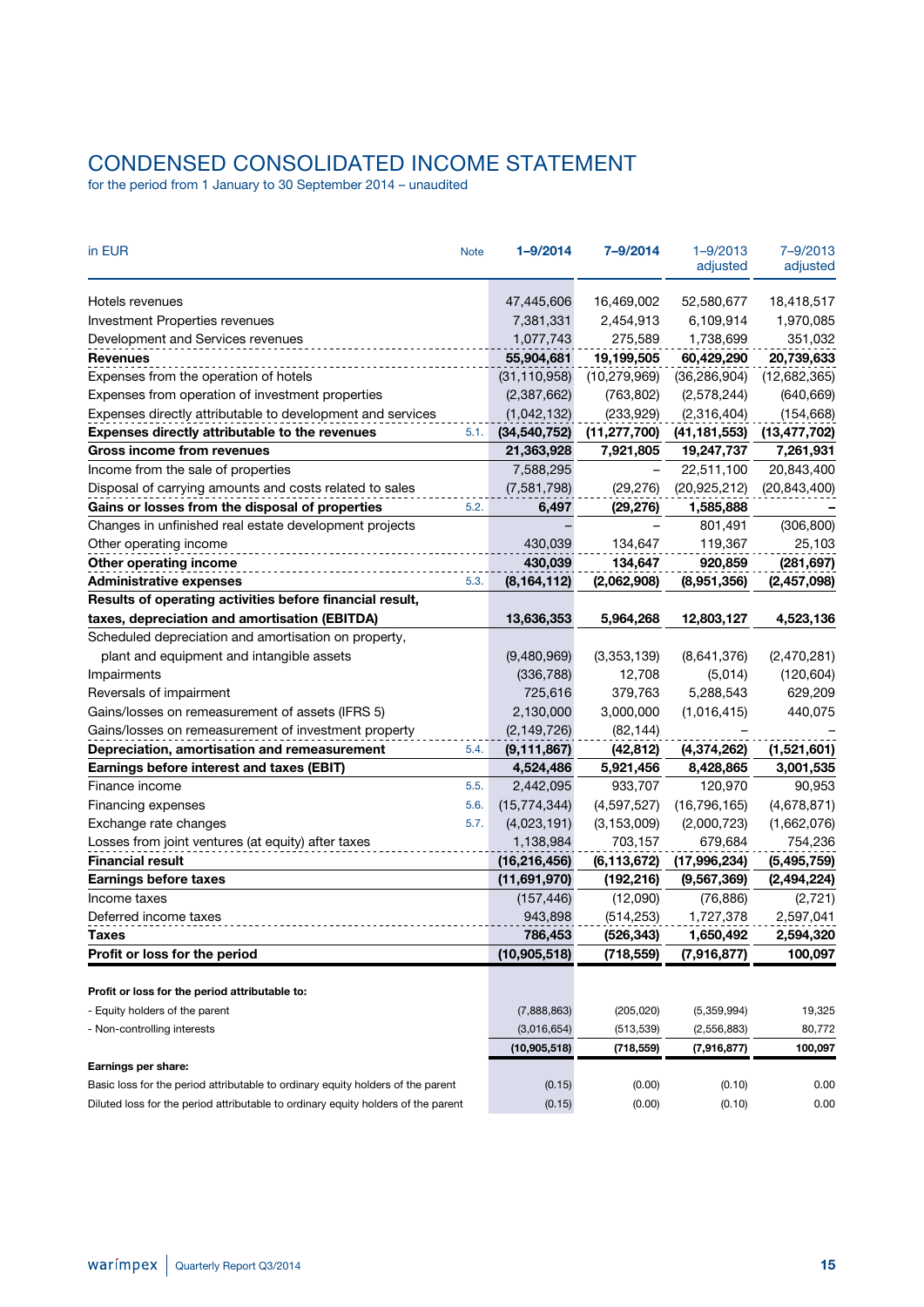# CONDENSED CONSOLIDATED INCOME STATEMENT

for the period from 1 January to 30 September 2014 – unaudited

| in EUR                                                                            | <b>Note</b> | $1 - 9/2014$   | 7-9/2014       | $1 - 9/2013$<br>adjusted | 7-9/2013<br>adjusted |
|-----------------------------------------------------------------------------------|-------------|----------------|----------------|--------------------------|----------------------|
| Hotels revenues                                                                   |             | 47,445,606     | 16,469,002     | 52,580,677               | 18,418,517           |
| <b>Investment Properties revenues</b>                                             |             | 7,381,331      | 2,454,913      | 6,109,914                | 1,970,085            |
| Development and Services revenues                                                 |             | 1,077,743      | 275,589        | 1,738,699                | 351,032              |
| <b>Revenues</b>                                                                   |             | 55,904,681     | 19,199,505     | 60,429,290               | 20,739,633           |
| Expenses from the operation of hotels                                             |             | (31, 110, 958) | (10, 279, 969) | (36, 286, 904)           | (12,682,365)         |
| Expenses from operation of investment properties                                  |             | (2,387,662)    | (763, 802)     | (2,578,244)              | (640, 669)           |
| Expenses directly attributable to development and services                        |             | (1,042,132)    | (233, 929)     | (2,316,404)              | (154, 668)           |
| Expenses directly attributable to the revenues                                    | 5.1.        | (34, 540, 752) | (11, 277, 700) | (41, 181, 553)           | (13, 477, 702)       |
| Gross income from revenues                                                        |             | 21,363,928     | 7,921,805      | 19,247,737               | 7,261,931            |
| Income from the sale of properties                                                |             | 7,588,295      |                | 22,511,100               | 20,843,400           |
| Disposal of carrying amounts and costs related to sales                           |             | (7,581,798)    | (29, 276)      | (20, 925, 212)           | (20, 843, 400)       |
| Gains or losses from the disposal of properties                                   | 5.2.        | 6,497          | (29, 276)      | 1,585,888                |                      |
| Changes in unfinished real estate development projects                            |             |                |                | 801,491                  | (306, 800)           |
| Other operating income                                                            |             | 430.039        | 134,647        | 119,367                  | 25,103               |
| Other operating income                                                            |             | 430,039        | 134,647        | 920,859                  | (281, 697)           |
| <b>Administrative expenses</b>                                                    | 5.3.        | (8, 164, 112)  | (2,062,908)    | (8,951,356)              | (2,457,098)          |
| Results of operating activities before financial result,                          |             |                |                |                          |                      |
| taxes, depreciation and amortisation (EBITDA)                                     |             | 13,636,353     | 5,964,268      | 12,803,127               | 4,523,136            |
| Scheduled depreciation and amortisation on property,                              |             |                |                |                          |                      |
| plant and equipment and intangible assets                                         |             | (9,480,969)    | (3,353,139)    | (8,641,376)              | (2,470,281)          |
| Impairments                                                                       |             | (336, 788)     | 12,708         | (5,014)                  | (120, 604)           |
| Reversals of impairment                                                           |             | 725,616        | 379,763        | 5,288,543                | 629,209              |
| Gains/losses on remeasurement of assets (IFRS 5)                                  |             | 2,130,000      | 3,000,000      | (1,016,415)              | 440,075              |
| Gains/losses on remeasurement of investment property                              |             | (2, 149, 726)  | (82, 144)      |                          |                      |
| Depreciation, amortisation and remeasurement                                      | 5.4.        | (9, 111, 867)  | (42, 812)      | (4,374,262)              | (1,521,601)          |
| Earnings before interest and taxes (EBIT)                                         |             | 4,524,486      | 5,921,456      | 8,428,865                | 3,001,535            |
| Finance income                                                                    | 5.5.        | 2,442,095      | 933,707        | 120,970                  | 90,953               |
| Financing expenses                                                                | 5.6.        | (15, 774, 344) | (4,597,527)    | (16, 796, 165)           | (4,678,871)          |
| Exchange rate changes                                                             | 5.7.        | (4,023,191)    | (3, 153, 009)  | (2,000,723)              | (1,662,076)          |
| Losses from joint ventures (at equity) after taxes                                |             | 1,138,984      | 703,157        | 679,684                  | 754,236              |
| <b>Financial result</b>                                                           |             | (16, 216, 456) | (6, 113, 672)  | (17,996,234)             | (5,495,759)          |
| <b>Earnings before taxes</b>                                                      |             | (11,691,970)   | (192, 216)     | (9, 567, 369)            | (2, 494, 224)        |
| Income taxes                                                                      |             | (157, 446)     | (12,090)       | (76, 886)                | (2,721)              |
| Deferred income taxes                                                             |             | 943,898        | (514, 253)     | 1,727,378                | 2,597,041            |
| Taxes                                                                             |             | 786,453        | (526, 343)     | 1,650,492                | 2,594,320            |
| Profit or loss for the period                                                     |             | (10, 905, 518) | (718, 559)     | (7,916,877)              | 100,097              |
|                                                                                   |             |                |                |                          |                      |
| Profit or loss for the period attributable to:                                    |             |                |                |                          |                      |
| - Equity holders of the parent                                                    |             | (7,888,863)    | (205, 020)     | (5,359,994)              | 19,325               |
| - Non-controlling interests                                                       |             | (3,016,654)    | (513, 539)     | (2,556,883)              | 80,772               |
|                                                                                   |             | (10,905,518)   | (718, 559)     | (7,916,877)              | 100,097              |
| Earnings per share:                                                               |             |                |                |                          |                      |
| Basic loss for the period attributable to ordinary equity holders of the parent   |             | (0.15)         | (0.00)         | (0.10)                   | 0.00                 |
| Diluted loss for the period attributable to ordinary equity holders of the parent |             | (0.15)         | (0.00)         | (0.10)                   | 0.00                 |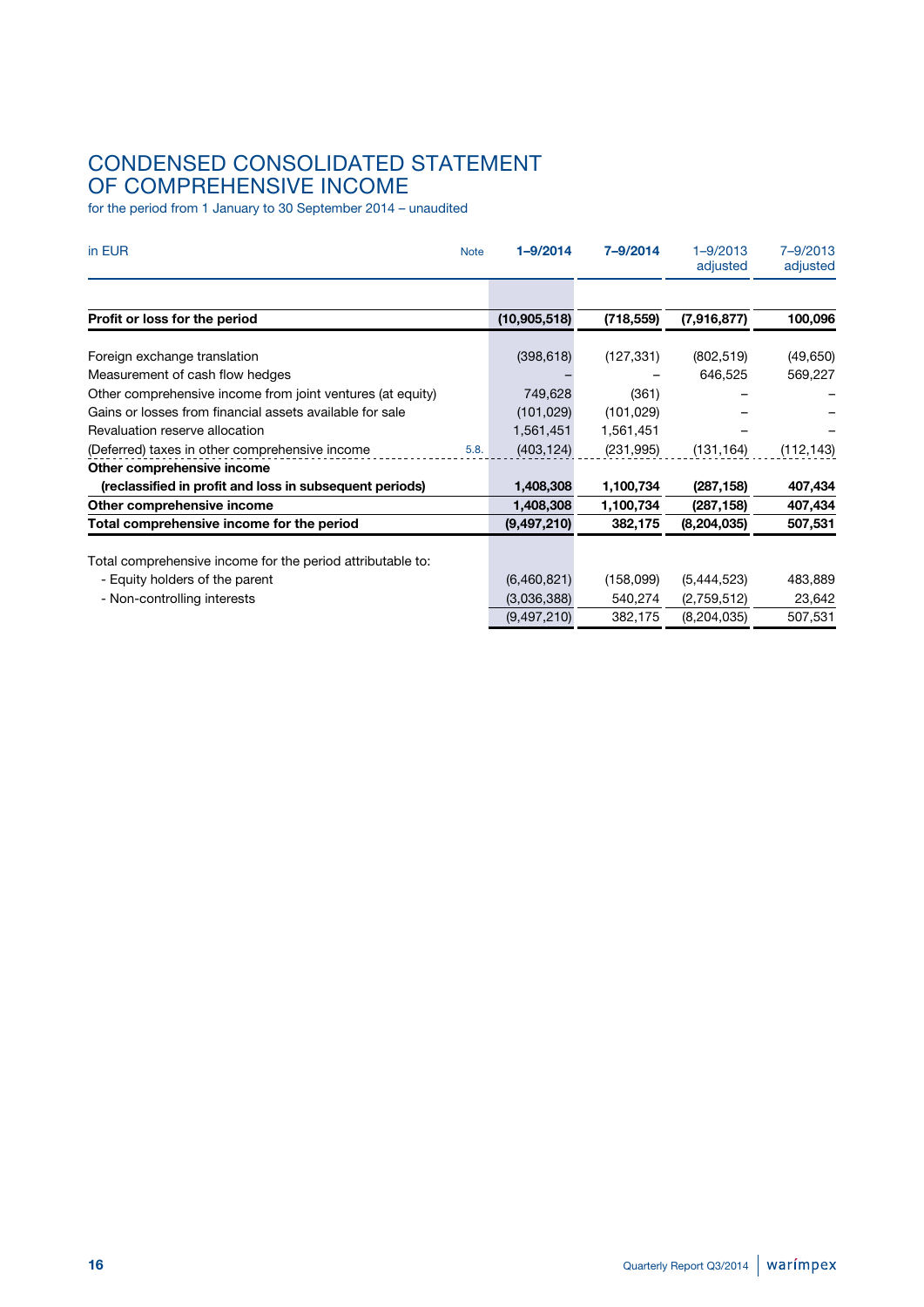# CONDENSED CONSOLIDATED STATEMENT OF COMPREHENSIVE INCOME

for the period from 1 January to 30 September 2014 – unaudited

| in EUR<br><b>Note</b>                                      | $1 - 9/2014$   | 7-9/2014   | $1 - 9/2013$<br>adjusted | 7-9/2013<br>adjusted |
|------------------------------------------------------------|----------------|------------|--------------------------|----------------------|
|                                                            |                |            |                          |                      |
| Profit or loss for the period                              | (10, 905, 518) | (718, 559) | (7,916,877)              | 100,096              |
| Foreign exchange translation                               | (398, 618)     | (127, 331) | (802, 519)               | (49, 650)            |
| Measurement of cash flow hedges                            |                |            | 646,525                  | 569,227              |
| Other comprehensive income from joint ventures (at equity) | 749,628        | (361)      |                          |                      |
| Gains or losses from financial assets available for sale   | (101, 029)     | (101, 029) |                          |                      |
| Revaluation reserve allocation                             | 1,561,451      | 1,561,451  |                          |                      |
| (Deferred) taxes in other comprehensive income<br>5.8.     | (403, 124)     | (231, 995) | (131, 164)               | (112, 143)           |
| Other comprehensive income                                 |                |            |                          |                      |
| (reclassified in profit and loss in subsequent periods)    | 1,408,308      | 1,100,734  | (287, 158)               | 407,434              |
| Other comprehensive income                                 | 1,408,308      | 1,100,734  | (287, 158)               | 407,434              |
| Total comprehensive income for the period                  | (9,497,210)    | 382,175    | (8, 204, 035)            | 507,531              |
| Total comprehensive income for the period attributable to: |                |            |                          |                      |
| - Equity holders of the parent                             | (6,460,821)    | (158,099)  | (5,444,523)              | 483,889              |
| - Non-controlling interests                                | (3,036,388)    | 540,274    | (2,759,512)              | 23,642               |
|                                                            | (9,497,210)    | 382,175    | (8,204,035)              | 507,531              |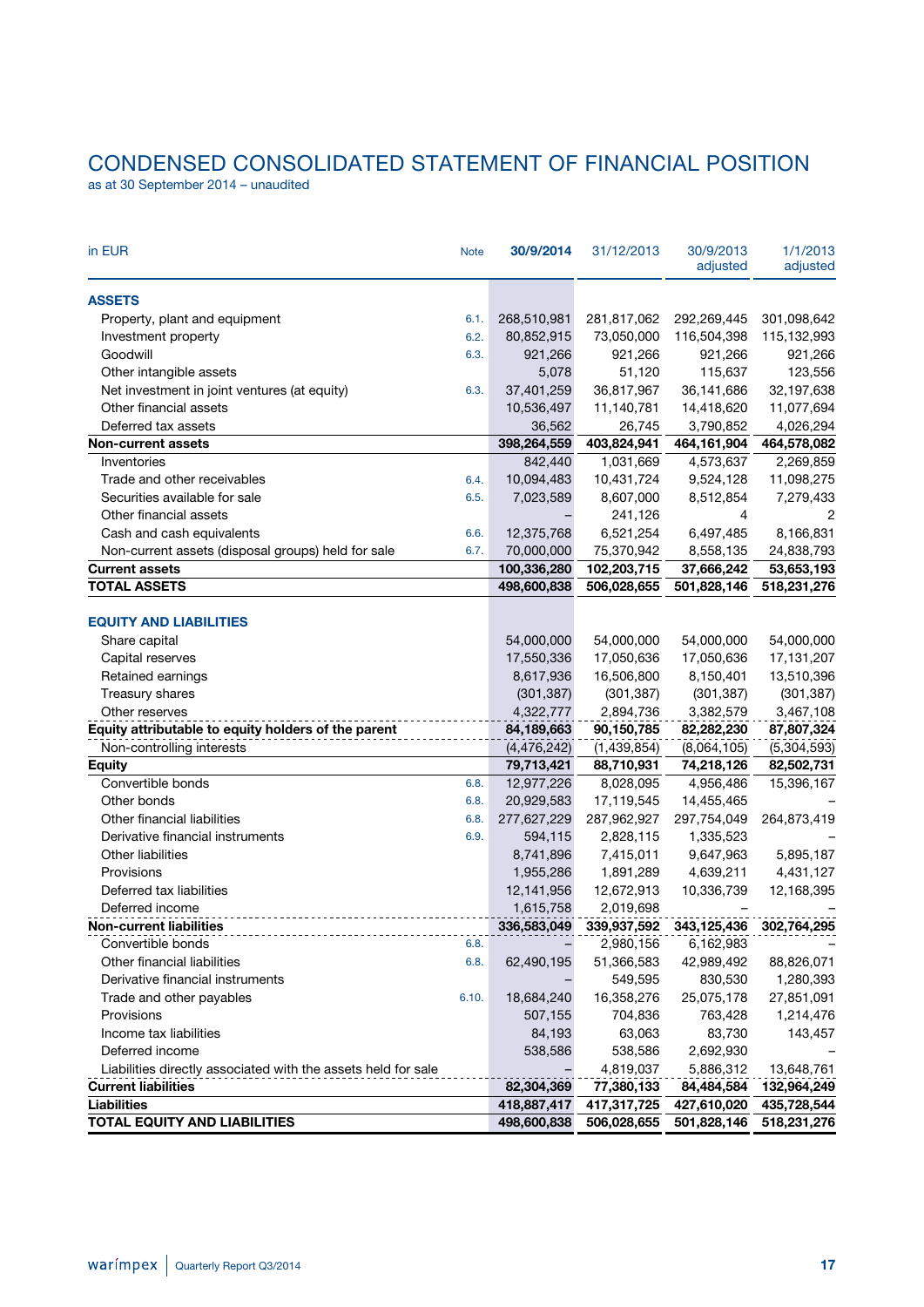# CONDENSED CONSOLIDATED STATEMENT OF FINANCIAL POSITION

as at 30 September 2014 – unaudited

| in EUR<br><b>Note</b>                                         | 30/9/2014                | 31/12/2013              | 30/9/2013<br>adjusted   | 1/1/2013<br>adjusted     |
|---------------------------------------------------------------|--------------------------|-------------------------|-------------------------|--------------------------|
| <b>ASSETS</b>                                                 |                          |                         |                         |                          |
| Property, plant and equipment<br>6.1.                         | 268,510,981              | 281,817,062             | 292,269,445             | 301,098,642              |
| Investment property<br>6.2.                                   | 80,852,915               | 73,050,000              | 116,504,398             | 115,132,993              |
| Goodwill<br>6.3.                                              | 921,266                  | 921,266                 | 921,266                 | 921,266                  |
| Other intangible assets                                       | 5,078                    | 51,120                  | 115,637                 | 123,556                  |
| Net investment in joint ventures (at equity)<br>6.3.          | 37,401,259               | 36,817,967              | 36,141,686              | 32,197,638               |
| Other financial assets                                        | 10,536,497               | 11,140,781              | 14,418,620              | 11,077,694               |
| Deferred tax assets                                           | 36,562                   | 26,745                  | 3,790,852               | 4,026,294                |
| <b>Non-current assets</b>                                     | 398,264,559              | 403,824,941             | 464,161,904             | 464,578,082              |
| Inventories                                                   | 842,440                  | 1,031,669               | 4,573,637               | 2,269,859                |
| Trade and other receivables<br>6.4.                           | 10,094,483               | 10,431,724              | 9,524,128               | 11,098,275               |
| Securities available for sale<br>6.5.                         | 7,023,589                | 8,607,000               | 8,512,854               | 7,279,433                |
| Other financial assets                                        |                          | 241,126                 | 4                       | 2                        |
| Cash and cash equivalents<br>6.6.                             | 12,375,768               | 6,521,254               | 6,497,485               | 8,166,831                |
| Non-current assets (disposal groups) held for sale<br>6.7.    | 70,000,000               | 75,370,942              | 8,558,135               | 24,838,793               |
| <b>Current assets</b>                                         | 100,336,280              | 102,203,715             | 37,666,242              | 53,653,193               |
| <b>TOTAL ASSETS</b>                                           | 498,600,838              | 506,028,655             | 501,828,146             | 518,231,276              |
|                                                               |                          |                         |                         |                          |
| <b>EQUITY AND LIABILITIES</b>                                 |                          |                         |                         |                          |
| Share capital                                                 | 54,000,000               | 54,000,000              | 54,000,000              | 54,000,000               |
| Capital reserves                                              | 17,550,336               | 17,050,636              | 17,050,636              | 17, 131, 207             |
| Retained earnings                                             | 8,617,936                | 16,506,800              | 8,150,401               | 13,510,396               |
| Treasury shares                                               | (301, 387)               | (301, 387)              | (301, 387)              | (301, 387)               |
| Other reserves                                                | 4,322,777                | 2,894,736               | 3,382,579               | 3,467,108                |
| Equity attributable to equity holders of the parent           | 84,189,663               | 90,150,785              | 82,282,230              | 87,807,324               |
| Non-controlling interests                                     | (4, 476, 242)            | (1,439,854)             | (8,064,105)             | (5,304,593)              |
| <b>Equity</b><br>Convertible bonds<br>6.8.                    | 79,713,421               | 88,710,931              | 74,218,126<br>4,956,486 | 82,502,731<br>15,396,167 |
| Other bonds<br>6.8.                                           | 12,977,226<br>20,929,583 | 8,028,095<br>17,119,545 | 14,455,465              |                          |
| Other financial liabilities<br>6.8.                           | 277,627,229              | 287,962,927             | 297,754,049             | 264,873,419              |
| Derivative financial instruments<br>6.9.                      | 594,115                  | 2,828,115               | 1,335,523               |                          |
| Other liabilities                                             | 8,741,896                | 7,415,011               | 9,647,963               | 5,895,187                |
| Provisions                                                    | 1,955,286                | 1,891,289               | 4,639,211               | 4,431,127                |
| Deferred tax liabilities                                      | 12,141,956               | 12,672,913              | 10,336,739              | 12,168,395               |
| Deferred income                                               | 1,615,758                | 2,019,698               |                         |                          |
| <b>Non-current liabilities</b>                                | 336,583,049              | 339,937,592             | 343,125,436             | 302,764,295              |
| Convertible bonds<br>6.8.                                     |                          | 2,980,156               | 6,162,983               |                          |
| Other financial liabilities<br>6.8.                           | 62,490,195               | 51,366,583              | 42,989,492              | 88,826,071               |
| Derivative financial instruments                              |                          | 549,595                 | 830,530                 | 1,280,393                |
| Trade and other payables<br>6.10.                             | 18,684,240               | 16,358,276              | 25,075,178              | 27,851,091               |
| Provisions                                                    | 507,155                  | 704,836                 | 763,428                 | 1,214,476                |
| Income tax liabilities                                        | 84,193                   | 63,063                  | 83,730                  | 143,457                  |
| Deferred income                                               | 538,586                  | 538,586                 | 2,692,930               |                          |
| Liabilities directly associated with the assets held for sale |                          | 4,819,037               | 5,886,312               | 13,648,761               |
| <b>Current liabilities</b>                                    | 82,304,369               | 77,380,133              | 84,484,584              | 132,964,249              |
| <b>Liabilities</b>                                            | 418,887,417              | 417,317,725             | 427,610,020             | 435,728,544              |
| <b>TOTAL EQUITY AND LIABILITIES</b>                           | 498,600,838              | 506,028,655             | 501,828,146             | 518,231,276              |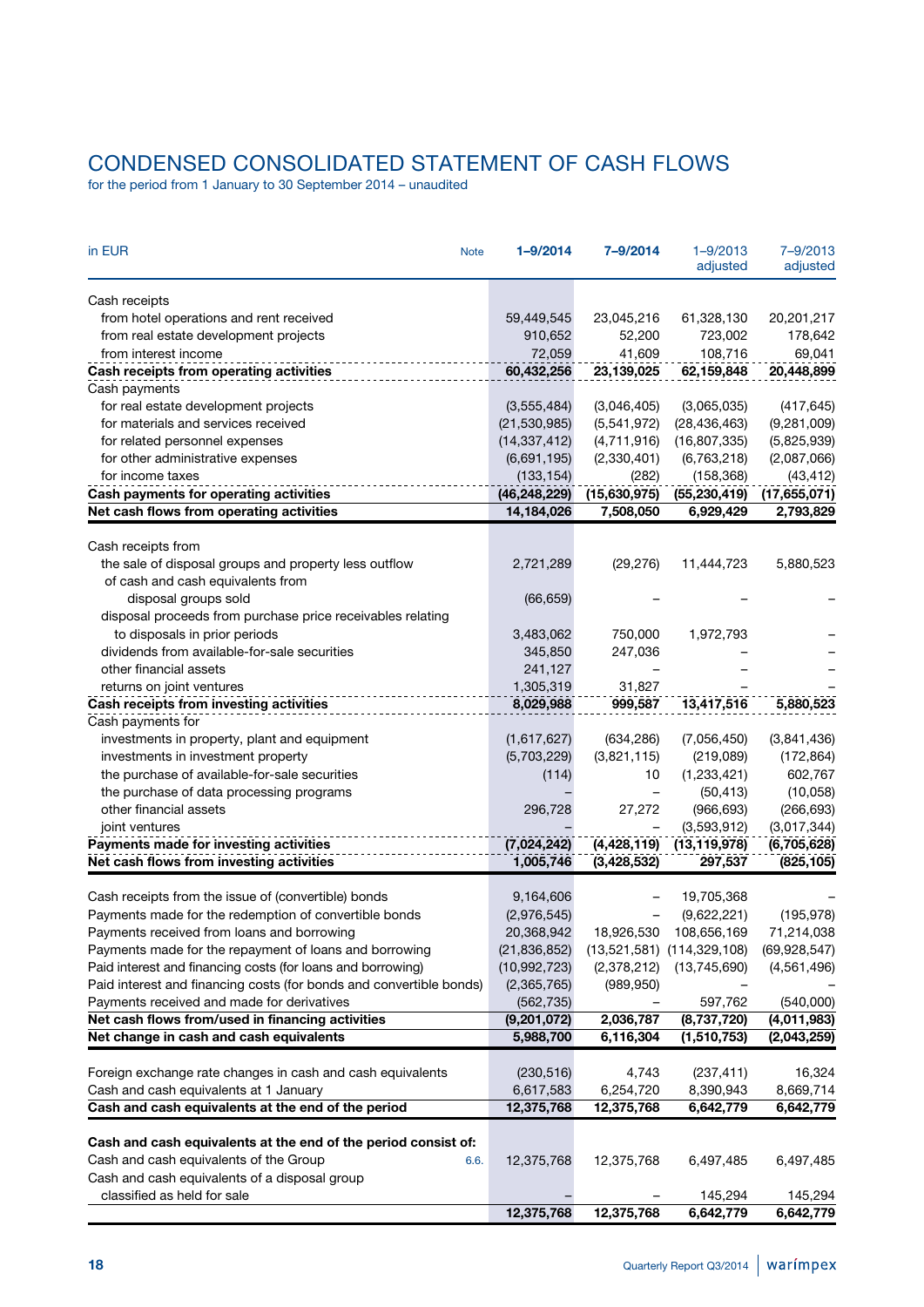# CONDENSED CONSOLIDATED STATEMENT OF CASH FLOWS

for the period from 1 January to 30 September 2014 – unaudited

| in EUR<br><b>Note</b>                                               | 1-9/2014       | 7-9/2014     | $1 - 9/2013$<br>adjusted       | 7-9/2013<br>adjusted |
|---------------------------------------------------------------------|----------------|--------------|--------------------------------|----------------------|
| Cash receipts                                                       |                |              |                                |                      |
| from hotel operations and rent received                             | 59,449,545     | 23,045,216   | 61,328,130                     | 20,201,217           |
| from real estate development projects                               | 910,652        | 52,200       | 723,002                        | 178,642              |
| from interest income                                                | 72,059         | 41,609       | 108,716                        | 69,041               |
| Cash receipts from operating activities                             | 60,432,256     | 23,139,025   | 62,159,848                     | 20,448,899           |
| Cash payments                                                       |                |              |                                |                      |
| for real estate development projects                                | (3, 555, 484)  | (3,046,405)  | (3,065,035)                    | (417, 645)           |
| for materials and services received                                 | (21, 530, 985) | (5,541,972)  | (28, 436, 463)                 | (9,281,009)          |
| for related personnel expenses                                      | (14, 337, 412) | (4,711,916)  | (16, 807, 335)                 | (5,825,939)          |
| for other administrative expenses                                   | (6,691,195)    | (2,330,401)  | (6,763,218)                    | (2,087,066)          |
| for income taxes                                                    | (133, 154)     | (282)        | (158, 368)                     | (43, 412)            |
| Cash payments for operating activities                              | (46, 248, 229) | (15,630,975) | (55, 230, 419)                 | (17,655,071)         |
| Net cash flows from operating activities                            | 14,184,026     | 7,508,050    | 6,929,429                      | 2,793,829            |
| Cash receipts from                                                  |                |              |                                |                      |
| the sale of disposal groups and property less outflow               | 2,721,289      | (29, 276)    | 11,444,723                     | 5,880,523            |
| of cash and cash equivalents from                                   |                |              |                                |                      |
| disposal groups sold                                                | (66, 659)      |              |                                |                      |
| disposal proceeds from purchase price receivables relating          |                |              |                                |                      |
| to disposals in prior periods                                       | 3,483,062      | 750,000      | 1,972,793                      |                      |
| dividends from available-for-sale securities                        | 345,850        | 247,036      |                                |                      |
| other financial assets                                              | 241,127        |              |                                |                      |
| returns on joint ventures                                           | 1,305,319      | 31,827       |                                |                      |
| Cash receipts from investing activities                             | 8,029,988      | 999,587      | 13,417,516                     | 5,880,523            |
| Cash payments for                                                   |                |              |                                |                      |
| investments in property, plant and equipment                        | (1,617,627)    | (634, 286)   | (7,056,450)                    | (3,841,436)          |
| investments in investment property                                  | (5,703,229)    | (3,821,115)  | (219,089)                      | (172, 864)           |
| the purchase of available-for-sale securities                       | (114)          | 10           | (1,233,421)                    | 602,767              |
| the purchase of data processing programs                            |                |              | (50, 413)                      | (10,058)             |
| other financial assets                                              | 296,728        | 27,272       | (966, 693)                     | (266, 693)           |
| joint ventures                                                      |                |              | (3,593,912)                    | (3,017,344)          |
| Payments made for investing activities                              | (7,024,242)    |              | $(4,428,119)$ $(13,119,978)$   | (6,705,628)          |
| Net cash flows from investing activities                            | 1,005,746      | (3,428,532)  | 297,537                        | (825, 105)           |
| Cash receipts from the issue of (convertible) bonds                 | 9,164,606      |              | 19,705,368                     |                      |
| Payments made for the redemption of convertible bonds               | (2,976,545)    |              | (9,622,221)                    | (195, 978)           |
| Payments received from loans and borrowing                          | 20,368,942     |              | 18,926,530 108,656,169         | 71,214,038           |
| Payments made for the repayment of loans and borrowing              | (21, 836, 852) |              | $(13,521,581)$ $(114,329,108)$ | (69, 928, 547)       |
| Paid interest and financing costs (for loans and borrowing)         | (10, 992, 723) | (2,378,212)  | (13,745,690)                   | (4, 561, 496)        |
| Paid interest and financing costs (for bonds and convertible bonds) | (2,365,765)    | (989, 950)   |                                |                      |
| Payments received and made for derivatives                          | (562, 735)     |              | 597,762                        | (540,000)            |
| Net cash flows from/used in financing activities                    | (9,201,072)    | 2,036,787    | (8,737,720)                    | (4,011,983)          |
| Net change in cash and cash equivalents                             | 5,988,700      | 6,116,304    | (1,510,753)                    | (2,043,259)          |
|                                                                     |                |              |                                |                      |
| Foreign exchange rate changes in cash and cash equivalents          | (230, 516)     | 4,743        | (237, 411)                     | 16,324               |
| Cash and cash equivalents at 1 January                              | 6,617,583      | 6,254,720    | 8,390,943                      | 8,669,714            |
| Cash and cash equivalents at the end of the period                  | 12,375,768     | 12,375,768   | 6,642,779                      | 6,642,779            |
| Cash and cash equivalents at the end of the period consist of:      |                |              |                                |                      |
| Cash and cash equivalents of the Group<br>6.6.                      | 12,375,768     | 12,375,768   | 6,497,485                      | 6,497,485            |
| Cash and cash equivalents of a disposal group                       |                |              |                                |                      |
| classified as held for sale                                         |                |              | 145,294                        | 145,294              |
|                                                                     | 12,375,768     | 12,375,768   | 6,642,779                      | 6,642,779            |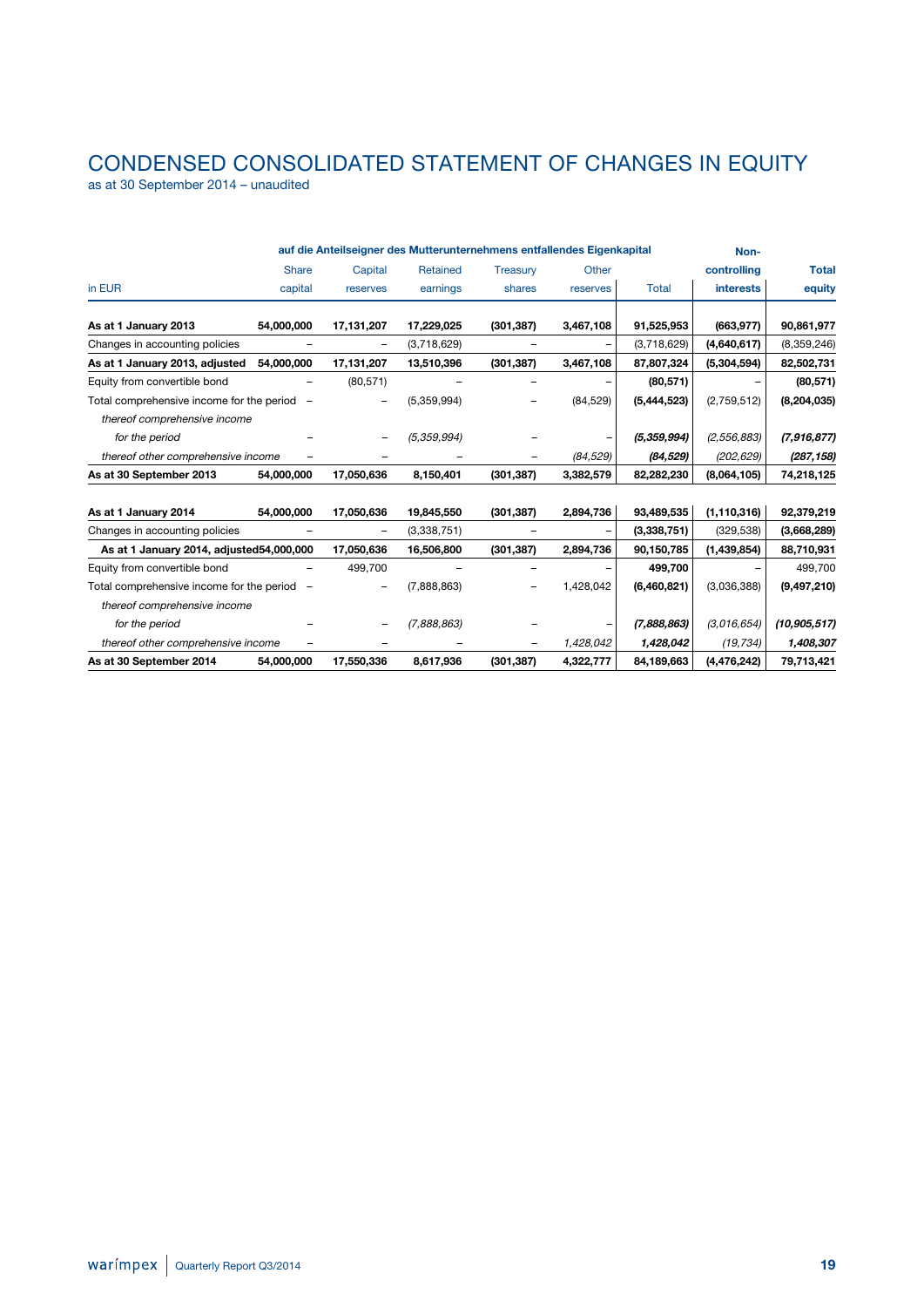# CONDENSED CONSOLIDATED STATEMENT OF CHANGES IN EQUITY

as at 30 September 2014 – unaudited

|                                             |                          |                          | auf die Anteilseigner des Mutterunternehmens entfallendes Eigenkapital |                 |           |             | Non-             |                |
|---------------------------------------------|--------------------------|--------------------------|------------------------------------------------------------------------|-----------------|-----------|-------------|------------------|----------------|
|                                             | <b>Share</b>             | Capital                  | Retained                                                               | <b>Treasury</b> | Other     |             | controlling      | <b>Total</b>   |
| in EUR                                      | capital                  | reserves                 | earnings                                                               | shares          | reserves  | Total       | <b>interests</b> | equity         |
| As at 1 January 2013                        | 54,000,000               | 17,131,207               | 17,229,025                                                             | (301, 387)      | 3,467,108 | 91,525,953  | (663, 977)       | 90,861,977     |
| Changes in accounting policies              |                          |                          | (3,718,629)                                                            |                 |           | (3,718,629) | (4,640,617)      | (8,359,246)    |
| As at 1 January 2013, adjusted              | 54,000,000               | 17,131,207               | 13,510,396                                                             | (301, 387)      | 3,467,108 | 87,807,324  | (5,304,594)      | 82,502,731     |
| Equity from convertible bond                |                          | (80, 571)                |                                                                        |                 |           | (80, 571)   |                  | (80, 571)      |
| Total comprehensive income for the period - |                          |                          | (5,359,994)                                                            |                 | (84, 529) | (5,444,523) | (2,759,512)      | (8, 204, 035)  |
| thereof comprehensive income                |                          |                          |                                                                        |                 |           |             |                  |                |
| for the period                              |                          |                          | (5,359,994)                                                            |                 |           | (5,359,994) | (2,556,883)      | (7,916,877)    |
| thereof other comprehensive income          |                          |                          |                                                                        |                 | (84, 529) | (84, 529)   | (202, 629)       | (287, 158)     |
| As at 30 September 2013                     | 54,000,000               | 17,050,636               | 8,150,401                                                              | (301, 387)      | 3,382,579 | 82,282,230  | (8,064,105)      | 74,218,125     |
| As at 1 January 2014                        | 54,000,000               | 17,050,636               | 19,845,550                                                             | (301, 387)      | 2,894,736 | 93,489,535  | (1, 110, 316)    | 92,379,219     |
| Changes in accounting policies              |                          | $\overline{\phantom{0}}$ | (3,338,751)                                                            |                 | -         | (3,338,751) | (329, 538)       | (3,668,289)    |
| As at 1 January 2014, adjusted54,000,000    |                          | 17,050,636               | 16,506,800                                                             | (301, 387)      | 2,894,736 | 90,150,785  | (1,439,854)      | 88,710,931     |
| Equity from convertible bond                | $\overline{\phantom{0}}$ | 499,700                  |                                                                        |                 |           | 499,700     |                  | 499,700        |
| Total comprehensive income for the period   | $\overline{\phantom{m}}$ |                          | (7,888,863)                                                            |                 | 1,428,042 | (6,460,821) | (3,036,388)      | (9, 497, 210)  |
| thereof comprehensive income                |                          |                          |                                                                        |                 |           |             |                  |                |
| for the period                              |                          |                          | (7,888,863)                                                            |                 |           | (7,888,863) | (3,016,654)      | (10, 905, 517) |
| thereof other comprehensive income          |                          |                          |                                                                        |                 | 1,428,042 | 1,428,042   | (19, 734)        | 1,408,307      |
| As at 30 September 2014                     | 54,000,000               | 17,550,336               | 8,617,936                                                              | (301, 387)      | 4,322,777 | 84,189,663  | (4, 476, 242)    | 79,713,421     |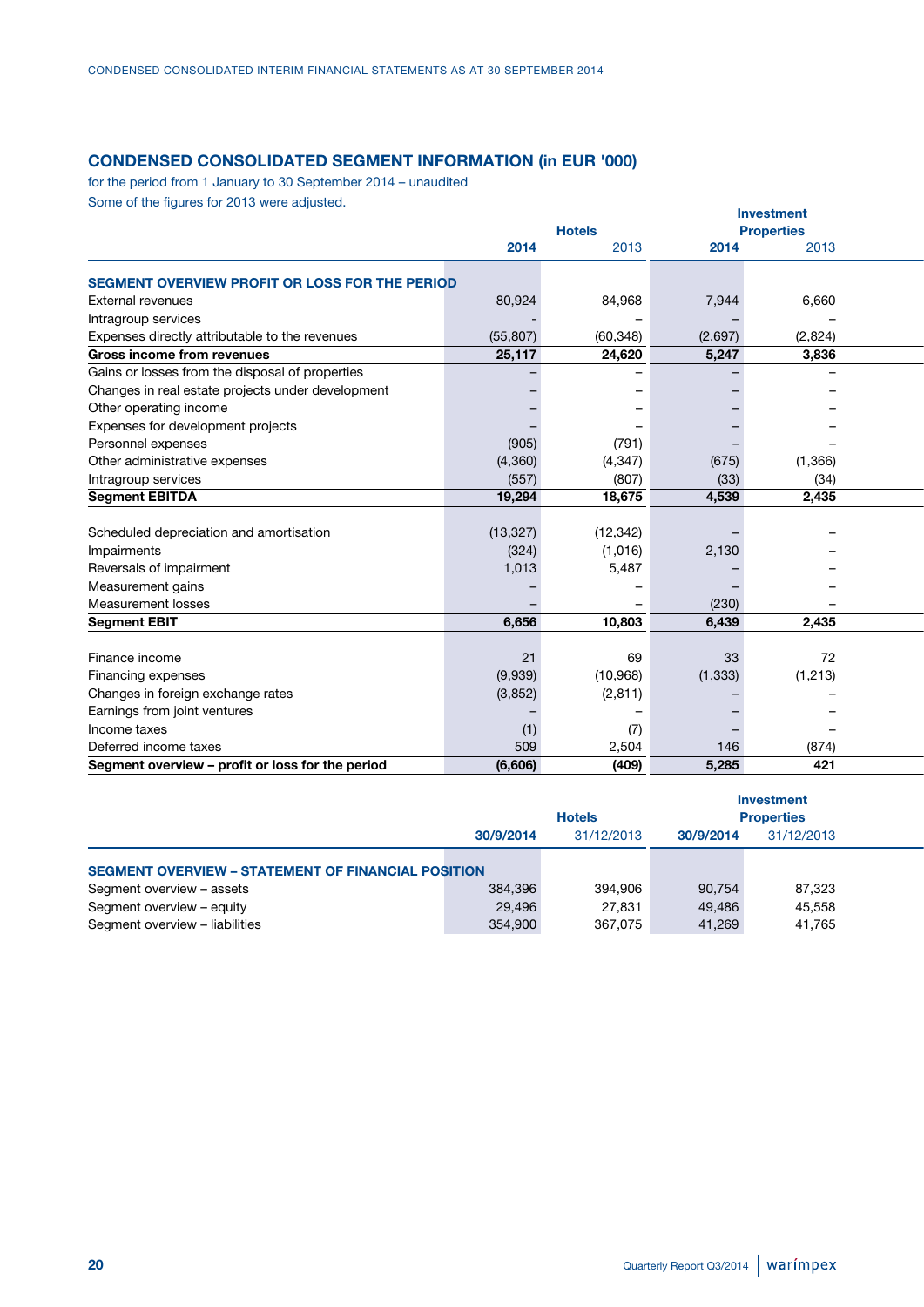### **CONDENSED CONSOLIDATED SEGMENT INFORMATION (in EUR '000)**

for the period from 1 January to 30 September 2014 – unaudited Some of the figures for 2013 were adjusted.

|                                                                       |           |               |          | <b>Investment</b> |  |
|-----------------------------------------------------------------------|-----------|---------------|----------|-------------------|--|
|                                                                       |           | <b>Hotels</b> |          | <b>Properties</b> |  |
|                                                                       | 2014      | 2013          | 2014     | 2013              |  |
| SEGMENT OVERVIEW PROFIT OR LOSS FOR THE PERIOD                        |           |               |          |                   |  |
| <b>External revenues</b>                                              | 80,924    | 84,968        | 7,944    | 6,660             |  |
|                                                                       |           |               |          |                   |  |
| Intragroup services<br>Expenses directly attributable to the revenues | (55, 807) | (60, 348)     | (2,697)  | (2,824)           |  |
| Gross income from revenues                                            | 25,117    | 24,620        | 5,247    | 3,836             |  |
|                                                                       |           |               |          |                   |  |
| Gains or losses from the disposal of properties                       |           |               |          |                   |  |
| Changes in real estate projects under development                     |           |               |          |                   |  |
| Other operating income                                                |           |               |          |                   |  |
| Expenses for development projects                                     |           |               |          |                   |  |
| Personnel expenses                                                    | (905)     | (791)         |          |                   |  |
| Other administrative expenses                                         | (4, 360)  | (4, 347)      | (675)    | (1,366)           |  |
| Intragroup services                                                   | (557)     | (807)         | (33)     | (34)              |  |
| <b>Segment EBITDA</b>                                                 | 19,294    | 18,675        | 4,539    | 2,435             |  |
|                                                                       |           |               |          |                   |  |
| Scheduled depreciation and amortisation                               | (13, 327) | (12, 342)     |          |                   |  |
| Impairments                                                           | (324)     | (1,016)       | 2,130    |                   |  |
| Reversals of impairment                                               | 1,013     | 5,487         |          |                   |  |
| Measurement gains                                                     |           |               |          |                   |  |
| Measurement losses                                                    |           |               | (230)    |                   |  |
| <b>Segment EBIT</b>                                                   | 6,656     | 10,803        | 6,439    | 2,435             |  |
|                                                                       |           |               |          |                   |  |
| Finance income                                                        | 21        | 69            | 33       | 72                |  |
| Financing expenses                                                    | (9,939)   | (10, 968)     | (1, 333) | (1,213)           |  |
| Changes in foreign exchange rates                                     | (3,852)   | (2, 811)      |          |                   |  |
| Earnings from joint ventures                                          |           |               |          |                   |  |
| Income taxes                                                          | (1)       | (7)           |          |                   |  |
| Deferred income taxes                                                 | 509       | 2,504         | 146      | (874)             |  |
| Segment overview - profit or loss for the period                      | (6,606)   | (409)         | 5,285    | 421               |  |
|                                                                       |           |               |          |                   |  |

|                                                           |           | <b>Hotels</b> |           | Investment<br><b>Properties</b> |  |
|-----------------------------------------------------------|-----------|---------------|-----------|---------------------------------|--|
|                                                           | 30/9/2014 | 31/12/2013    | 30/9/2014 | 31/12/2013                      |  |
| <b>SEGMENT OVERVIEW - STATEMENT OF FINANCIAL POSITION</b> |           |               |           |                                 |  |
| Segment overview - assets                                 | 384,396   | 394,906       | 90,754    | 87,323                          |  |
| Segment overview - equity                                 | 29,496    | 27,831        | 49,486    | 45,558                          |  |
| Segment overview - liabilities                            | 354,900   | 367,075       | 41,269    | 41,765                          |  |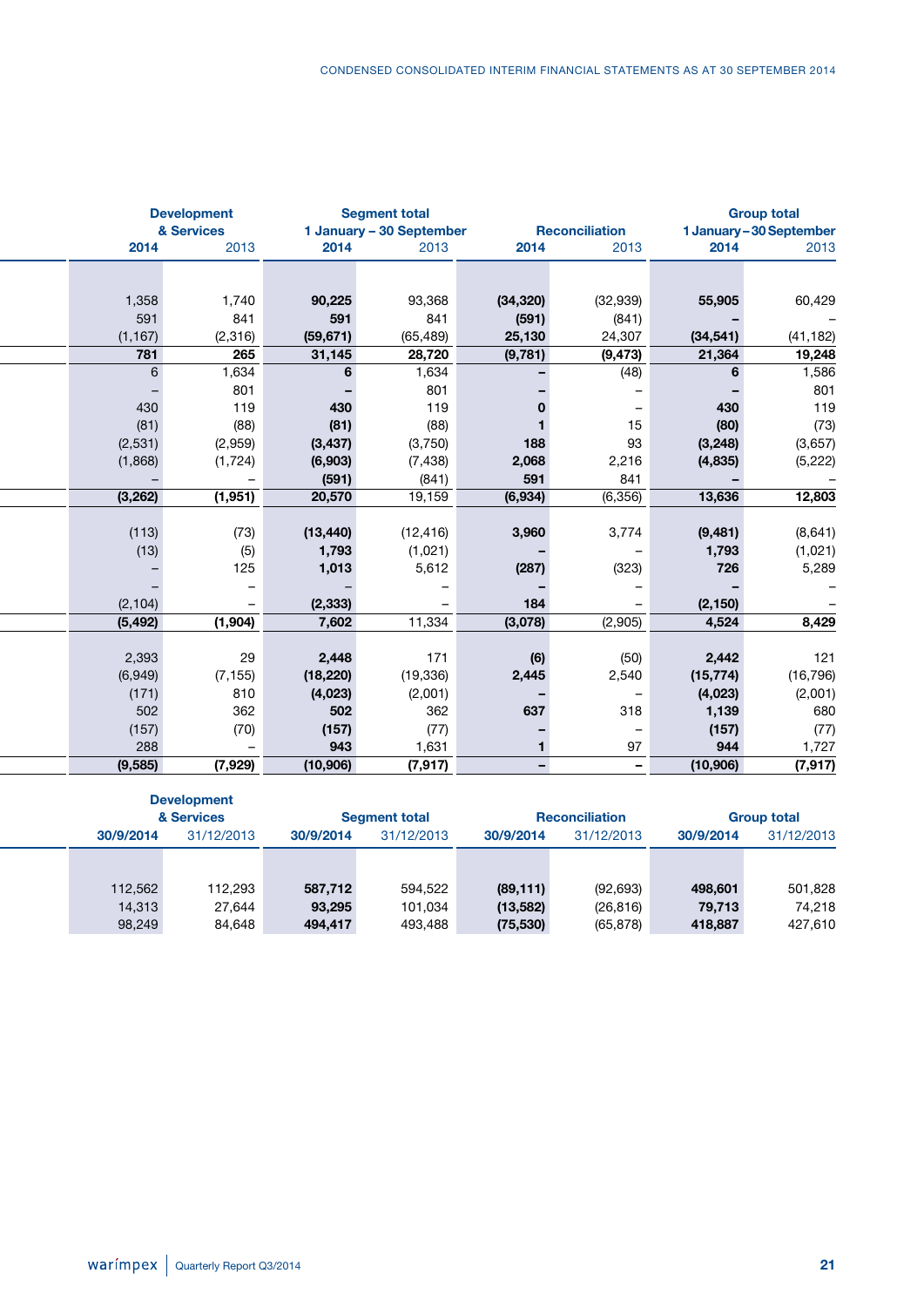|                |                                   |                                                                |                          |                                        |                                  |                               | <b>Group total</b>                                              |
|----------------|-----------------------------------|----------------------------------------------------------------|--------------------------|----------------------------------------|----------------------------------|-------------------------------|-----------------------------------------------------------------|
|                |                                   |                                                                |                          |                                        |                                  |                               |                                                                 |
|                |                                   | 2014                                                           | 2013                     |                                        |                                  |                               | 2013                                                            |
|                |                                   |                                                                |                          |                                        |                                  |                               |                                                                 |
| 1,358          | 1,740                             | 90,225                                                         | 93,368                   | (34, 320)                              | (32, 939)                        | 55,905                        | 60,429                                                          |
| 591            | 841                               | 591                                                            | 841                      | (591)                                  | (841)                            |                               |                                                                 |
| (1, 167)       | (2,316)                           | (59, 671)                                                      | (65, 489)                | 25,130                                 | 24,307                           | (34, 541)                     | (41, 182)                                                       |
| 781            | 265                               | 31,145                                                         | 28,720                   | (9,781)                                | (9, 473)                         | 21,364                        | 19,248                                                          |
| $6\phantom{.}$ | 1,634                             | 6                                                              | 1,634                    |                                        | (48)                             | 6                             | 1,586                                                           |
|                |                                   |                                                                |                          |                                        |                                  |                               | 801<br>119                                                      |
| 430            | 119                               | 430                                                            | 119                      |                                        | $\overline{\phantom{0}}$         | 430                           |                                                                 |
| (81)           | (88)                              | (81)                                                           | (88)                     |                                        | 15                               | (80)                          | (73)                                                            |
| (2,531)        | (2,959)                           | (3, 437)                                                       | (3,750)                  | 188                                    | 93                               | (3, 248)                      | (3,657)                                                         |
| (1,868)        | (1, 724)                          | (6,903)                                                        | (7, 438)                 | 2,068                                  | 2,216                            | (4,835)                       | (5,222)                                                         |
| $-$            | $-$                               | (591)                                                          | (841)                    | 591                                    | 841                              | $\overline{\phantom{a}}$      |                                                                 |
| (3,262)        | (1,951)                           | 20,570                                                         | 19,159                   | (6, 934)                               | (6,356)                          | 13,636                        | 12,803                                                          |
|                |                                   |                                                                |                          |                                        |                                  |                               |                                                                 |
|                |                                   | (13, 440)                                                      | (12, 416)                | 3,960                                  | 3,774                            |                               | (8,641)                                                         |
|                |                                   | 1,793                                                          |                          |                                        | $\overline{\phantom{0}}$         |                               | (1,021)                                                         |
|                | 125                               | 1,013                                                          | 5,612                    | (287)                                  | (323)                            | 726                           |                                                                 |
|                | $\qquad \qquad -$                 |                                                                | $\overline{\phantom{0}}$ |                                        | $\overline{\phantom{a}}$         |                               |                                                                 |
|                | $\overline{\phantom{m}}$          |                                                                | $\overline{\phantom{a}}$ | 184                                    | $\overline{a}$                   |                               |                                                                 |
| (5, 492)       | (1,904)                           | 7,602                                                          | 11,334                   | (3,078)                                | (2,905)                          | 4,524                         | 8,429                                                           |
|                |                                   |                                                                |                          |                                        |                                  |                               |                                                                 |
| 2,393          | 29                                | 2,448                                                          | 171                      | (6)                                    | (50)                             | 2,442                         |                                                                 |
| (6,949)        | (7, 155)                          | (18, 220)                                                      | (19, 336)                | 2,445                                  | 2,540                            | (15, 774)                     | (16, 796)                                                       |
| (171)          | 810                               | (4,023)                                                        | (2,001)                  | $\overline{\phantom{a}}$               | $\overline{\phantom{0}}$         | (4,023)                       | (2,001)                                                         |
| 502            | 362                               | 502                                                            | 362                      | 637                                    | 318                              | 1,139                         |                                                                 |
| (157)          | (70)                              | (157)                                                          | (77)                     |                                        | $\overline{\phantom{0}}$         | (157)                         |                                                                 |
| 288            | $-$                               | 943                                                            | 1,631                    |                                        | 97                               | 944                           |                                                                 |
| (9,585)        | (7,929)                           |                                                                | (7, 917)                 | $\sim$                                 | $\overline{\phantom{0}}$         | (10, 906)                     | (7, 917)                                                        |
|                | 2014<br>(113)<br>(13)<br>(2, 104) | <b>Development</b><br>& Services<br>2013<br>801<br>(73)<br>(5) | (2, 333)<br>(10, 906)    | <b>Segment total</b><br>801<br>(1,021) | 1 January - 30 September<br>2014 | <b>Reconciliation</b><br>2013 | 1 January-30 September<br>2014<br>(9, 481)<br>1,793<br>(2, 150) |

|           | <b>Development</b> |           |                      |           |                       |           |                    |
|-----------|--------------------|-----------|----------------------|-----------|-----------------------|-----------|--------------------|
|           | & Services         |           | <b>Segment total</b> |           | <b>Reconciliation</b> |           | <b>Group total</b> |
| 30/9/2014 | 31/12/2013         | 30/9/2014 | 31/12/2013           | 30/9/2014 | 31/12/2013            | 30/9/2014 | 31/12/2013         |
|           |                    |           |                      |           |                       |           |                    |
|           |                    |           |                      |           |                       |           |                    |
| 112,562   | 112,293            | 587,712   | 594,522              | (89, 111) | (92, 693)             | 498,601   | 501,828            |
| 14,313    | 27,644             | 93,295    | 101,034              | (13, 582) | (26, 816)             | 79,713    | 74,218             |
| 98,249    | 84,648             | 494,417   | 493,488              | (75, 530) | (65, 878)             | 418,887   | 427,610            |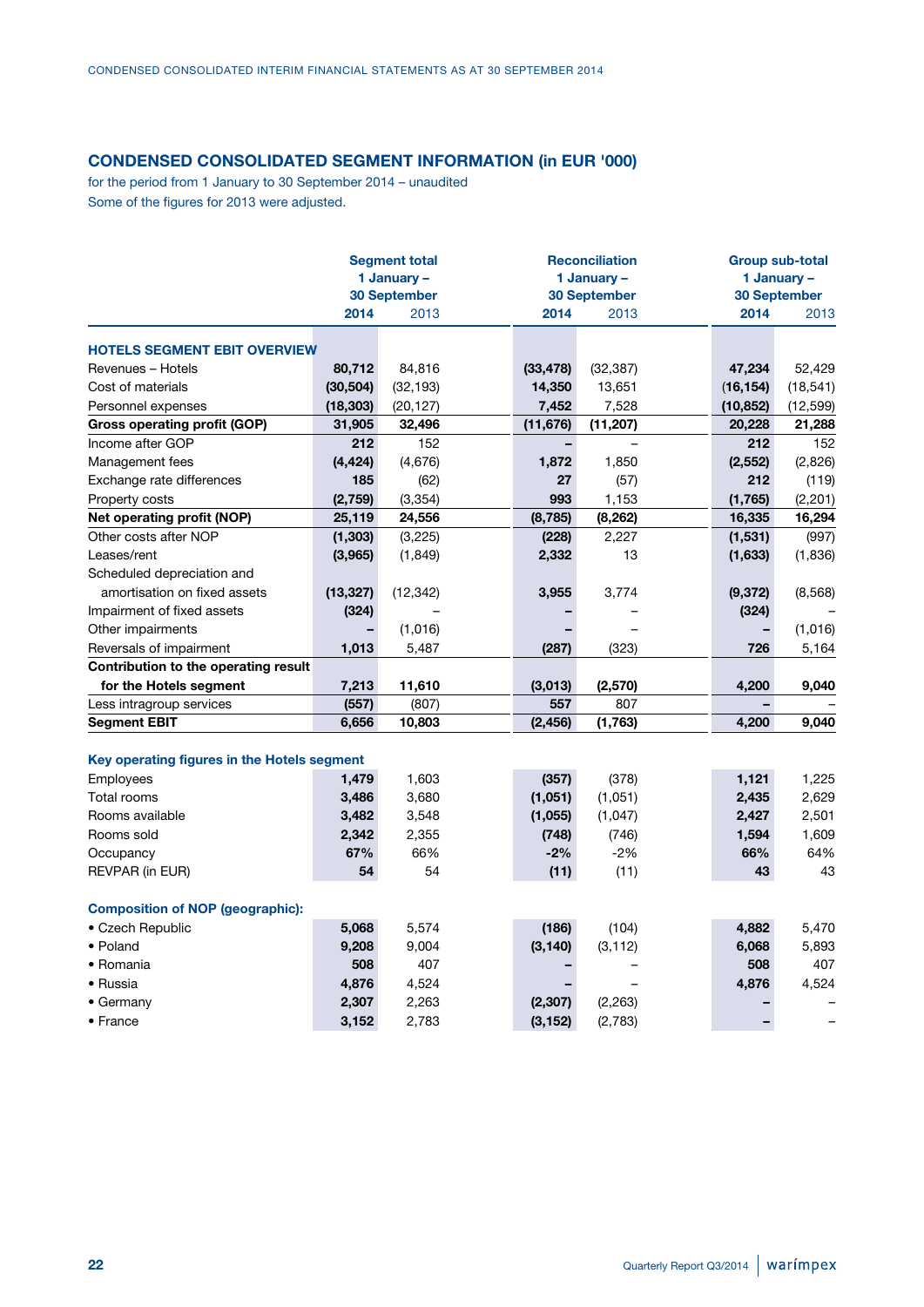### **CONDENSED CONSOLIDATED SEGMENT INFORMATION (in EUR '000)**

for the period from 1 January to 30 September 2014 – unaudited Some of the figures for 2013 were adjusted.

|                                             |           | <b>Segment total</b><br>1 January -<br><b>30 September</b> |           | <b>Reconciliation</b><br>1 January -<br><b>30 September</b> |           | <b>Group sub-total</b><br>1 January -<br><b>30 September</b> |
|---------------------------------------------|-----------|------------------------------------------------------------|-----------|-------------------------------------------------------------|-----------|--------------------------------------------------------------|
|                                             | 2014      | 2013                                                       | 2014      | 2013                                                        | 2014      | 2013                                                         |
| <b>HOTELS SEGMENT EBIT OVERVIEW</b>         |           |                                                            |           |                                                             |           |                                                              |
| Revenues - Hotels                           | 80,712    | 84,816                                                     | (33, 478) | (32, 387)                                                   | 47,234    | 52,429                                                       |
| Cost of materials                           | (30, 504) | (32, 193)                                                  | 14,350    | 13,651                                                      | (16, 154) | (18, 541)                                                    |
| Personnel expenses                          | (18, 303) | (20, 127)                                                  | 7,452     | 7,528                                                       | (10, 852) | (12, 599)                                                    |
| <b>Gross operating profit (GOP)</b>         | 31,905    | 32,496                                                     | (11, 676) | (11, 207)                                                   | 20,228    | 21,288                                                       |
| Income after GOP                            | 212       | 152                                                        |           |                                                             | 212       | 152                                                          |
| Management fees                             | (4, 424)  | (4,676)                                                    | 1,872     | 1,850                                                       | (2, 552)  | (2,826)                                                      |
| Exchange rate differences                   | 185       | (62)                                                       | 27        | (57)                                                        | 212       | (119)                                                        |
| Property costs                              | (2,759)   | (3, 354)                                                   | 993       | 1,153                                                       | (1,765)   | (2,201)                                                      |
| Net operating profit (NOP)                  | 25,119    | 24,556                                                     | (8, 785)  | (8, 262)                                                    | 16,335    | 16,294                                                       |
| Other costs after NOP                       | (1, 303)  | (3,225)                                                    | (228)     | 2,227                                                       | (1,531)   | (997)                                                        |
| Leases/rent                                 | (3,965)   | (1, 849)                                                   | 2,332     | 13                                                          | (1,633)   | (1,836)                                                      |
| Scheduled depreciation and                  |           |                                                            |           |                                                             |           |                                                              |
| amortisation on fixed assets                | (13, 327) | (12, 342)                                                  | 3,955     | 3,774                                                       | (9, 372)  | (8, 568)                                                     |
| Impairment of fixed assets                  | (324)     |                                                            |           |                                                             | (324)     |                                                              |
| Other impairments                           |           | (1,016)                                                    |           |                                                             |           | (1,016)                                                      |
| Reversals of impairment                     | 1,013     | 5,487                                                      | (287)     | (323)                                                       | 726       | 5,164                                                        |
| Contribution to the operating result        |           |                                                            |           |                                                             |           |                                                              |
| for the Hotels segment                      | 7,213     | 11,610                                                     | (3,013)   | (2,570)                                                     | 4,200     | 9,040                                                        |
| Less intragroup services                    | (557)     | (807)                                                      | 557       | 807                                                         |           |                                                              |
| <b>Segment EBIT</b>                         | 6,656     | 10,803                                                     | (2, 456)  | (1,763)                                                     | 4,200     | 9,040                                                        |
| Key operating figures in the Hotels segment |           |                                                            |           |                                                             |           |                                                              |
| Employees                                   | 1,479     | 1,603                                                      | (357)     | (378)                                                       | 1,121     | 1,225                                                        |
| <b>Total rooms</b>                          | 3,486     | 3,680                                                      | (1,051)   | (1,051)                                                     | 2,435     | 2,629                                                        |
| Rooms available                             | 3,482     | 3,548                                                      | (1,055)   | (1,047)                                                     | 2,427     | 2,501                                                        |
| Rooms sold                                  | 2,342     | 2,355                                                      | (748)     | (746)                                                       | 1,594     | 1,609                                                        |
| Occupancy                                   | 67%       | 66%                                                        | $-2%$     | $-2%$                                                       | 66%       | 64%                                                          |
| REVPAR (in EUR)                             | 54        | 54                                                         | (11)      | (11)                                                        | 43        | 43                                                           |
| <b>Composition of NOP (geographic):</b>     |           |                                                            |           |                                                             |           |                                                              |
| • Czech Republic                            | 5,068     | 5,574                                                      | (186)     | (104)                                                       | 4,882     | 5,470                                                        |
| • Poland                                    | 9,208     | 9,004                                                      | (3, 140)  | (3, 112)                                                    | 6,068     | 5,893                                                        |
| • Romania                                   | 508       | 407                                                        |           |                                                             | 508       | 407                                                          |
| • Russia                                    | 4,876     | 4,524                                                      |           |                                                             | 4,876     | 4,524                                                        |

• Germany **2,307** 2,263 **(2,307)** (2,263) **–** – • France **3,152** 2,783 **(3,152)** (2,783) **–** –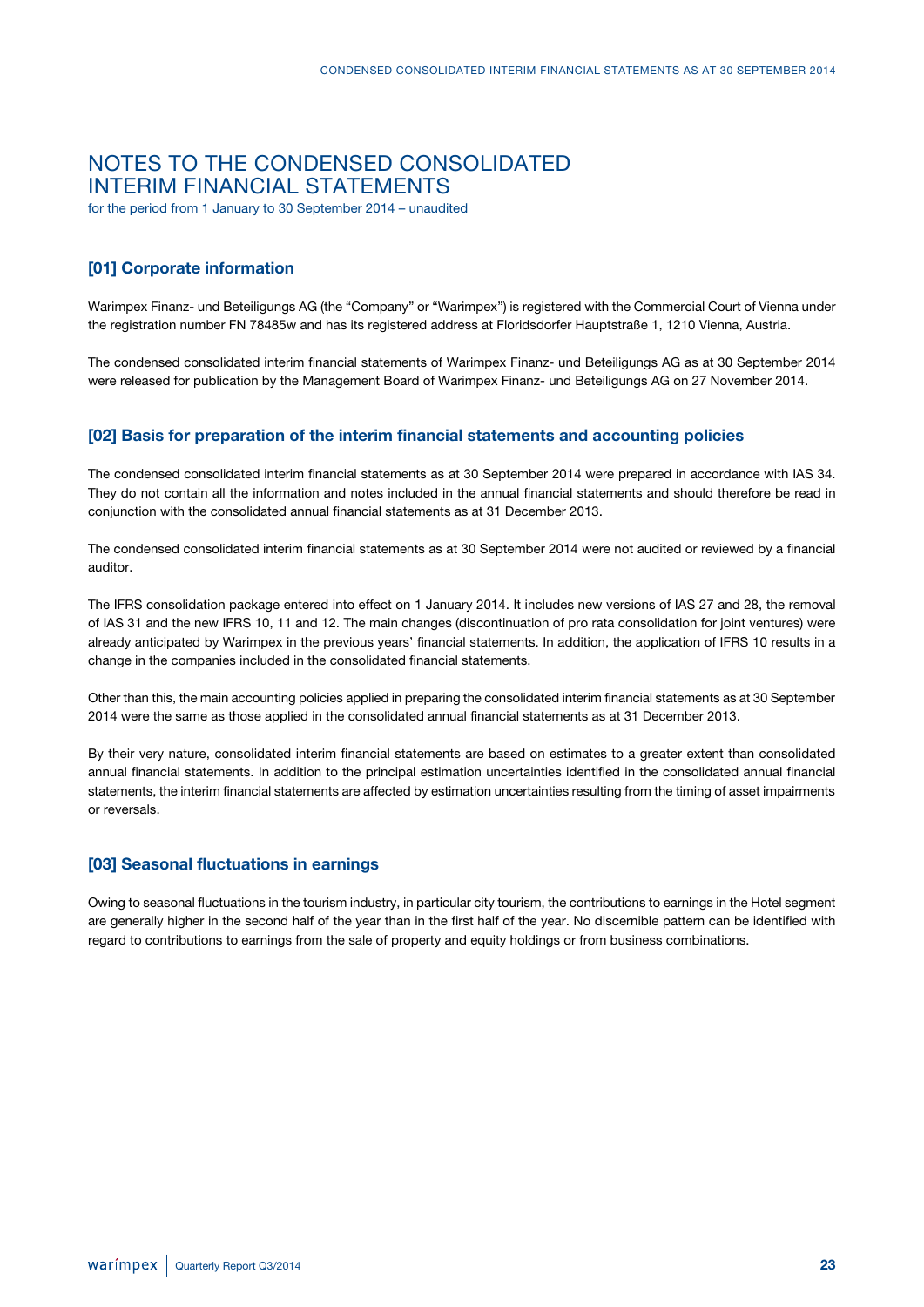### NOTES TO THE CONDENSED CONSOLIDATED INTERIM FINANCIAL STATEMENTS

for the period from 1 January to 30 September 2014 – unaudited

### **[01] Corporate information**

Warimpex Finanz- und Beteiligungs AG (the "Company" or "Warimpex") is registered with the Commercial Court of Vienna under the registration number FN 78485w and has its registered address at Floridsdorfer Hauptstraße 1, 1210 Vienna, Austria.

The condensed consolidated interim financial statements of Warimpex Finanz- und Beteiligungs AG as at 30 September 2014 were released for publication by the Management Board of Warimpex Finanz- und Beteiligungs AG on 27 November 2014.

### **[02] Basis for preparation of the interim financial statements and accounting policies**

The condensed consolidated interim financial statements as at 30 September 2014 were prepared in accordance with IAS 34. They do not contain all the information and notes included in the annual financial statements and should therefore be read in conjunction with the consolidated annual financial statements as at 31 December 2013.

The condensed consolidated interim financial statements as at 30 September 2014 were not audited or reviewed by a financial auditor.

The IFRS consolidation package entered into effect on 1 January 2014. It includes new versions of IAS 27 and 28, the removal of IAS 31 and the new IFRS 10, 11 and 12. The main changes (discontinuation of pro rata consolidation for joint ventures) were already anticipated by Warimpex in the previous years' financial statements. In addition, the application of IFRS 10 results in a change in the companies included in the consolidated financial statements.

Other than this, the main accounting policies applied in preparing the consolidated interim financial statements as at 30 September 2014 were the same as those applied in the consolidated annual financial statements as at 31 December 2013.

By their very nature, consolidated interim financial statements are based on estimates to a greater extent than consolidated annual financial statements. In addition to the principal estimation uncertainties identified in the consolidated annual financial statements, the interim financial statements are affected by estimation uncertainties resulting from the timing of asset impairments or reversals.

### **[03] Seasonal fluctuations in earnings**

Owing to seasonal fluctuations in the tourism industry, in particular city tourism, the contributions to earnings in the Hotel segment are generally higher in the second half of the year than in the first half of the year. No discernible pattern can be identified with regard to contributions to earnings from the sale of property and equity holdings or from business combinations.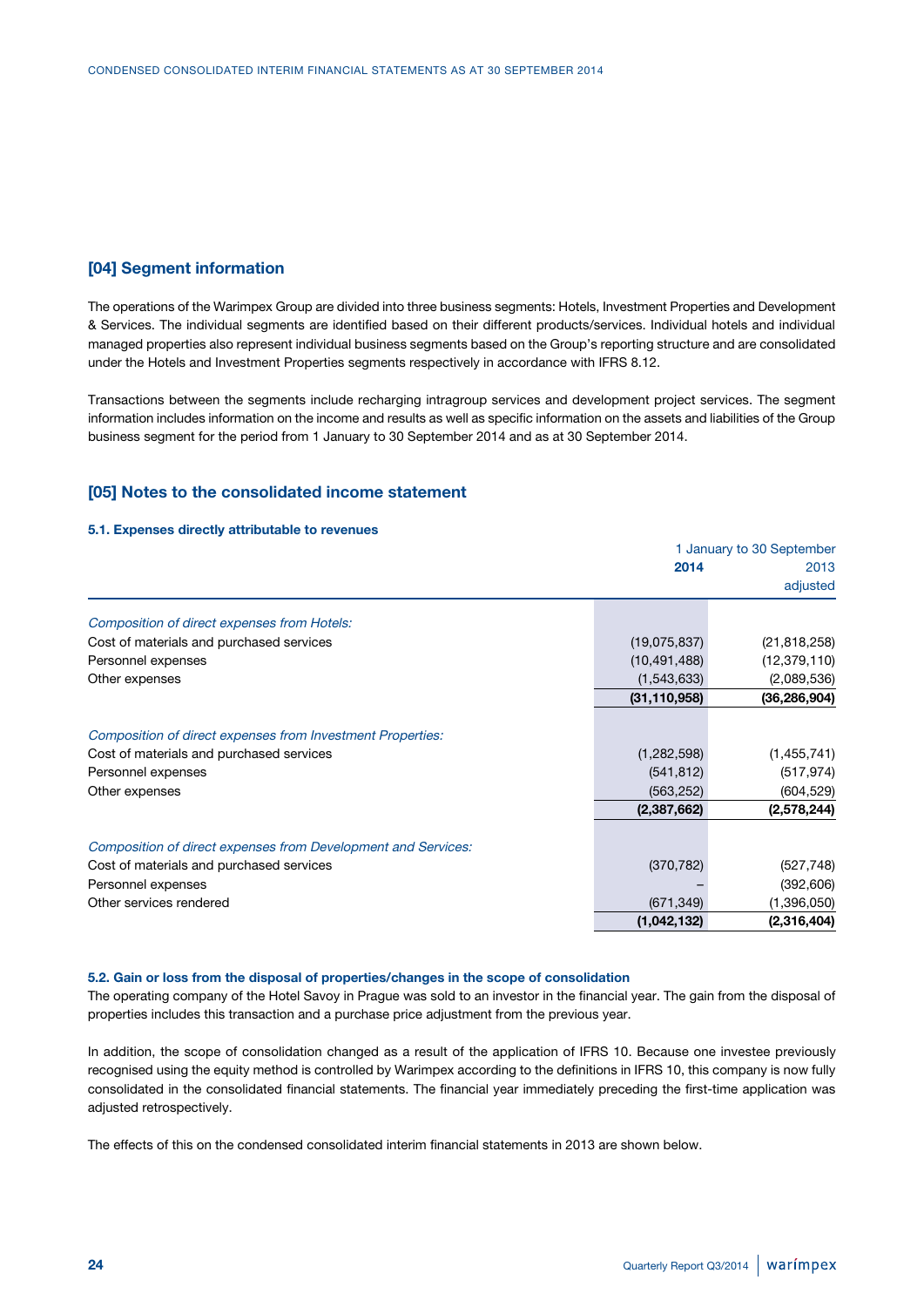### **[04] Segment information**

The operations of the Warimpex Group are divided into three business segments: Hotels, Investment Properties and Development & Services. The individual segments are identified based on their different products/services. Individual hotels and individual managed properties also represent individual business segments based on the Group's reporting structure and are consolidated under the Hotels and Investment Properties segments respectively in accordance with IFRS 8.12.

Transactions between the segments include recharging intragroup services and development project services. The segment information includes information on the income and results as well as specific information on the assets and liabilities of the Group business segment for the period from 1 January to 30 September 2014 and as at 30 September 2014.

### **[05] Notes to the consolidated income statement**

#### **5.1. Expenses directly attributable to revenues**

|                                                               |                | 1 January to 30 September |
|---------------------------------------------------------------|----------------|---------------------------|
|                                                               | 2014           | 2013                      |
|                                                               |                | adjusted                  |
| Composition of direct expenses from Hotels:                   |                |                           |
| Cost of materials and purchased services                      | (19,075,837)   | (21, 818, 258)            |
| Personnel expenses                                            | (10, 491, 488) | (12, 379, 110)            |
| Other expenses                                                | (1,543,633)    | (2,089,536)               |
|                                                               | (31, 110, 958) | (36, 286, 904)            |
| Composition of direct expenses from Investment Properties:    |                |                           |
| Cost of materials and purchased services                      | (1,282,598)    | (1,455,741)               |
| Personnel expenses                                            | (541, 812)     | (517, 974)                |
| Other expenses                                                | (563, 252)     | (604, 529)                |
|                                                               | (2,387,662)    | (2,578,244)               |
| Composition of direct expenses from Development and Services: |                |                           |
| Cost of materials and purchased services                      | (370, 782)     | (527, 748)                |
| Personnel expenses                                            |                | (392, 606)                |
| Other services rendered                                       | (671, 349)     | (1,396,050)               |
|                                                               | (1,042,132)    | (2,316,404)               |

#### **5.2. Gain or loss from the disposal of properties/changes in the scope of consolidation**

The operating company of the Hotel Savoy in Prague was sold to an investor in the financial year. The gain from the disposal of properties includes this transaction and a purchase price adjustment from the previous year.

In addition, the scope of consolidation changed as a result of the application of IFRS 10. Because one investee previously recognised using the equity method is controlled by Warimpex according to the definitions in IFRS 10, this company is now fully consolidated in the consolidated financial statements. The financial year immediately preceding the first-time application was adjusted retrospectively.

The effects of this on the condensed consolidated interim financial statements in 2013 are shown below.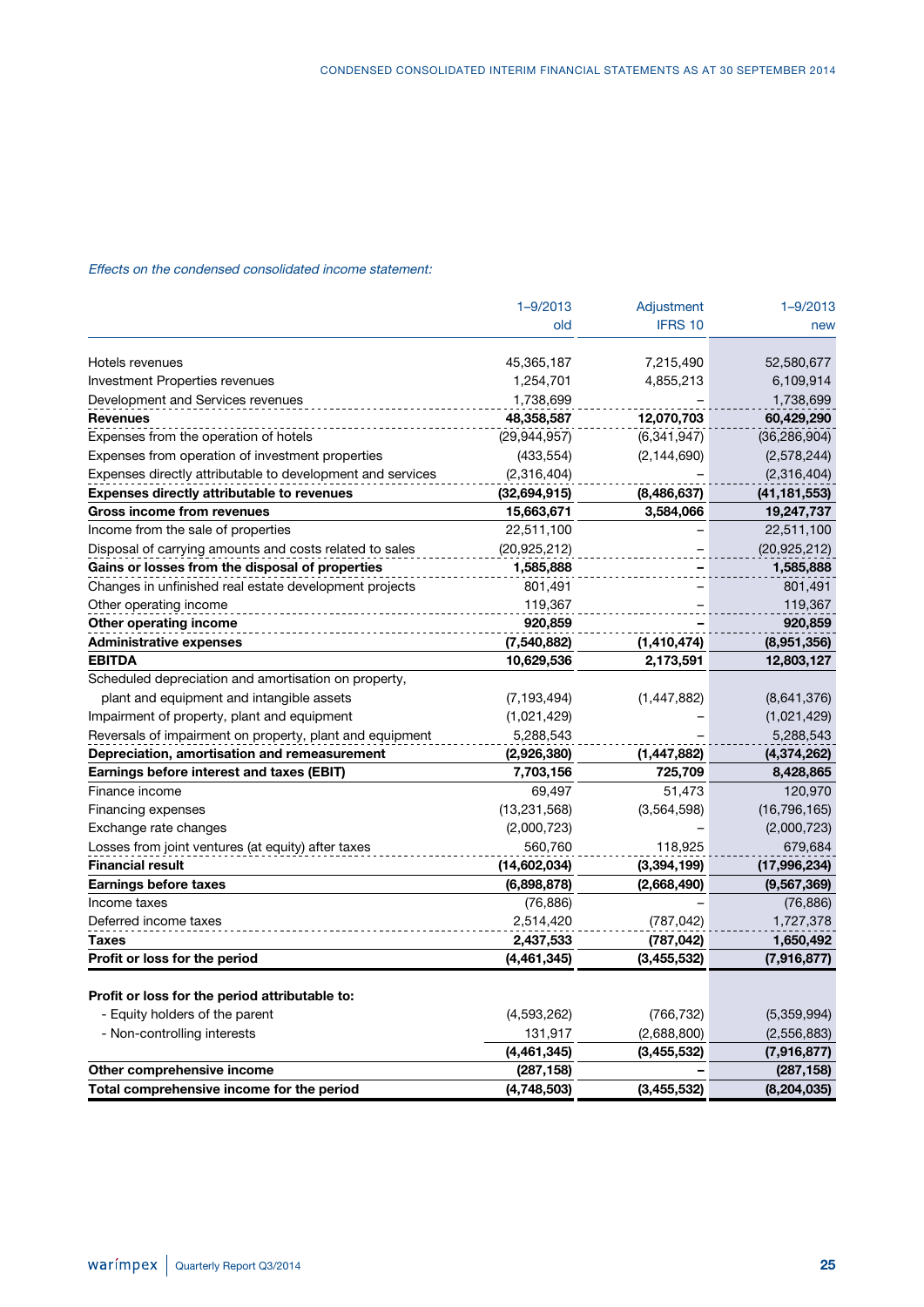### Effects on the condensed consolidated income statement:

|                                                            | $1 - 9/2013$   | Adjustment    | $1 - 9/2013$   |
|------------------------------------------------------------|----------------|---------------|----------------|
|                                                            | old            | IFRS 10       | new            |
| Hotels revenues                                            | 45,365,187     | 7,215,490     | 52,580,677     |
| <b>Investment Properties revenues</b>                      | 1,254,701      | 4,855,213     | 6,109,914      |
| Development and Services revenues                          | 1,738,699      |               | 1,738,699      |
| <b>Revenues</b>                                            | 48,358,587     | 12,070,703    | 60,429,290     |
| Expenses from the operation of hotels                      | (29,944,957)   | (6, 341, 947) | (36, 286, 904) |
| Expenses from operation of investment properties           | (433, 554)     | (2, 144, 690) | (2,578,244)    |
| Expenses directly attributable to development and services | (2,316,404)    |               | (2,316,404)    |
| <b>Expenses directly attributable to revenues</b>          | (32,694,915)   | (8,486,637)   | (41,181,553)   |
| Gross income from revenues                                 | 15,663,671     | 3,584,066     | 19,247,737     |
| Income from the sale of properties                         | 22,511,100     |               | 22,511,100     |
| Disposal of carrying amounts and costs related to sales    | (20, 925, 212) |               | (20, 925, 212) |
| Gains or losses from the disposal of properties            | 1,585,888      |               | 1,585,888      |
| Changes in unfinished real estate development projects     | 801,491        |               | 801,491        |
| Other operating income                                     | 119,367        |               | 119,367        |
| Other operating income                                     | 920,859        |               | 920,859        |
| <b>Administrative expenses</b>                             | (7,540,882)    | (1, 410, 474) | (8,951,356)    |
| <b>EBITDA</b>                                              | 10,629,536     | 2,173,591     | 12,803,127     |
| Scheduled depreciation and amortisation on property,       |                |               |                |
| plant and equipment and intangible assets                  | (7, 193, 494)  | (1, 447, 882) | (8,641,376)    |
| Impairment of property, plant and equipment                | (1,021,429)    |               | (1,021,429)    |
| Reversals of impairment on property, plant and equipment   | 5,288,543      |               | 5,288,543      |
| Depreciation, amortisation and remeasurement               | (2,926,380)    | (1, 447, 882) | (4,374,262)    |
| Earnings before interest and taxes (EBIT)                  | 7,703,156      | 725,709       | 8,428,865      |
| Finance income                                             | 69,497         | 51,473        | 120,970        |
| Financing expenses                                         | (13, 231, 568) | (3,564,598)   | (16, 796, 165) |
| Exchange rate changes                                      | (2,000,723)    |               | (2,000,723)    |
| Losses from joint ventures (at equity) after taxes         | 560,760        | 118,925       | 679,684        |
| <b>Financial result</b>                                    | (14,602,034)   | (3,394,199)   | (17,996,234)   |
| <b>Earnings before taxes</b>                               | (6,898,878)    | (2,668,490)   | (9, 567, 369)  |
| Income taxes                                               | (76, 886)      |               | (76, 886)      |
| Deferred income taxes                                      | 2,514,420      | (787, 042)    | 1,727,378      |
| Taxes                                                      | 2,437,533      | (787, 042)    | 1,650,492      |
| Profit or loss for the period                              | (4,461,345)    | (3,455,532)   | (7,916,877)    |
| Profit or loss for the period attributable to:             |                |               |                |
| - Equity holders of the parent                             | (4,593,262)    | (766, 732)    | (5,359,994)    |
| - Non-controlling interests                                | 131,917        | (2,688,800)   | (2,556,883)    |
|                                                            | (4, 461, 345)  | (3,455,532)   | (7,916,877)    |
| Other comprehensive income                                 | (287, 158)     |               | (287, 158)     |
| Total comprehensive income for the period                  | (4,748,503)    | (3,455,532)   | (8, 204, 035)  |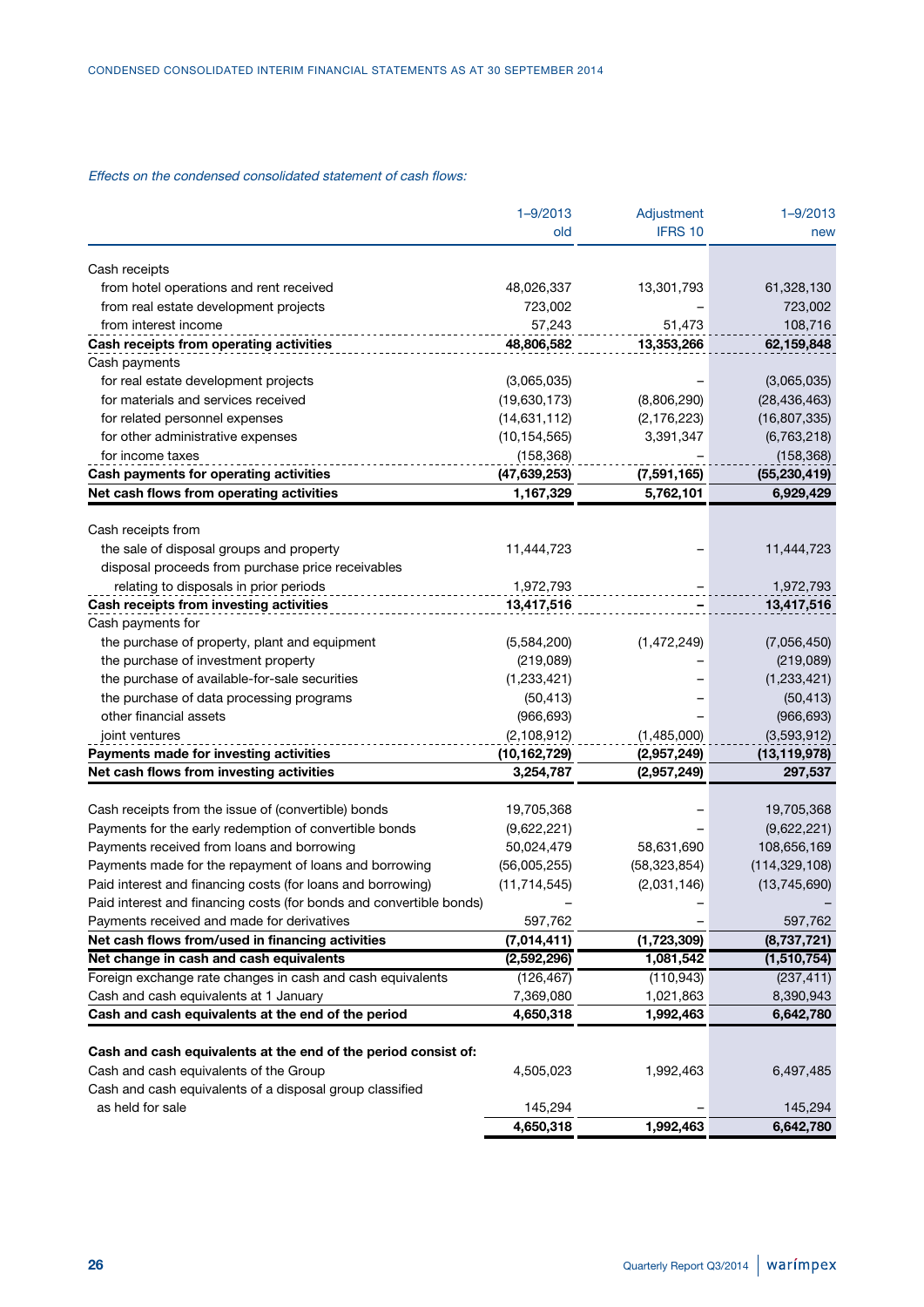### Effects on the condensed consolidated statement of cash flows:

|                                                                     | $1 - 9/2013$   | Adjustment     | $1 - 9/2013$                  |
|---------------------------------------------------------------------|----------------|----------------|-------------------------------|
|                                                                     | old            | IFRS 10        | new                           |
| Cash receipts                                                       |                |                |                               |
| from hotel operations and rent received                             | 48,026,337     | 13,301,793     | 61,328,130                    |
| from real estate development projects                               | 723,002        |                | 723,002                       |
| from interest income                                                | 57,243         | 51,473         | 108,716                       |
| Cash receipts from operating activities                             | 48,806,582     | 13,353,266     | 62,159,848                    |
| Cash payments                                                       |                |                |                               |
| for real estate development projects                                | (3,065,035)    |                |                               |
| for materials and services received                                 | (19,630,173)   |                | (3,065,035)<br>(28, 436, 463) |
| for related personnel expenses                                      |                | (8,806,290)    |                               |
|                                                                     | (14,631,112)   | (2, 176, 223)  | (16, 807, 335)                |
| for other administrative expenses                                   | (10, 154, 565) | 3,391,347      | (6,763,218)                   |
| for income taxes                                                    | (158, 368)     |                | (158, 368)                    |
| Cash payments for operating activities                              | (47,639,253)   | (7,591,165)    | (55, 230, 419)                |
| Net cash flows from operating activities                            | 1,167,329      | 5,762,101      | 6,929,429                     |
| Cash receipts from                                                  |                |                |                               |
| the sale of disposal groups and property                            | 11,444,723     |                | 11,444,723                    |
| disposal proceeds from purchase price receivables                   |                |                |                               |
| relating to disposals in prior periods                              | 1,972,793      |                | 1,972,793                     |
| Cash receipts from investing activities                             | 13,417,516     |                | 13,417,516                    |
| Cash payments for                                                   |                |                |                               |
| the purchase of property, plant and equipment                       | (5,584,200)    | (1,472,249)    | (7,056,450)                   |
| the purchase of investment property                                 | (219, 089)     |                | (219,089)                     |
| the purchase of available-for-sale securities                       | (1,233,421)    |                | (1,233,421)                   |
| the purchase of data processing programs                            | (50, 413)      |                | (50, 413)                     |
| other financial assets                                              | (966, 693)     |                | (966, 693)                    |
| joint ventures                                                      | (2, 108, 912)  | (1,485,000)    | (3,593,912)                   |
| Payments made for investing activities                              | (10, 162, 729) | (2,957,249)    | (13, 119, 978)                |
| Net cash flows from investing activities                            | 3,254,787      | (2,957,249)    | 297,537                       |
|                                                                     |                |                |                               |
| Cash receipts from the issue of (convertible) bonds                 | 19,705,368     |                | 19,705,368                    |
| Payments for the early redemption of convertible bonds              | (9,622,221)    |                | (9,622,221)                   |
| Payments received from loans and borrowing                          | 50,024,479     | 58,631,690     | 108,656,169                   |
| Payments made for the repayment of loans and borrowing              | (56,005,255)   | (58, 323, 854) | (114, 329, 108)               |
| Paid interest and financing costs (for loans and borrowing)         | (11, 714, 545) | (2,031,146)    | (13, 745, 690)                |
| Paid interest and financing costs (for bonds and convertible bonds) |                |                |                               |
| Payments received and made for derivatives                          | 597,762        |                | 597,762                       |
| Net cash flows from/used in financing activities                    | (7,014,411)    | (1,723,309)    | (8,737,721)                   |
| Net change in cash and cash equivalents                             | (2,592,296)    | 1,081,542      | (1,510,754)                   |
| Foreign exchange rate changes in cash and cash equivalents          | (126, 467)     | (110, 943)     | (237, 411)                    |
| Cash and cash equivalents at 1 January                              | 7,369,080      | 1,021,863      | 8,390,943                     |
| Cash and cash equivalents at the end of the period                  | 4,650,318      | 1,992,463      | 6,642,780                     |
| Cash and cash equivalents at the end of the period consist of:      |                |                |                               |
| Cash and cash equivalents of the Group                              | 4,505,023      | 1,992,463      | 6,497,485                     |
| Cash and cash equivalents of a disposal group classified            |                |                |                               |
| as held for sale                                                    | 145,294        |                | 145,294                       |
|                                                                     | 4,650,318      | 1,992,463      | 6,642,780                     |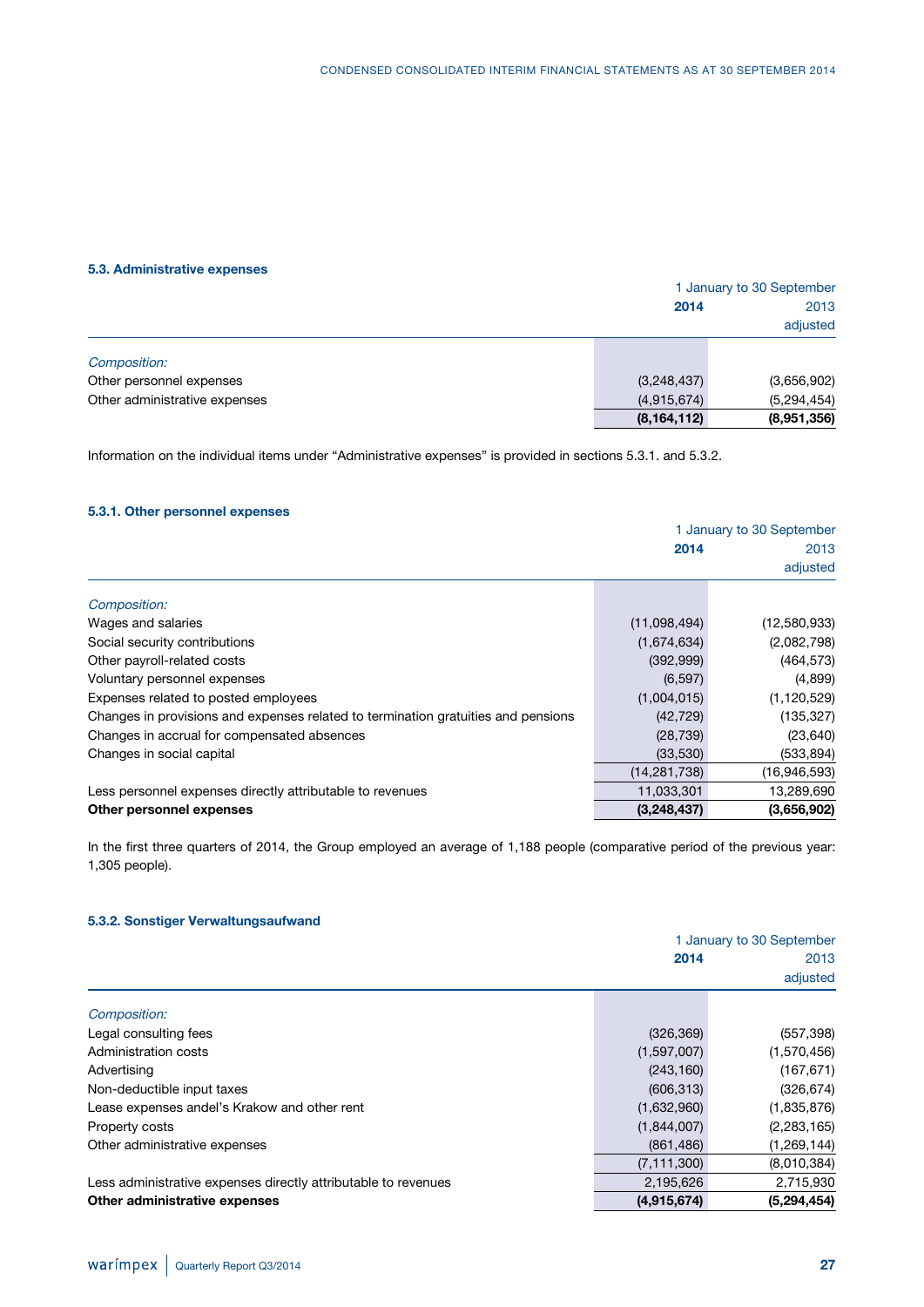### **5.3. Administrative expenses**

|                               |               | 1 January to 30 September |  |  |  |
|-------------------------------|---------------|---------------------------|--|--|--|
|                               | 2014          | 2013                      |  |  |  |
|                               |               | adjusted                  |  |  |  |
| Composition:                  |               |                           |  |  |  |
| Other personnel expenses      | (3,248,437)   | (3,656,902)               |  |  |  |
| Other administrative expenses | (4,915,674)   | (5,294,454)               |  |  |  |
|                               | (8, 164, 112) | (8,951,356)               |  |  |  |

Information on the individual items under "Administrative expenses" is provided in sections 5.3.1. and 5.3.2.

### **5.3.1. Other personnel expenses**

|                                                                                   | 1 January to 30 September |               |  |
|-----------------------------------------------------------------------------------|---------------------------|---------------|--|
|                                                                                   | 2014                      | 2013          |  |
|                                                                                   |                           | adjusted      |  |
| Composition:                                                                      |                           |               |  |
| Wages and salaries                                                                | (11,098,494)              | (12,580,933)  |  |
| Social security contributions                                                     | (1,674,634)               | (2,082,798)   |  |
| Other payroll-related costs                                                       | (392, 999)                | (464, 573)    |  |
| Voluntary personnel expenses                                                      | (6, 597)                  | (4,899)       |  |
| Expenses related to posted employees                                              | (1,004,015)               | (1, 120, 529) |  |
| Changes in provisions and expenses related to termination gratuities and pensions | (42, 729)                 | (135, 327)    |  |
| Changes in accrual for compensated absences                                       | (28, 739)                 | (23, 640)     |  |
| Changes in social capital                                                         | (33,530)                  | (533, 894)    |  |
|                                                                                   | (14, 281, 738)            | (16,946,593)  |  |
| Less personnel expenses directly attributable to revenues                         | 11,033,301                | 13,289,690    |  |
| Other personnel expenses                                                          | (3,248,437)               | (3,656,902)   |  |

In the first three quarters of 2014, the Group employed an average of 1,188 people (comparative period of the previous year: 1,305 people).

### **5.3.2. Sonstiger Verwaltungsaufwand**

|                                                                |               | 1 January to 30 September |
|----------------------------------------------------------------|---------------|---------------------------|
|                                                                | 2014          | 2013                      |
|                                                                |               | adjusted                  |
| Composition:                                                   |               |                           |
| Legal consulting fees                                          | (326, 369)    | (557, 398)                |
| Administration costs                                           | (1,597,007)   | (1,570,456)               |
| Advertising                                                    | (243, 160)    | (167, 671)                |
| Non-deductible input taxes                                     | (606, 313)    | (326, 674)                |
| Lease expenses andel's Krakow and other rent                   | (1,632,960)   | (1,835,876)               |
| Property costs                                                 | (1,844,007)   | (2, 283, 165)             |
| Other administrative expenses                                  | (861, 486)    | (1,269,144)               |
|                                                                | (7, 111, 300) | (8,010,384)               |
| Less administrative expenses directly attributable to revenues | 2,195,626     | 2,715,930                 |
| Other administrative expenses                                  | (4,915,674)   | (5, 294, 454)             |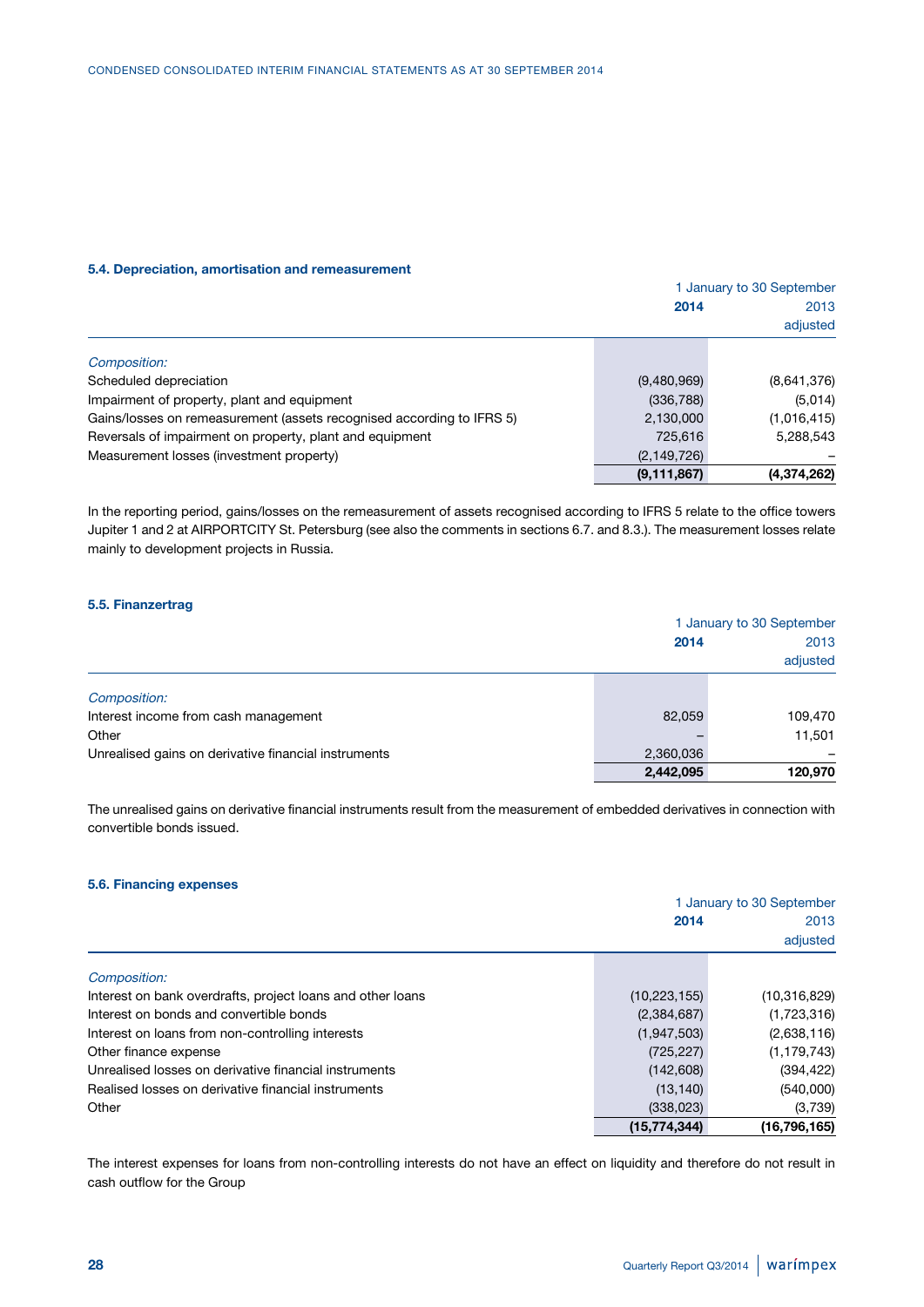#### **5.4. Depreciation, amortisation and remeasurement**

|                                                                       |               | 1 January to 30 September |
|-----------------------------------------------------------------------|---------------|---------------------------|
|                                                                       | 2014          | 2013                      |
|                                                                       |               | adjusted                  |
| Composition:                                                          |               |                           |
| Scheduled depreciation                                                | (9,480,969)   | (8,641,376)               |
| Impairment of property, plant and equipment                           | (336, 788)    | (5,014)                   |
| Gains/losses on remeasurement (assets recognised according to IFRS 5) | 2,130,000     | (1,016,415)               |
| Reversals of impairment on property, plant and equipment              | 725,616       | 5,288,543                 |
| Measurement losses (investment property)                              | (2, 149, 726) |                           |
|                                                                       | (9, 111, 867) | (4,374,262)               |

In the reporting period, gains/losses on the remeasurement of assets recognised according to IFRS 5 relate to the office towers Jupiter 1 and 2 at AIRPORTCITY St. Petersburg (see also the comments in sections 6.7. and 8.3.). The measurement losses relate mainly to development projects in Russia.

### **5.5. Finanzertrag**

|                                                      |           | 1 January to 30 September |  |  |
|------------------------------------------------------|-----------|---------------------------|--|--|
|                                                      | 2014      | 2013                      |  |  |
|                                                      |           | adjusted                  |  |  |
| Composition:                                         |           |                           |  |  |
| Interest income from cash management                 | 82.059    | 109,470                   |  |  |
| Other                                                |           | 11,501                    |  |  |
| Unrealised gains on derivative financial instruments | 2,360,036 |                           |  |  |
|                                                      | 2,442,095 | 120,970                   |  |  |

The unrealised gains on derivative financial instruments result from the measurement of embedded derivatives in connection with convertible bonds issued.

### **5.6. Financing expenses**

|                                                            |                | 1 January to 30 September |  |  |  |
|------------------------------------------------------------|----------------|---------------------------|--|--|--|
|                                                            | 2014           | 2013                      |  |  |  |
|                                                            |                | adjusted                  |  |  |  |
| Composition:                                               |                |                           |  |  |  |
| Interest on bank overdrafts, project loans and other loans | (10, 223, 155) | (10, 316, 829)            |  |  |  |
| Interest on bonds and convertible bonds                    | (2,384,687)    | (1,723,316)               |  |  |  |
| Interest on loans from non-controlling interests           | (1,947,503)    | (2,638,116)               |  |  |  |
| Other finance expense                                      | (725, 227)     | (1, 179, 743)             |  |  |  |
| Unrealised losses on derivative financial instruments      | (142,608)      | (394, 422)                |  |  |  |
| Realised losses on derivative financial instruments        | (13, 140)      | (540,000)                 |  |  |  |
| Other                                                      | (338,023)      | (3,739)                   |  |  |  |
|                                                            | (15, 774, 344) | (16, 796, 165)            |  |  |  |

The interest expenses for loans from non-controlling interests do not have an effect on liquidity and therefore do not result in cash outflow for the Group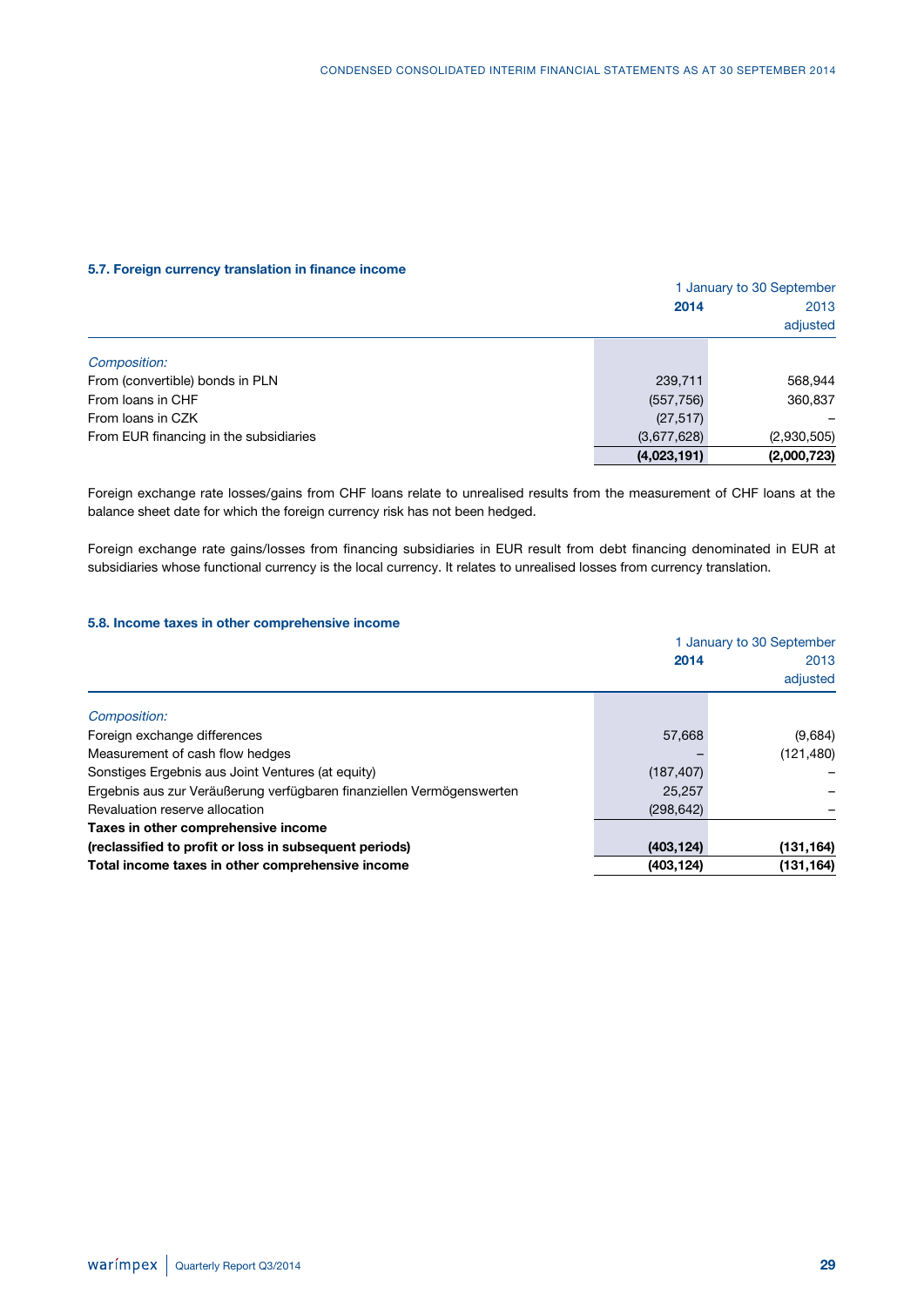### **5.7. Foreign currency translation in finance income**

|                                        |             | 1 January to 30 September |  |  |
|----------------------------------------|-------------|---------------------------|--|--|
|                                        | 2014        | 2013                      |  |  |
|                                        |             | adjusted                  |  |  |
| Composition:                           |             |                           |  |  |
| From (convertible) bonds in PLN        | 239,711     | 568,944                   |  |  |
| From Ioans in CHF                      | (557, 756)  | 360,837                   |  |  |
| From Ioans in CZK                      | (27, 517)   |                           |  |  |
| From EUR financing in the subsidiaries | (3,677,628) | (2,930,505)               |  |  |
|                                        | (4,023,191) | (2,000,723)               |  |  |

Foreign exchange rate losses/gains from CHF loans relate to unrealised results from the measurement of CHF loans at the balance sheet date for which the foreign currency risk has not been hedged.

Foreign exchange rate gains/losses from financing subsidiaries in EUR result from debt financing denominated in EUR at subsidiaries whose functional currency is the local currency. It relates to unrealised losses from currency translation.

### **5.8. Income taxes in other comprehensive income**

|            | 1 January to 30 September |  |  |
|------------|---------------------------|--|--|
| 2014       | 2013                      |  |  |
|            | adjusted                  |  |  |
|            |                           |  |  |
| 57,668     | (9,684)                   |  |  |
|            | (121, 480)                |  |  |
| (187, 407) |                           |  |  |
| 25,257     |                           |  |  |
| (298, 642) |                           |  |  |
|            |                           |  |  |
| (403, 124) | (131, 164)                |  |  |
| (403, 124) | (131, 164)                |  |  |
|            |                           |  |  |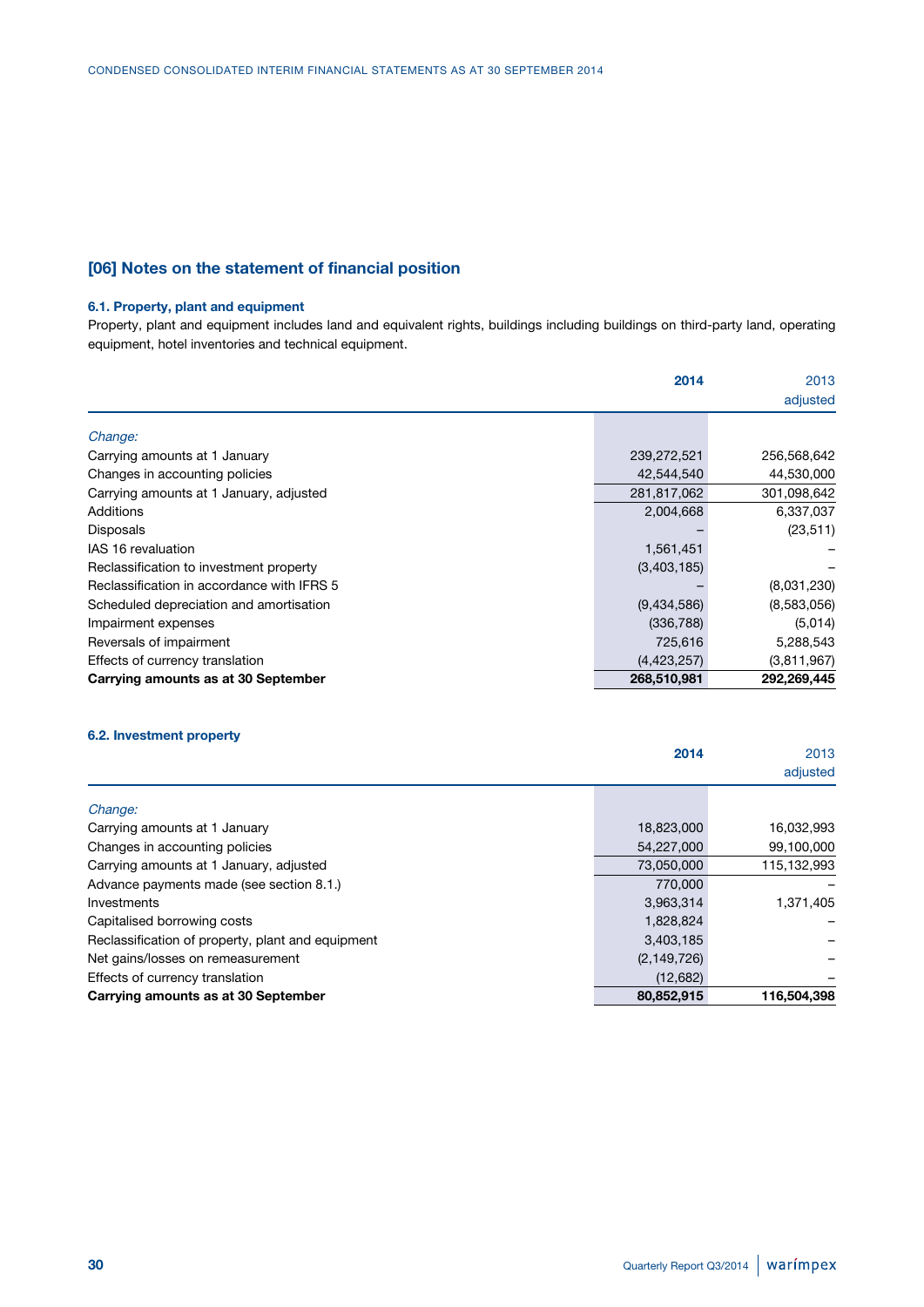### **[06] Notes on the statement of financial position**

### **6.1. Property, plant and equipment**

Property, plant and equipment includes land and equivalent rights, buildings including buildings on third-party land, operating equipment, hotel inventories and technical equipment.

|                                            | 2014        | 2013        |
|--------------------------------------------|-------------|-------------|
|                                            |             | adjusted    |
| Change:                                    |             |             |
| Carrying amounts at 1 January              | 239,272,521 | 256,568,642 |
| Changes in accounting policies             | 42,544,540  | 44,530,000  |
| Carrying amounts at 1 January, adjusted    | 281,817,062 | 301,098,642 |
| Additions                                  | 2,004,668   | 6,337,037   |
| Disposals                                  |             | (23, 511)   |
| IAS 16 revaluation                         | 1,561,451   |             |
| Reclassification to investment property    | (3,403,185) |             |
| Reclassification in accordance with IFRS 5 |             | (8,031,230) |
| Scheduled depreciation and amortisation    | (9,434,586) | (8,583,056) |
| Impairment expenses                        | (336, 788)  | (5,014)     |
| Reversals of impairment                    | 725,616     | 5,288,543   |
| Effects of currency translation            | (4,423,257) | (3,811,967) |
| Carrying amounts as at 30 September        | 268,510,981 | 292,269,445 |

#### **6.2. Investment property**

|                                                   | 2014          | 2013        |
|---------------------------------------------------|---------------|-------------|
|                                                   |               | adjusted    |
|                                                   |               |             |
| Change:                                           |               |             |
| Carrying amounts at 1 January                     | 18,823,000    | 16,032,993  |
| Changes in accounting policies                    | 54,227,000    | 99,100,000  |
| Carrying amounts at 1 January, adjusted           | 73,050,000    | 115,132,993 |
| Advance payments made (see section 8.1.)          | 770,000       |             |
| Investments                                       | 3,963,314     | 1,371,405   |
| Capitalised borrowing costs                       | 1,828,824     |             |
| Reclassification of property, plant and equipment | 3,403,185     |             |
| Net gains/losses on remeasurement                 | (2, 149, 726) |             |
| Effects of currency translation                   | (12,682)      |             |
| Carrying amounts as at 30 September               | 80,852,915    | 116,504,398 |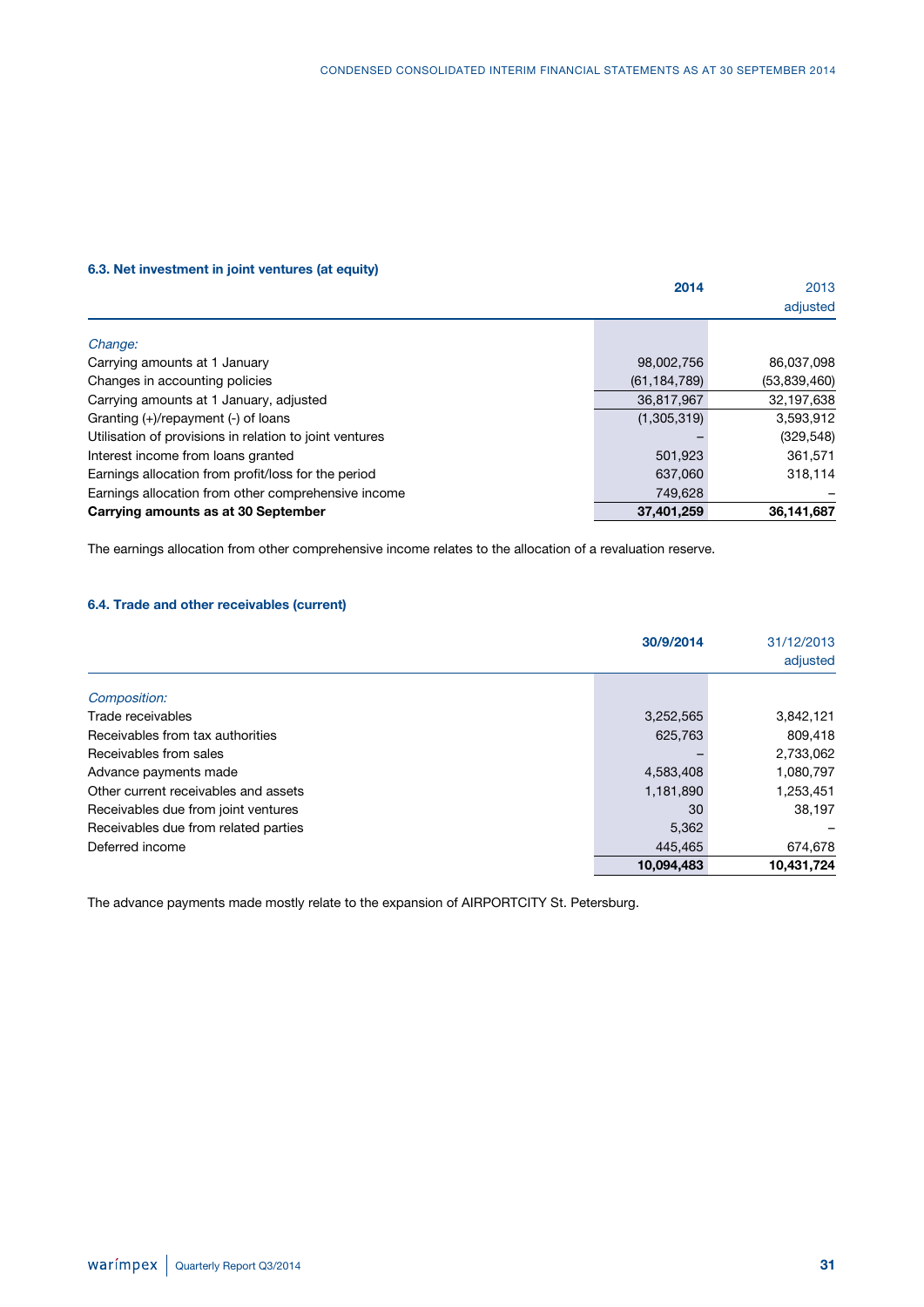### **6.3. Net investment in joint ventures (at equity)**

|                                                         | 2014           | 2013         |
|---------------------------------------------------------|----------------|--------------|
|                                                         |                | adjusted     |
| Change:                                                 |                |              |
| Carrying amounts at 1 January                           | 98,002,756     | 86,037,098   |
| Changes in accounting policies                          | (61, 184, 789) | (53,839,460) |
| Carrying amounts at 1 January, adjusted                 | 36,817,967     | 32,197,638   |
| Granting $(+)/$ repayment $(-)$ of loans                | (1,305,319)    | 3,593,912    |
| Utilisation of provisions in relation to joint ventures |                | (329, 548)   |
| Interest income from loans granted                      | 501,923        | 361,571      |
| Earnings allocation from profit/loss for the period     | 637.060        | 318,114      |
| Earnings allocation from other comprehensive income     | 749.628        |              |
| Carrying amounts as at 30 September                     | 37,401,259     | 36,141,687   |

The earnings allocation from other comprehensive income relates to the allocation of a revaluation reserve.

### **6.4. Trade and other receivables (current)**

|                                      | 30/9/2014  | 31/12/2013<br>adjusted |
|--------------------------------------|------------|------------------------|
|                                      |            |                        |
| Composition:                         |            |                        |
| Trade receivables                    | 3,252,565  | 3,842,121              |
| Receivables from tax authorities     | 625,763    | 809,418                |
| Receivables from sales               |            | 2,733,062              |
| Advance payments made                | 4,583,408  | 1,080,797              |
| Other current receivables and assets | 1,181,890  | 1,253,451              |
| Receivables due from joint ventures  | 30         | 38.197                 |
| Receivables due from related parties | 5,362      |                        |
| Deferred income                      | 445.465    | 674,678                |
|                                      | 10,094,483 | 10,431,724             |

The advance payments made mostly relate to the expansion of AIRPORTCITY St. Petersburg.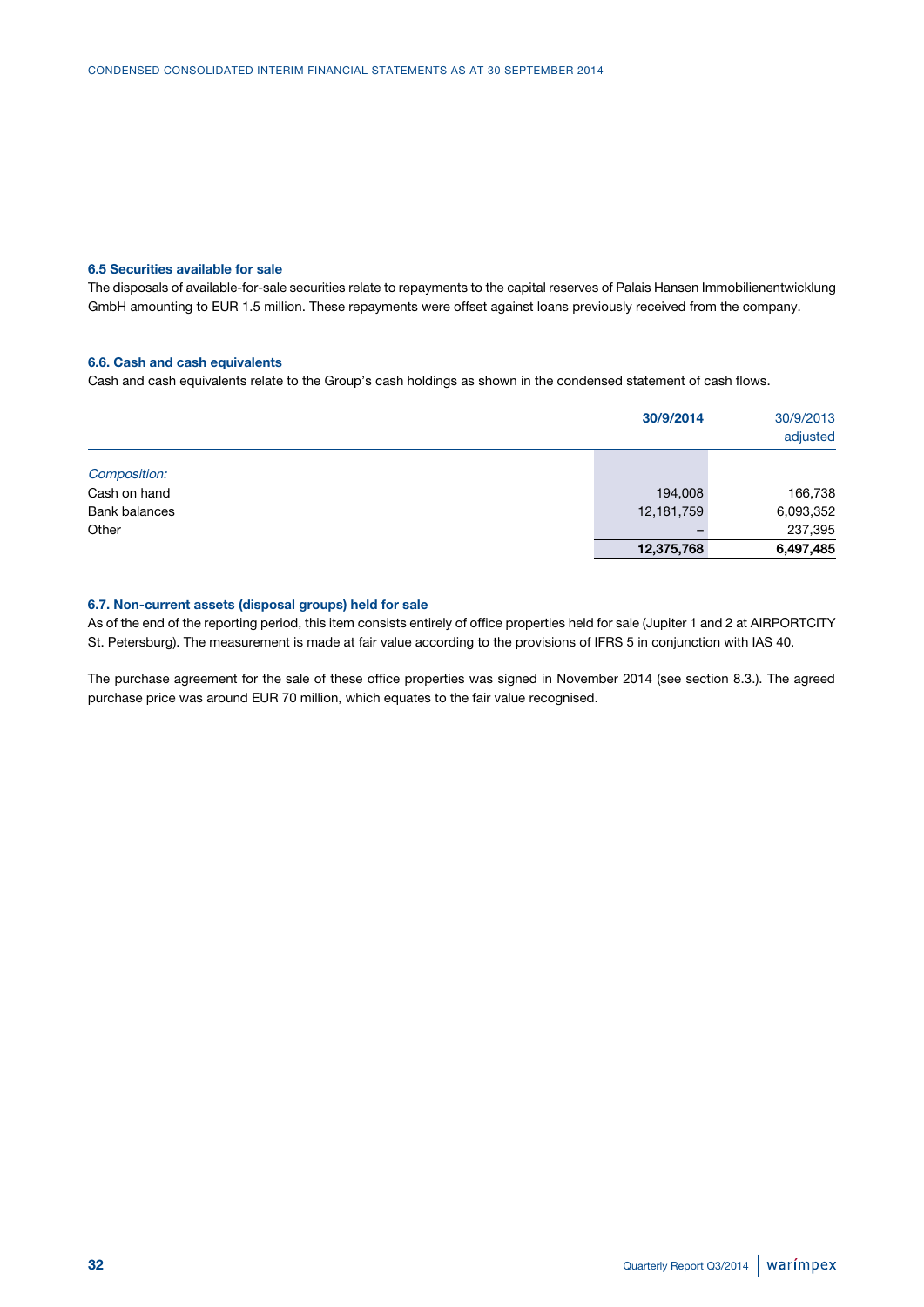### **6.5 Securities available for sale**

The disposals of available-for-sale securities relate to repayments to the capital reserves of Palais Hansen Immobilienentwicklung GmbH amounting to EUR 1.5 million. These repayments were offset against loans previously received from the company.

#### **6.6. Cash and cash equivalents**

Cash and cash equivalents relate to the Group's cash holdings as shown in the condensed statement of cash flows.

|                      | 30/9/2014  | 30/9/2013<br>adjusted |  |
|----------------------|------------|-----------------------|--|
| Composition:         |            |                       |  |
| Cash on hand         | 194,008    | 166,738               |  |
| <b>Bank balances</b> | 12,181,759 | 6,093,352             |  |
| Other                |            | 237,395               |  |
|                      | 12,375,768 | 6,497,485             |  |

#### **6.7. Non-current assets (disposal groups) held for sale**

As of the end of the reporting period, this item consists entirely of office properties held for sale (Jupiter 1 and 2 at AIRPORTCITY St. Petersburg). The measurement is made at fair value according to the provisions of IFRS 5 in conjunction with IAS 40.

The purchase agreement for the sale of these office properties was signed in November 2014 (see section 8.3.). The agreed purchase price was around EUR 70 million, which equates to the fair value recognised.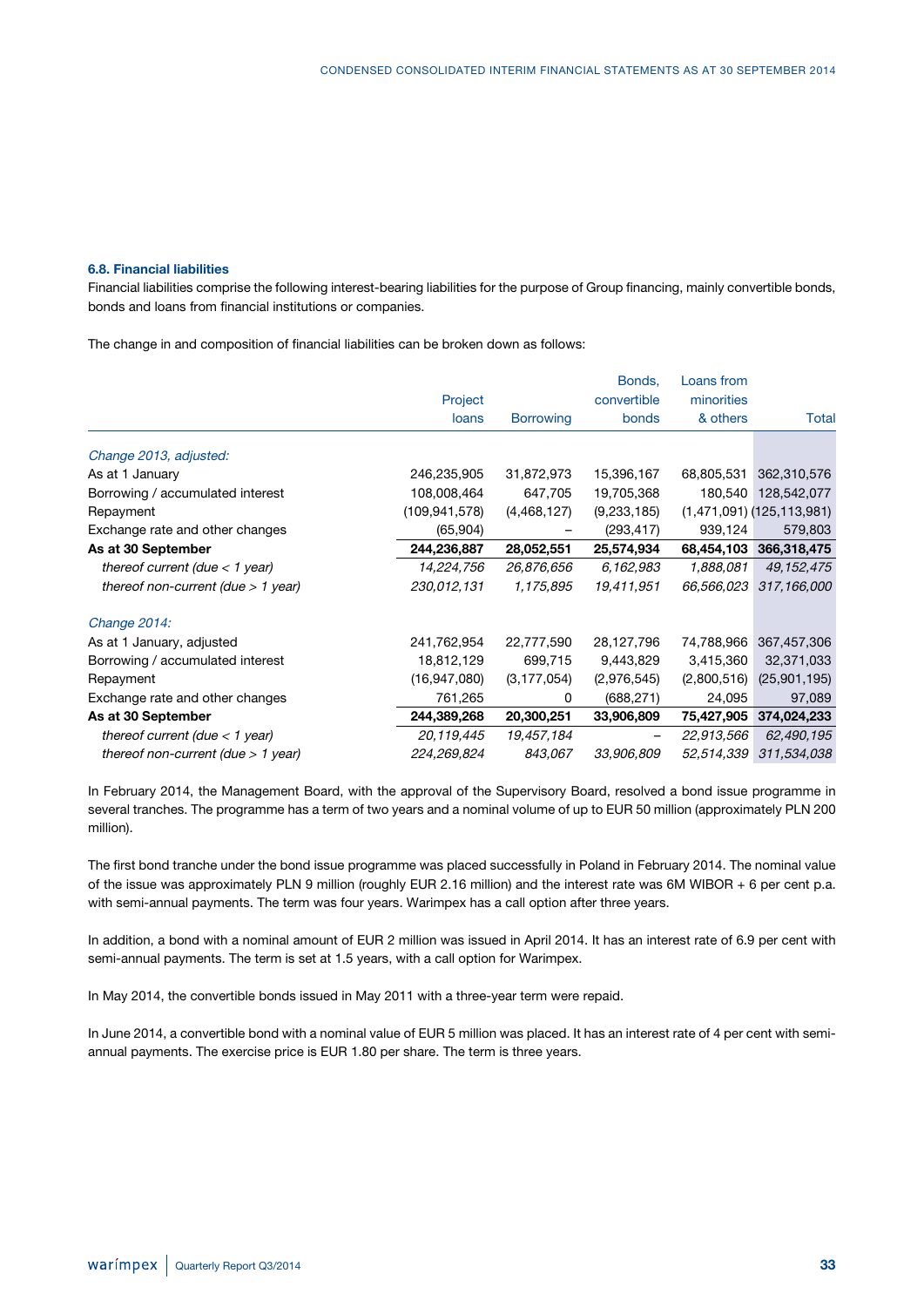#### **6.8. Financial liabilities**

Financial liabilities comprise the following interest-bearing liabilities for the purpose of Group financing, mainly convertible bonds, bonds and loans from financial institutions or companies.

The change in and composition of financial liabilities can be broken down as follows:

|                                      |                 |                  | Bonds,      | Loans from  |                               |
|--------------------------------------|-----------------|------------------|-------------|-------------|-------------------------------|
|                                      | Project         |                  | convertible | minorities  |                               |
|                                      | loans           | <b>Borrowing</b> | bonds       | & others    | Total                         |
| Change 2013, adjusted:               |                 |                  |             |             |                               |
| As at 1 January                      | 246,235,905     | 31,872,973       | 15,396,167  | 68,805,531  | 362,310,576                   |
| Borrowing / accumulated interest     | 108,008,464     | 647,705          | 19,705,368  |             | 180,540 128,542,077           |
| Repayment                            | (109, 941, 578) | (4,468,127)      | (9,233,185) |             | $(1,471,091)$ $(125,113,981)$ |
| Exchange rate and other changes      | (65, 904)       |                  | (293, 417)  | 939,124     | 579,803                       |
| As at 30 September                   | 244,236,887     | 28,052,551       | 25,574,934  | 68,454,103  | 366,318,475                   |
| thereof current (due $<$ 1 year)     | 14,224,756      | 26,876,656       | 6,162,983   | 1,888,081   | 49, 152, 475                  |
| thereof non-current (due $> 1$ year) | 230,012,131     | 1,175,895        | 19,411,951  | 66,566,023  | 317,166,000                   |
| Change 2014:                         |                 |                  |             |             |                               |
| As at 1 January, adjusted            | 241,762,954     | 22,777,590       | 28,127,796  | 74,788,966  | 367,457,306                   |
| Borrowing / accumulated interest     | 18,812,129      | 699,715          | 9,443,829   | 3,415,360   | 32,371,033                    |
| Repayment                            | (16, 947, 080)  | (3, 177, 054)    | (2,976,545) | (2,800,516) | (25,901,195)                  |
| Exchange rate and other changes      | 761,265         | 0                | (688, 271)  | 24,095      | 97,089                        |
| As at 30 September                   | 244,389,268     | 20,300,251       | 33,906,809  | 75,427,905  | 374,024,233                   |
| thereof current (due $<$ 1 year)     | 20,119,445      | 19,457,184       |             | 22,913,566  | 62,490,195                    |
| thereof non-current (due $> 1$ year) | 224,269,824     | 843,067          | 33,906,809  | 52,514,339  | 311,534,038                   |

In February 2014, the Management Board, with the approval of the Supervisory Board, resolved a bond issue programme in several tranches. The programme has a term of two years and a nominal volume of up to EUR 50 million (approximately PLN 200 million).

The first bond tranche under the bond issue programme was placed successfully in Poland in February 2014. The nominal value of the issue was approximately PLN 9 million (roughly EUR 2.16 million) and the interest rate was 6M WIBOR + 6 per cent p.a. with semi-annual payments. The term was four years. Warimpex has a call option after three years.

In addition, a bond with a nominal amount of EUR 2 million was issued in April 2014. It has an interest rate of 6.9 per cent with semi-annual payments. The term is set at 1.5 years, with a call option for Warimpex.

In May 2014, the convertible bonds issued in May 2011 with a three-year term were repaid.

In June 2014, a convertible bond with a nominal value of EUR 5 million was placed. It has an interest rate of 4 per cent with semiannual payments. The exercise price is EUR 1.80 per share. The term is three years.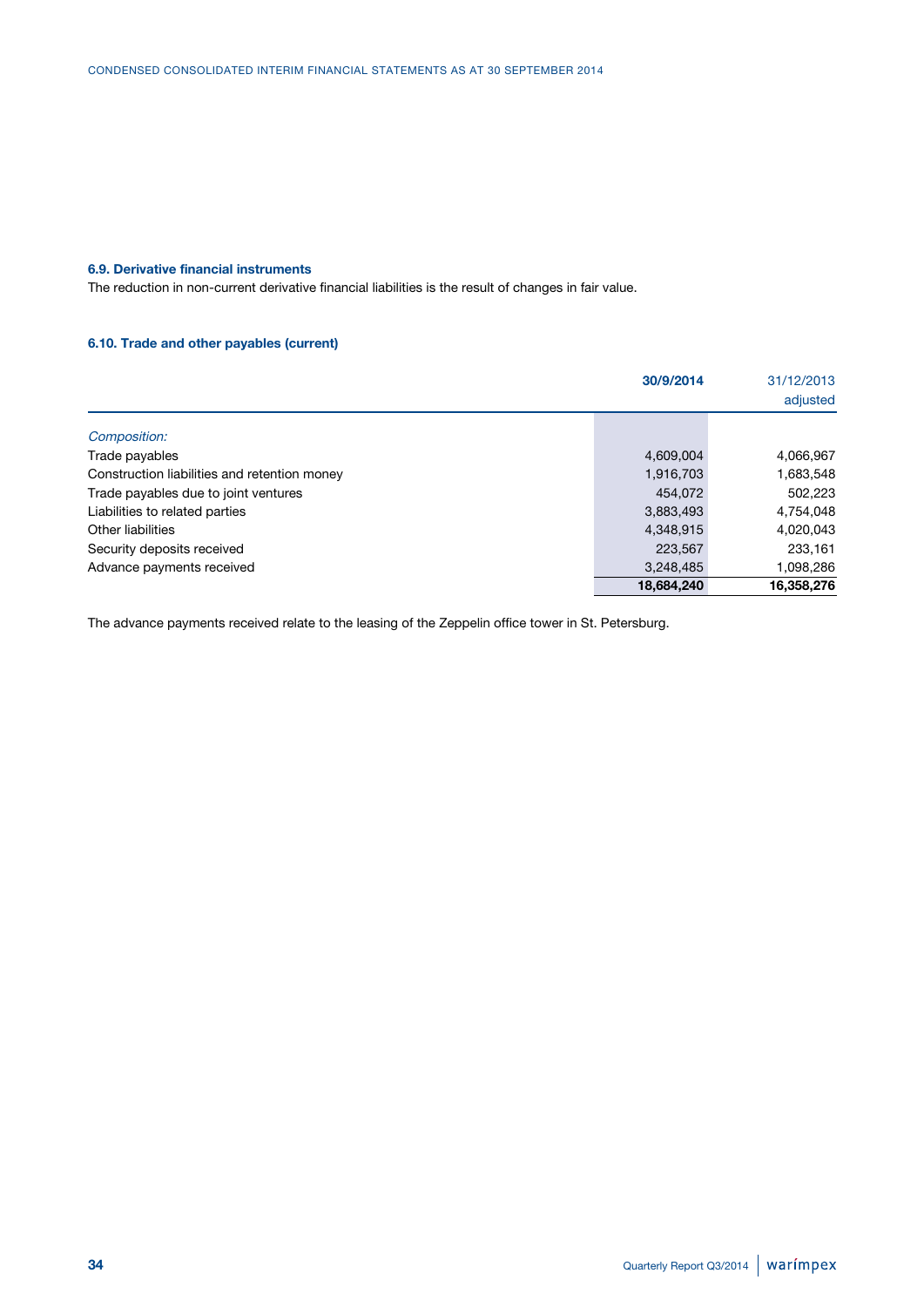### **6.9. Derivative financial instruments**

The reduction in non-current derivative financial liabilities is the result of changes in fair value.

### **6.10. Trade and other payables (current)**

|                                              | 30/9/2014  | 31/12/2013<br>adjusted |
|----------------------------------------------|------------|------------------------|
| Composition:                                 |            |                        |
| Trade payables                               | 4,609,004  | 4,066,967              |
| Construction liabilities and retention money | 1,916,703  | 1,683,548              |
| Trade payables due to joint ventures         | 454.072    | 502,223                |
| Liabilities to related parties               | 3,883,493  | 4,754,048              |
| Other liabilities                            | 4,348,915  | 4,020,043              |
| Security deposits received                   | 223,567    | 233,161                |
| Advance payments received                    | 3,248,485  | 1,098,286              |
|                                              | 18,684,240 | 16,358,276             |

The advance payments received relate to the leasing of the Zeppelin office tower in St. Petersburg.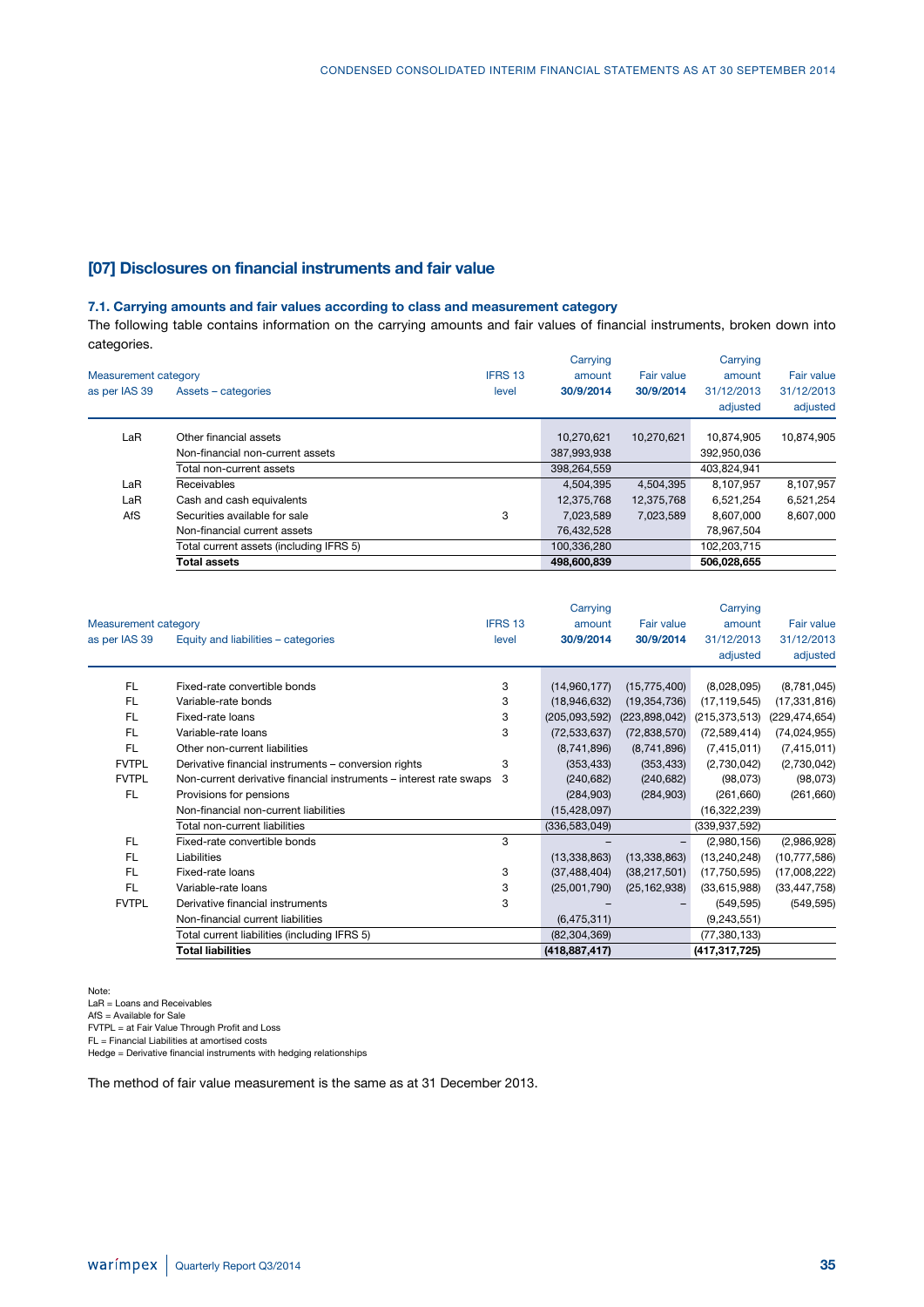### **[07] Disclosures on financial instruments and fair value**

### **7.1. Carrying amounts and fair values according to class and measurement category**

The following table contains information on the carrying amounts and fair values of financial instruments, broken down into categories.

| Measurement category |                                         | IFRS 13 | Carrying<br>amount | Fair value | Carrying<br>amount     | <b>Fair value</b>      |
|----------------------|-----------------------------------------|---------|--------------------|------------|------------------------|------------------------|
| as per IAS 39        | Assets - categories                     | level   | 30/9/2014          | 30/9/2014  | 31/12/2013<br>adjusted | 31/12/2013<br>adjusted |
| LaR                  | Other financial assets                  |         | 10,270,621         | 10,270,621 | 10.874.905             | 10,874,905             |
|                      | Non-financial non-current assets        |         | 387,993,938        |            | 392,950,036            |                        |
|                      | Total non-current assets                |         | 398,264,559        |            | 403,824,941            |                        |
| LaR                  | Receivables                             |         | 4.504.395          | 4,504,395  | 8,107,957              | 8,107,957              |
| LaR                  | Cash and cash equivalents               |         | 12,375,768         | 12,375,768 | 6,521,254              | 6,521,254              |
| AfS                  | Securities available for sale           | 3       | 7,023,589          | 7.023.589  | 8,607,000              | 8.607.000              |
|                      | Non-financial current assets            |         | 76,432,528         |            | 78,967,504             |                        |
|                      | Total current assets (including IFRS 5) |         | 100.336.280        |            | 102,203,715            |                        |
|                      | <b>Total assets</b>                     |         | 498,600,839        |            | 506.028.655            |                        |

|                             |                                                                    |         | Carrying        |                   | Carrying        |                   |
|-----------------------------|--------------------------------------------------------------------|---------|-----------------|-------------------|-----------------|-------------------|
| <b>Measurement category</b> |                                                                    | IFRS 13 | amount          | <b>Fair value</b> | amount          | <b>Fair value</b> |
| as per IAS 39               | Equity and liabilities - categories                                | level   | 30/9/2014       | 30/9/2014         | 31/12/2013      | 31/12/2013        |
|                             |                                                                    |         |                 |                   | adjusted        | adjusted          |
| <b>FL</b>                   | Fixed-rate convertible bonds                                       | 3       | (14,960,177)    | (15, 775, 400)    | (8,028,095)     | (8,781,045)       |
| <b>FL</b>                   | Variable-rate bonds                                                | 3       | (18,946,632)    | (19, 354, 736)    | (17, 119, 545)  | (17, 331, 816)    |
| <b>FL</b>                   | Fixed-rate loans                                                   | 3       | (205,093,592)   | (223,898,042)     | (215, 373, 513) | (229, 474, 654)   |
| <b>FL</b>                   | Variable-rate loans                                                | 3       | (72, 533, 637)  | (72, 838, 570)    | (72, 589, 414)  | (74, 024, 955)    |
| <b>FL</b>                   | Other non-current liabilities                                      |         | (8,741,896)     | (8,741,896)       | (7,415,011)     | (7, 415, 011)     |
| <b>FVTPL</b>                | Derivative financial instruments - conversion rights               | 3       | (353, 433)      | (353, 433)        | (2,730,042)     | (2,730,042)       |
| <b>FVTPL</b>                | Non-current derivative financial instruments – interest rate swaps | 3       | (240, 682)      | (240, 682)        | (98,073)        | (98,073)          |
| <b>FL</b>                   | Provisions for pensions                                            |         | (284, 903)      | (284, 903)        | (261,660)       | (261, 660)        |
|                             | Non-financial non-current liabilities                              |         | (15, 428, 097)  |                   | (16,322,239)    |                   |
|                             | Total non-current liabilities                                      |         | (336, 583, 049) |                   | (339, 937, 592) |                   |
| <b>FL</b>                   | Fixed-rate convertible bonds                                       | 3       |                 |                   | (2,980,156)     | (2,986,928)       |
| <b>FL</b>                   | Liabilities                                                        |         | (13,338,863)    | (13, 338, 863)    | (13, 240, 248)  | (10, 777, 586)    |
| <b>FL</b>                   | Fixed-rate loans                                                   | 3       | (37, 488, 404)  | (38, 217, 501)    | (17, 750, 595)  | (17,008,222)      |
| <b>FL</b>                   | Variable-rate loans                                                | 3       | (25,001,790)    | (25, 162, 938)    | (33,615,988)    | (33, 447, 758)    |
| <b>FVTPL</b>                | Derivative financial instruments                                   | 3       |                 |                   | (549, 595)      | (549, 595)        |
|                             | Non-financial current liabilities                                  |         | (6, 475, 311)   |                   | (9,243,551)     |                   |
|                             | Total current liabilities (including IFRS 5)                       |         | (82, 304, 369)  |                   | (77, 380, 133)  |                   |
|                             | <b>Total liabilities</b>                                           |         | (418, 887, 417) |                   | (417,317,725)   |                   |

Note:

LaR = Loans and Receivables AfS = Available for Sale FVTPL = at Fair Value Through Profit and Loss FL = Financial Liabilities at amortised costs Hedge = Derivative financial instruments with hedging relationships

The method of fair value measurement is the same as at 31 December 2013.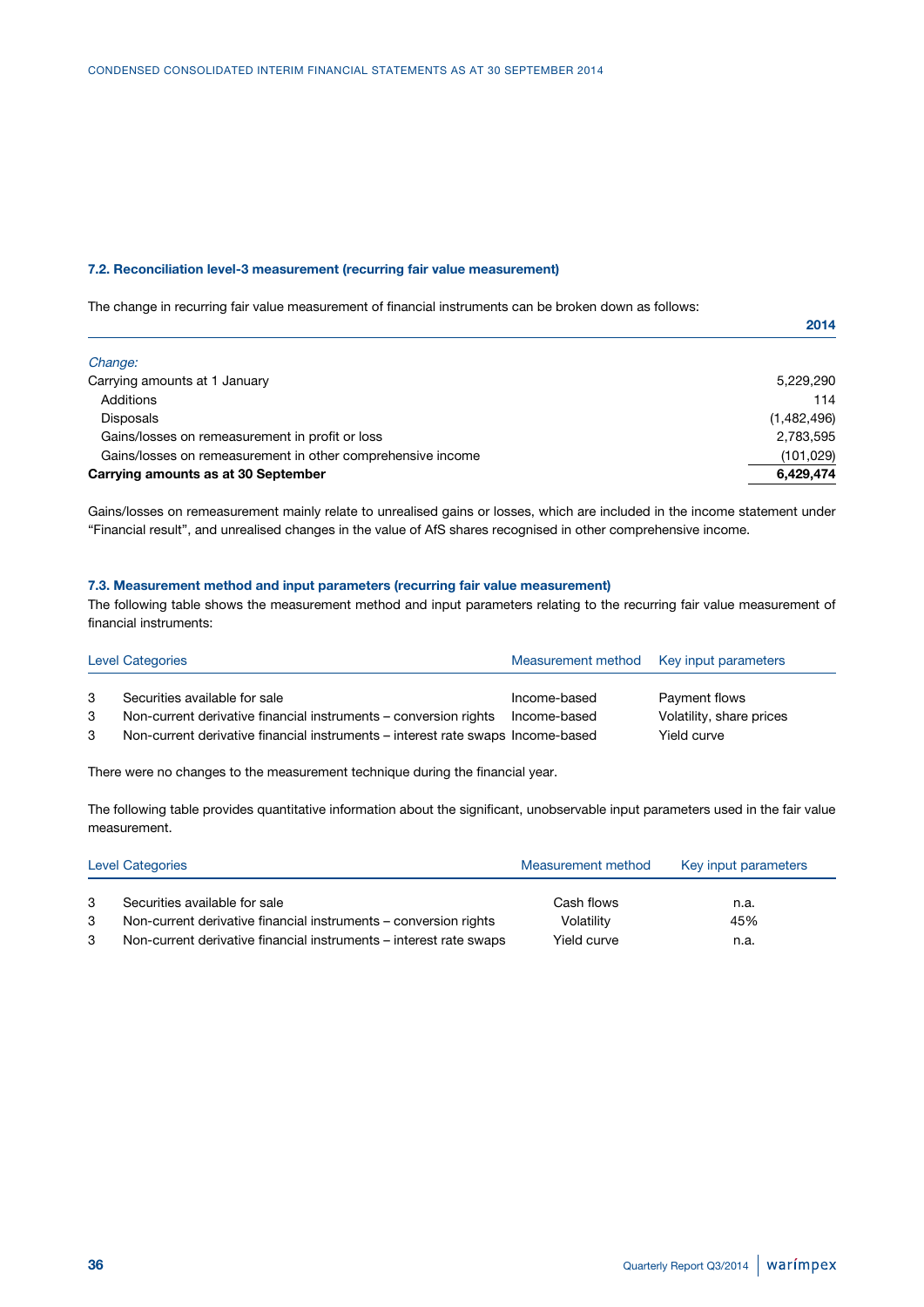#### **7.2. Reconciliation level-3 measurement (recurring fair value measurement)**

The change in recurring fair value measurement of financial instruments can be broken down as follows:

|                                                             | 2014        |
|-------------------------------------------------------------|-------------|
| Change:                                                     |             |
| Carrying amounts at 1 January                               | 5,229,290   |
| Additions                                                   | 114         |
| <b>Disposals</b>                                            | (1,482,496) |
| Gains/losses on remeasurement in profit or loss             | 2,783,595   |
| Gains/losses on remeasurement in other comprehensive income | (101, 029)  |
| Carrying amounts as at 30 September                         | 6,429,474   |

Gains/losses on remeasurement mainly relate to unrealised gains or losses, which are included in the income statement under "Financial result", and unrealised changes in the value of AfS shares recognised in other comprehensive income.

### **7.3. Measurement method and input parameters (recurring fair value measurement)**

The following table shows the measurement method and input parameters relating to the recurring fair value measurement of financial instruments:

| <b>Level Categories</b> |                                                                                 | Measurement method Key input parameters |                          |  |
|-------------------------|---------------------------------------------------------------------------------|-----------------------------------------|--------------------------|--|
| 3                       | Securities available for sale                                                   | Income-based                            | Payment flows            |  |
| 3                       | Non-current derivative financial instruments – conversion rights                | Income-based                            | Volatility, share prices |  |
| 3                       | Non-current derivative financial instruments – interest rate swaps Income-based |                                         | Yield curve              |  |

There were no changes to the measurement technique during the financial year.

The following table provides quantitative information about the significant, unobservable input parameters used in the fair value measurement.

| Level Categories |                                                                    | Measurement method | Key input parameters |  |
|------------------|--------------------------------------------------------------------|--------------------|----------------------|--|
|                  | Securities available for sale                                      | Cash flows         | n.a.                 |  |
| 3                | Non-current derivative financial instruments – conversion rights   | Volatility         | 45%                  |  |
|                  | Non-current derivative financial instruments – interest rate swaps | Yield curve        | n.a.                 |  |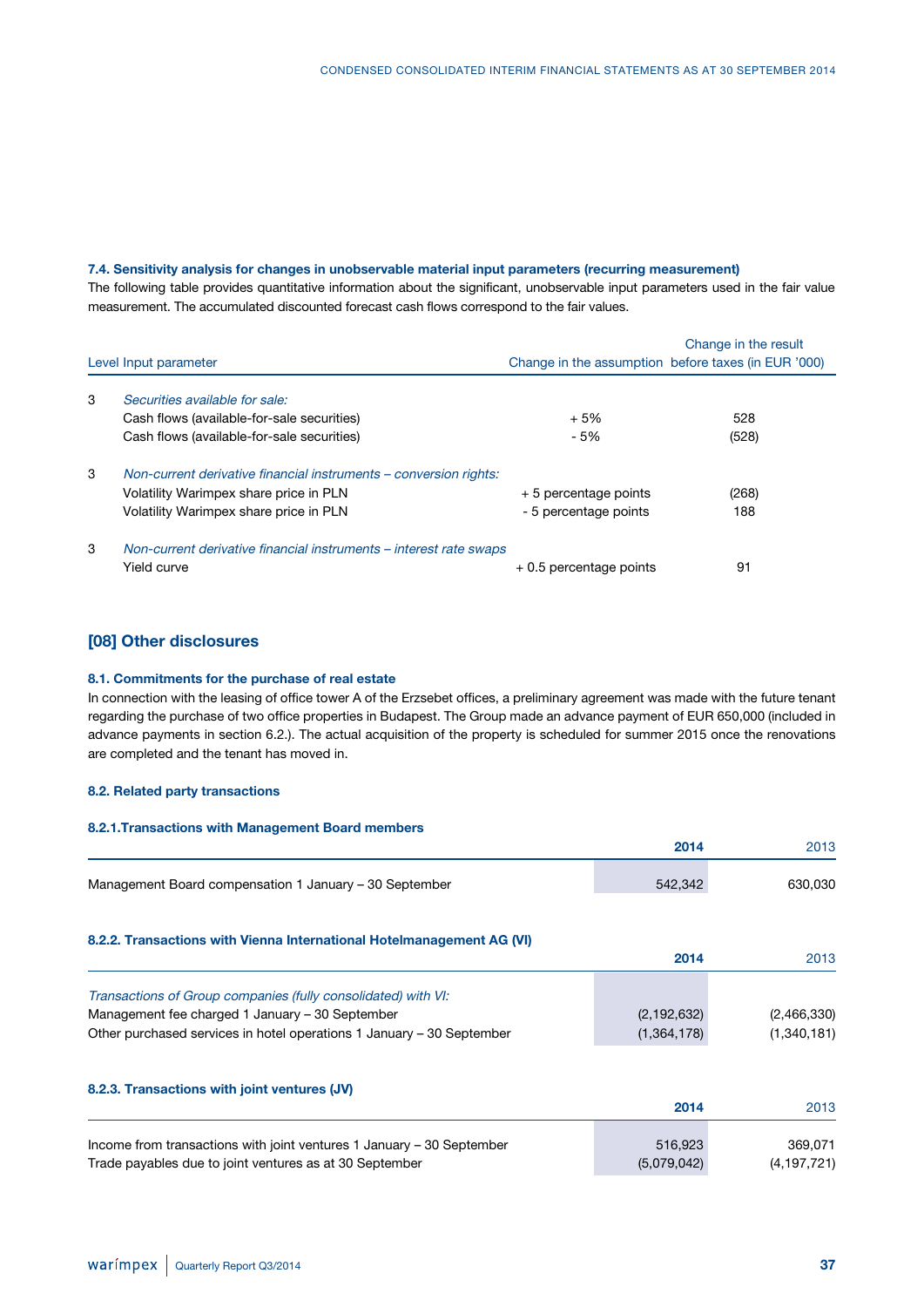### **7.4. Sensitivity analysis for changes in unobservable material input parameters (recurring measurement)**

The following table provides quantitative information about the significant, unobservable input parameters used in the fair value measurement. The accumulated discounted forecast cash flows correspond to the fair values.

| Level Input parameter |                                                                    | Change in the result<br>Change in the assumption before taxes (in EUR '000) |       |  |
|-----------------------|--------------------------------------------------------------------|-----------------------------------------------------------------------------|-------|--|
| 3                     | Securities available for sale:                                     |                                                                             |       |  |
|                       | Cash flows (available-for-sale securities)                         | $+5%$                                                                       | 528   |  |
|                       | Cash flows (available-for-sale securities)                         | - 5%                                                                        | (528) |  |
| 3                     | Non-current derivative financial instruments – conversion rights:  |                                                                             |       |  |
|                       | Volatility Warimpex share price in PLN                             | + 5 percentage points                                                       | (268) |  |
|                       | Volatility Warimpex share price in PLN                             | - 5 percentage points                                                       | 188   |  |
| 3                     | Non-current derivative financial instruments – interest rate swaps |                                                                             |       |  |
|                       | Yield curve                                                        | $+0.5$ percentage points                                                    | 91    |  |

### **[08] Other disclosures**

#### **8.1. Commitments for the purchase of real estate**

In connection with the leasing of office tower A of the Erzsebet offices, a preliminary agreement was made with the future tenant regarding the purchase of two office properties in Budapest. The Group made an advance payment of EUR 650,000 (included in advance payments in section 6.2.). The actual acquisition of the property is scheduled for summer 2015 once the renovations are completed and the tenant has moved in.

### **8.2. Related party transactions**

| 8.2.1. Transactions with Management Board members                     |               |             |
|-----------------------------------------------------------------------|---------------|-------------|
|                                                                       | 2014          | 2013        |
| Management Board compensation 1 January – 30 September                | 542,342       | 630,030     |
| 8.2.2. Transactions with Vienna International Hotelmanagement AG (VI) |               |             |
|                                                                       | 2014          | 2013        |
| Transactions of Group companies (fully consolidated) with VI:         |               |             |
| Management fee charged 1 January - 30 September                       | (2, 192, 632) | (2,466,330) |
| Other purchased services in hotel operations 1 January – 30 September | (1,364,178)   | (1,340,181) |
| 8.2.3. Transactions with joint ventures (JV)                          |               |             |
|                                                                       | 2014          | 2013        |

| Income from transactions with joint ventures 1 January – 30 September | 516.923     | 369.071     |
|-----------------------------------------------------------------------|-------------|-------------|
| Trade payables due to joint ventures as at 30 September               | (5,079,042) | (4,197,721) |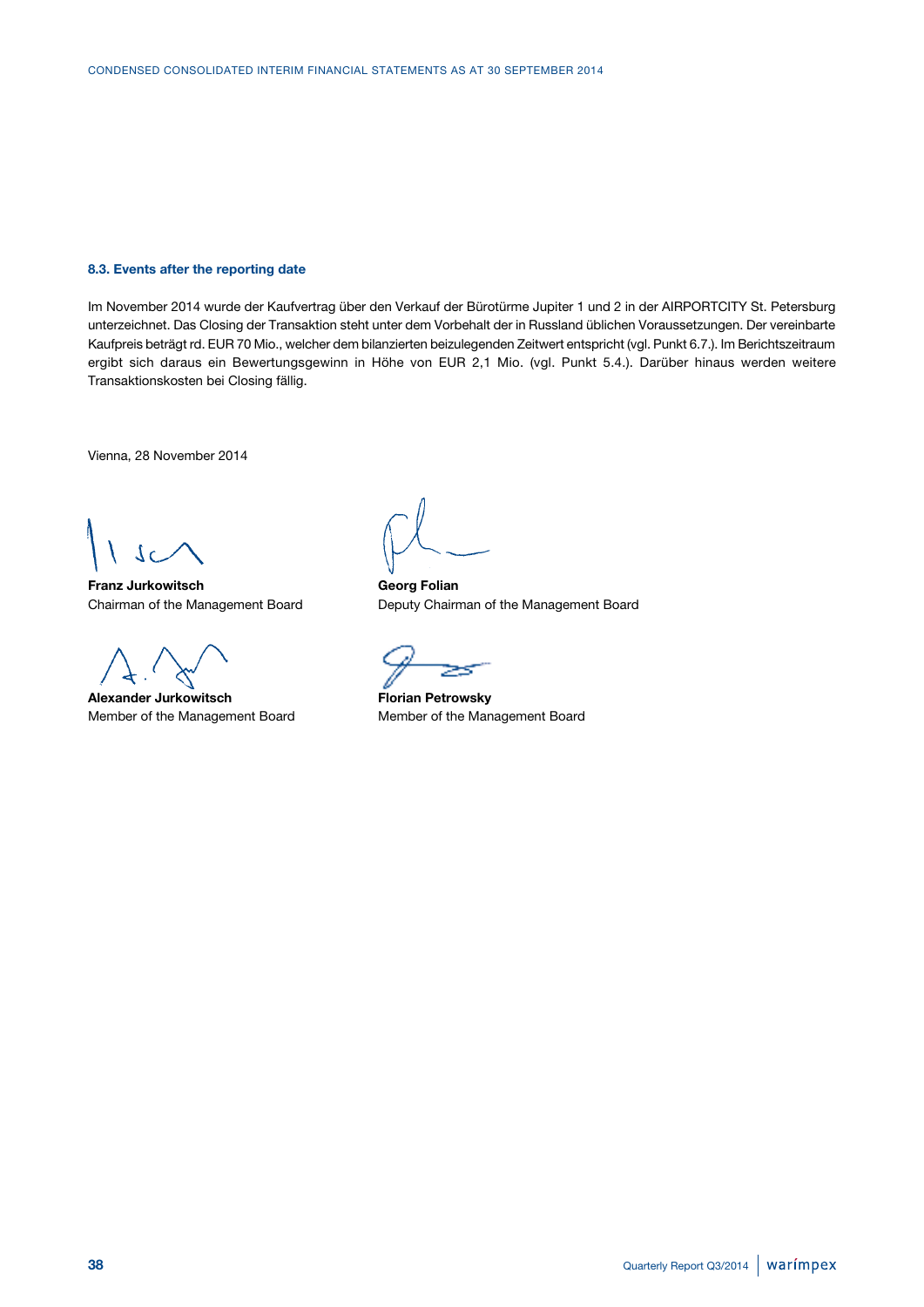#### **8.3. Events after the reporting date**

Im November 2014 wurde der Kaufvertrag über den Verkauf der Bürotürme Jupiter 1 und 2 in der AIRPORTCITY St. Petersburg unterzeichnet. Das Closing der Transaktion steht unter dem Vorbehalt der in Russland üblichen Voraussetzungen. Der vereinbarte Kaufpreis beträgt rd. EUR 70 Mio., welcher dem bilanzierten beizulegenden Zeitwert entspricht (vgl. Punkt 6.7.). Im Berichtszeitraum ergibt sich daraus ein Bewertungsgewinn in Höhe von EUR 2,1 Mio. (vgl. Punkt 5.4.). Darüber hinaus werden weitere Transaktionskosten bei Closing fällig.

Vienna, 28 November 2014

 $\Omega$ 

**Franz Jurkowitsch Georg Folian**

Alexander Jurkowitsch<br> **Florian Petrowsky** Member of the Management Board Member of the Management Board

Chairman of the Management Board Deputy Chairman of the Management Board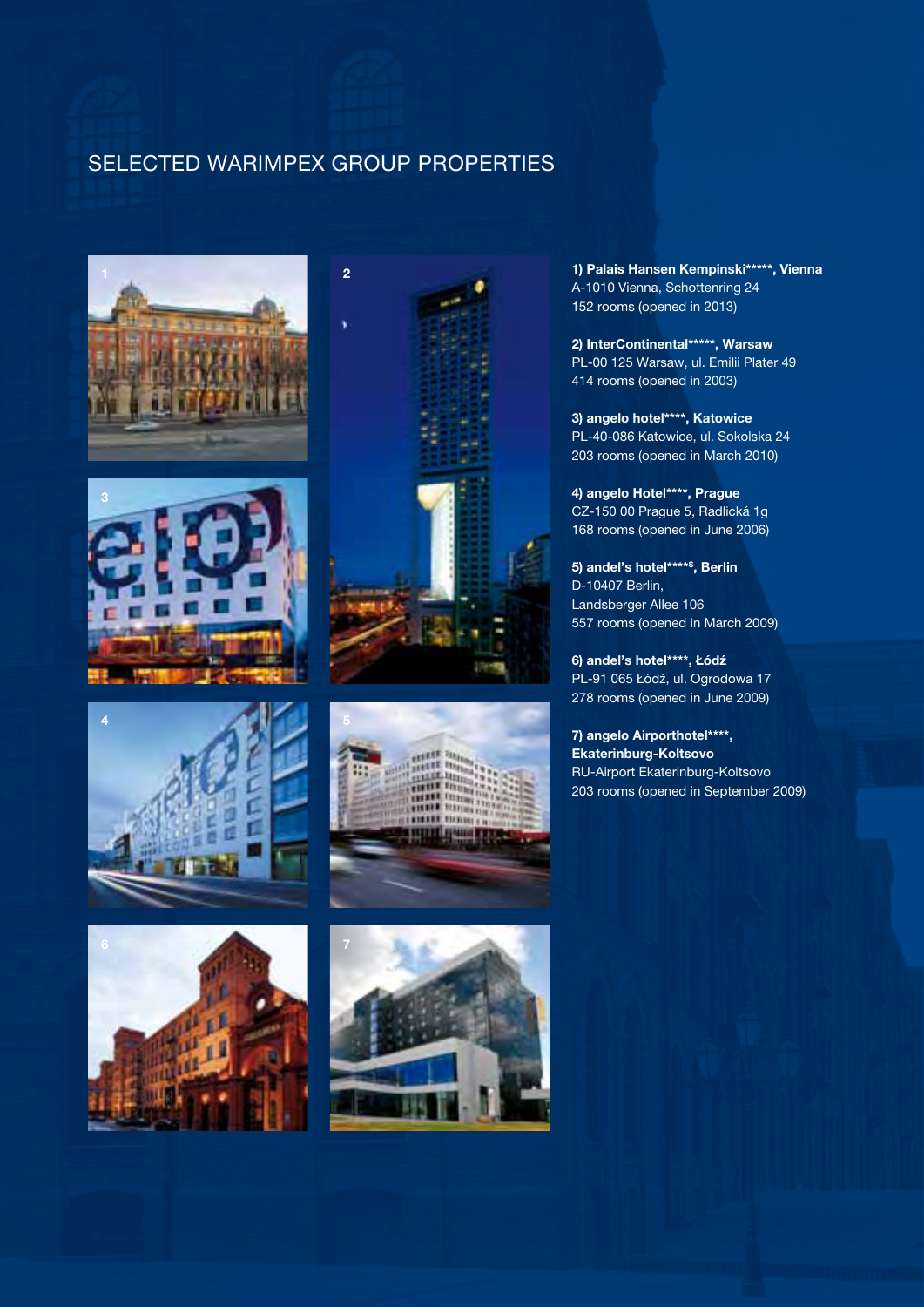# SELECTED WARIMPEX GROUP PROPERTIES















**1) Palais Hansen Kempinski\*\*\*\*\*, Vienna** A-1010 Vienna, Schottenring 24 152 rooms (opened in 2013)

**2) InterContinental\*\*\*\*\*, Warsaw** PL-00 125 Warsaw, ul. Emilii Plater 49 414 rooms (opened in 2003)

**3) angelo hotel\*\*\*\*, Katowice** PL-40-086 Katowice, ul. Sokolska 24 203 rooms (opened in March 2010)

**4) angelo Hotel\*\*\*\*, Prague** CZ-150 00 Prague 5, Radlická 1g 168 rooms (opened in June 2006)

**5) andel's hotel\*\*\*\*S, Berlin** D-10407 Berlin, Landsberger Allee 106 557 rooms (opened in March 2009)

**6) andel's hotel\*\*\*\*, Łódź** PL-91 065 Łódź, ul. Ogrodowa 17 278 rooms (opened in June 2009)

**7) angelo Airporthotel\*\*\*\*, Ekaterinburg-Koltsovo** RU-Airport Ekaterinburg-Koltsovo 203 rooms (opened in September 2009)